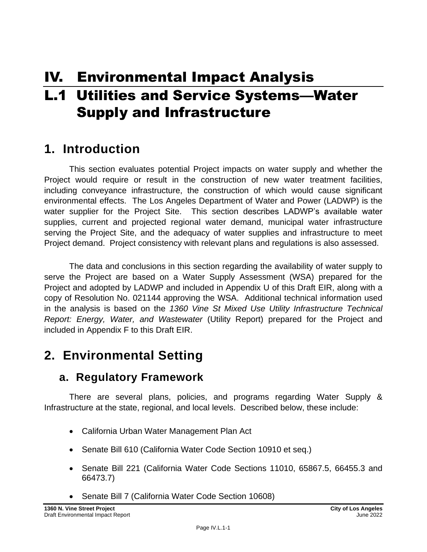# IV. Environmental Impact Analysis

# L.1 Utilities and Service Systems—Water Supply and Infrastructure

# **1. Introduction**

This section evaluates potential Project impacts on water supply and whether the Project would require or result in the construction of new water treatment facilities, including conveyance infrastructure, the construction of which would cause significant environmental effects. The Los Angeles Department of Water and Power (LADWP) is the water supplier for the Project Site. This section describes LADWP's available water supplies, current and projected regional water demand, municipal water infrastructure serving the Project Site, and the adequacy of water supplies and infrastructure to meet Project demand. Project consistency with relevant plans and regulations is also assessed.

The data and conclusions in this section regarding the availability of water supply to serve the Project are based on a Water Supply Assessment (WSA) prepared for the Project and adopted by LADWP and included in Appendix U of this Draft EIR, along with a copy of Resolution No. 021144 approving the WSA. Additional technical information used in the analysis is based on the *1360 Vine St Mixed Use Utility Infrastructure Technical Report: Energy, Water, and Wastewater* (Utility Report) prepared for the Project and included in Appendix F to this Draft EIR.

# **2. Environmental Setting**

# **a. Regulatory Framework**

There are several plans, policies, and programs regarding Water Supply & Infrastructure at the state, regional, and local levels. Described below, these include:

- California Urban Water Management Plan Act
- Senate Bill 610 (California Water Code Section 10910 et seq.)
- Senate Bill 221 (California Water Code Sections 11010, 65867.5, 66455.3 and 66473.7)
- Senate Bill 7 (California Water Code Section 10608)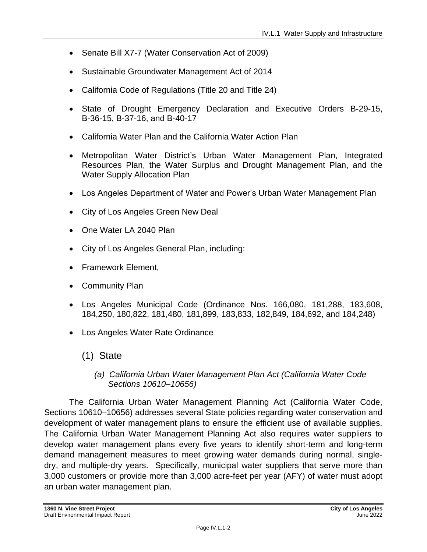- Senate Bill X7-7 (Water Conservation Act of 2009)
- Sustainable Groundwater Management Act of 2014
- California Code of Regulations (Title 20 and Title 24)
- State of Drought Emergency Declaration and Executive Orders B-29-15, B-36-15, B-37-16, and B-40-17
- California Water Plan and the California Water Action Plan
- Metropolitan Water District's Urban Water Management Plan, Integrated Resources Plan, the Water Surplus and Drought Management Plan, and the Water Supply Allocation Plan
- Los Angeles Department of Water and Power's Urban Water Management Plan
- City of Los Angeles Green New Deal
- One Water LA 2040 Plan
- City of Los Angeles General Plan, including:
- Framework Element,
- Community Plan
- Los Angeles Municipal Code (Ordinance Nos. 166,080, 181,288, 183,608, 184,250, 180,822, 181,480, 181,899, 183,833, 182,849, 184,692, and 184,248)
- Los Angeles Water Rate Ordinance
	- (1) State
		- *(a) California Urban Water Management Plan Act (California Water Code Sections 10610–10656)*

The California Urban Water Management Planning Act (California Water Code, Sections 10610–10656) addresses several State policies regarding water conservation and development of water management plans to ensure the efficient use of available supplies. The California Urban Water Management Planning Act also requires water suppliers to develop water management plans every five years to identify short-term and long-term demand management measures to meet growing water demands during normal, singledry, and multiple-dry years. Specifically, municipal water suppliers that serve more than 3,000 customers or provide more than 3,000 acre-feet per year (AFY) of water must adopt an urban water management plan.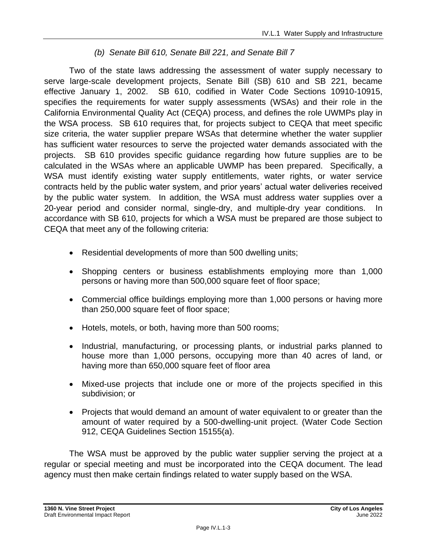# *(b) Senate Bill 610, Senate Bill 221, and Senate Bill 7*

Two of the state laws addressing the assessment of water supply necessary to serve large-scale development projects, Senate Bill (SB) 610 and SB 221, became effective January 1, 2002. SB 610, codified in Water Code Sections 10910-10915, specifies the requirements for water supply assessments (WSAs) and their role in the California Environmental Quality Act (CEQA) process, and defines the role UWMPs play in the WSA process. SB 610 requires that, for projects subject to CEQA that meet specific size criteria, the water supplier prepare WSAs that determine whether the water supplier has sufficient water resources to serve the projected water demands associated with the projects. SB 610 provides specific guidance regarding how future supplies are to be calculated in the WSAs where an applicable UWMP has been prepared. Specifically, a WSA must identify existing water supply entitlements, water rights, or water service contracts held by the public water system, and prior years' actual water deliveries received by the public water system. In addition, the WSA must address water supplies over a 20-year period and consider normal, single-dry, and multiple-dry year conditions. In accordance with SB 610, projects for which a WSA must be prepared are those subject to CEQA that meet any of the following criteria:

- Residential developments of more than 500 dwelling units;
- Shopping centers or business establishments employing more than 1,000 persons or having more than 500,000 square feet of floor space;
- Commercial office buildings employing more than 1,000 persons or having more than 250,000 square feet of floor space;
- Hotels, motels, or both, having more than 500 rooms;
- Industrial, manufacturing, or processing plants, or industrial parks planned to house more than 1,000 persons, occupying more than 40 acres of land, or having more than 650,000 square feet of floor area
- Mixed-use projects that include one or more of the projects specified in this subdivision; or
- Projects that would demand an amount of water equivalent to or greater than the amount of water required by a 500-dwelling-unit project. (Water Code Section 912, CEQA Guidelines Section 15155(a).

The WSA must be approved by the public water supplier serving the project at a regular or special meeting and must be incorporated into the CEQA document. The lead agency must then make certain findings related to water supply based on the WSA.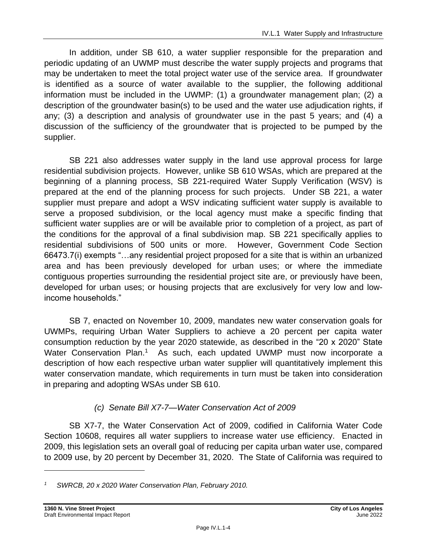In addition, under SB 610, a water supplier responsible for the preparation and periodic updating of an UWMP must describe the water supply projects and programs that may be undertaken to meet the total project water use of the service area. If groundwater is identified as a source of water available to the supplier, the following additional information must be included in the UWMP: (1) a groundwater management plan; (2) a description of the groundwater basin(s) to be used and the water use adjudication rights, if any; (3) a description and analysis of groundwater use in the past 5 years; and (4) a discussion of the sufficiency of the groundwater that is projected to be pumped by the supplier.

SB 221 also addresses water supply in the land use approval process for large residential subdivision projects. However, unlike SB 610 WSAs, which are prepared at the beginning of a planning process, SB 221-required Water Supply Verification (WSV) is prepared at the end of the planning process for such projects. Under SB 221, a water supplier must prepare and adopt a WSV indicating sufficient water supply is available to serve a proposed subdivision, or the local agency must make a specific finding that sufficient water supplies are or will be available prior to completion of a project, as part of the conditions for the approval of a final subdivision map. SB 221 specifically applies to residential subdivisions of 500 units or more. However, Government Code Section 66473.7(i) exempts "…any residential project proposed for a site that is within an urbanized area and has been previously developed for urban uses; or where the immediate contiguous properties surrounding the residential project site are, or previously have been, developed for urban uses; or housing projects that are exclusively for very low and lowincome households."

SB 7, enacted on November 10, 2009, mandates new water conservation goals for UWMPs, requiring Urban Water Suppliers to achieve a 20 percent per capita water consumption reduction by the year 2020 statewide, as described in the "20 x 2020" State Water Conservation Plan.<sup>1</sup> As such, each updated UWMP must now incorporate a description of how each respective urban water supplier will quantitatively implement this water conservation mandate, which requirements in turn must be taken into consideration in preparing and adopting WSAs under SB 610.

# *(c) Senate Bill X7-7—Water Conservation Act of 2009*

SB X7-7, the Water Conservation Act of 2009, codified in California Water Code Section 10608, requires all water suppliers to increase water use efficiency. Enacted in 2009, this legislation sets an overall goal of reducing per capita urban water use, compared to 2009 use, by 20 percent by December 31, 2020. The State of California was required to

*<sup>1</sup> SWRCB, 20 x 2020 Water Conservation Plan, February 2010.*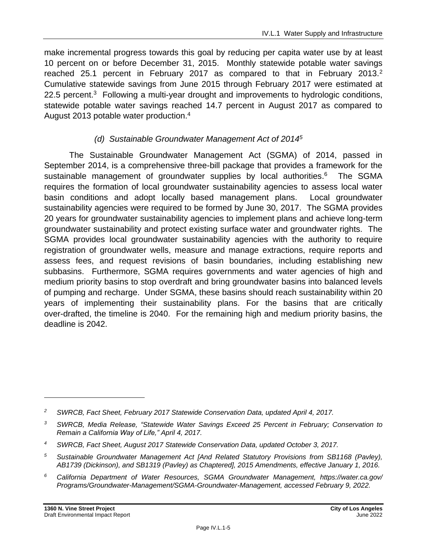make incremental progress towards this goal by reducing per capita water use by at least 10 percent on or before December 31, 2015. Monthly statewide potable water savings reached 25.1 percent in February 2017 as compared to that in February 2013.<sup>2</sup> Cumulative statewide savings from June 2015 through February 2017 were estimated at 22.5 percent.<sup>3</sup> Following a multi-year drought and improvements to hydrologic conditions, statewide potable water savings reached 14.7 percent in August 2017 as compared to August 2013 potable water production.<sup>4</sup>

### *(d) Sustainable Groundwater Management Act of 2014<sup>5</sup>*

The Sustainable Groundwater Management Act (SGMA) of 2014, passed in September 2014, is a comprehensive three-bill package that provides a framework for the sustainable management of groundwater supplies by local authorities.<sup>6</sup> The SGMA requires the formation of local groundwater sustainability agencies to assess local water basin conditions and adopt locally based management plans. Local groundwater sustainability agencies were required to be formed by June 30, 2017. The SGMA provides 20 years for groundwater sustainability agencies to implement plans and achieve long-term groundwater sustainability and protect existing surface water and groundwater rights. The SGMA provides local groundwater sustainability agencies with the authority to require registration of groundwater wells, measure and manage extractions, require reports and assess fees, and request revisions of basin boundaries, including establishing new subbasins. Furthermore, SGMA requires governments and water agencies of high and medium priority basins to stop overdraft and bring groundwater basins into balanced levels of pumping and recharge. Under SGMA, these basins should reach sustainability within 20 years of implementing their sustainability plans. For the basins that are critically over-drafted, the timeline is 2040. For the remaining high and medium priority basins, the deadline is 2042.

- *<sup>5</sup> Sustainable Groundwater Management Act [And Related Statutory Provisions from SB1168 (Pavley), AB1739 (Dickinson), and SB1319 (Pavley) as Chaptered], 2015 Amendments, effective January 1, 2016.*
- *<sup>6</sup> California Department of Water Resources, SGMA Groundwater Management, https://water.ca.gov/ Programs/Groundwater-Management/SGMA-Groundwater-Management, accessed February 9, 2022.*

*<sup>2</sup> SWRCB, Fact Sheet, February 2017 Statewide Conservation Data, updated April 4, 2017.*

*<sup>3</sup> SWRCB, Media Release, "Statewide Water Savings Exceed 25 Percent in February; Conservation to Remain a California Way of Life," April 4, 2017.*

*<sup>4</sup> SWRCB, Fact Sheet, August 2017 Statewide Conservation Data, updated October 3, 2017.*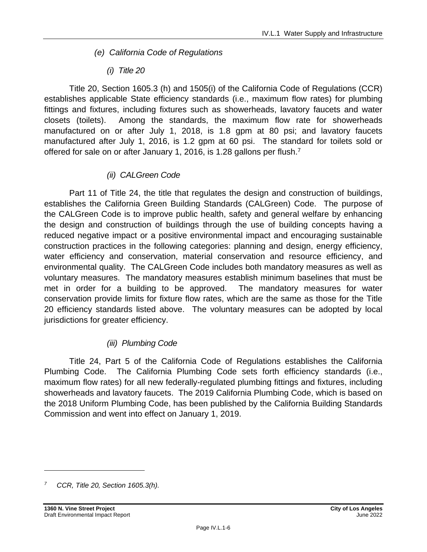- *(e) California Code of Regulations*
	- *(i) Title 20*

Title 20, Section 1605.3 (h) and 1505(i) of the California Code of Regulations (CCR) establishes applicable State efficiency standards (i.e., maximum flow rates) for plumbing fittings and fixtures, including fixtures such as showerheads, lavatory faucets and water closets (toilets). Among the standards, the maximum flow rate for showerheads manufactured on or after July 1, 2018, is 1.8 gpm at 80 psi; and lavatory faucets manufactured after July 1, 2016, is 1.2 gpm at 60 psi. The standard for toilets sold or offered for sale on or after January 1, 2016, is 1.28 gallons per flush.<sup>7</sup>

# *(ii) CALGreen Code*

Part 11 of Title 24, the title that regulates the design and construction of buildings, establishes the California Green Building Standards (CALGreen) Code. The purpose of the CALGreen Code is to improve public health, safety and general welfare by enhancing the design and construction of buildings through the use of building concepts having a reduced negative impact or a positive environmental impact and encouraging sustainable construction practices in the following categories: planning and design, energy efficiency, water efficiency and conservation, material conservation and resource efficiency, and environmental quality. The CALGreen Code includes both mandatory measures as well as voluntary measures. The mandatory measures establish minimum baselines that must be met in order for a building to be approved. The mandatory measures for water conservation provide limits for fixture flow rates, which are the same as those for the Title 20 efficiency standards listed above. The voluntary measures can be adopted by local jurisdictions for greater efficiency.

# *(iii) Plumbing Code*

Title 24, Part 5 of the California Code of Regulations establishes the California Plumbing Code. The California Plumbing Code sets forth efficiency standards (i.e., maximum flow rates) for all new federally-regulated plumbing fittings and fixtures, including showerheads and lavatory faucets. The 2019 California Plumbing Code, which is based on the 2018 Uniform Plumbing Code, has been published by the California Building Standards Commission and went into effect on January 1, 2019.

*<sup>7</sup> CCR, Title 20, Section 1605.3(h).*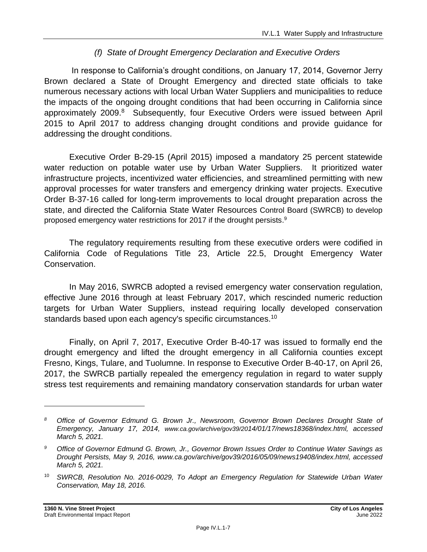# *(f) State of Drought Emergency Declaration and Executive Orders*

In response to California's drought conditions, on January 17, 2014, Governor Jerry Brown declared a State of Drought Emergency and directed state officials to take numerous necessary actions with local Urban Water Suppliers and municipalities to reduce the impacts of the ongoing drought conditions that had been occurring in California since approximately 2009.<sup>8</sup> Subsequently, four Executive Orders were issued between April 2015 to April 2017 to address changing drought conditions and provide guidance for addressing the drought conditions.

Executive Order B-29-15 (April 2015) imposed a mandatory 25 percent statewide water reduction on potable water use by Urban Water Suppliers. It prioritized water infrastructure projects, incentivized water efficiencies, and streamlined permitting with new approval processes for water transfers and emergency drinking water projects. Executive Order B-37-16 called for long-term improvements to local drought preparation across the state, and directed the California State Water Resources Control Board (SWRCB) to develop proposed emergency water restrictions for 2017 if the drought persists. 9

The regulatory requirements resulting from these executive orders were codified in California Code of Regulations Title 23, Article 22.5, Drought Emergency Water Conservation.

In May 2016, SWRCB adopted a revised emergency water conservation regulation, effective June 2016 through at least February 2017, which rescinded numeric reduction targets for Urban Water Suppliers, instead requiring locally developed conservation standards based upon each agency's specific circumstances.<sup>10</sup>

Finally, on April 7, 2017, Executive Order B-40-17 was issued to formally end the drought emergency and lifted the drought emergency in all California counties except Fresno, Kings, Tulare, and Tuolumne. In response to Executive Order B-40-17, on April 26, 2017, the SWRCB partially repealed the emergency regulation in regard to water supply stress test requirements and remaining mandatory conservation standards for urban water

*<sup>8</sup> Office of Governor Edmund G. Brown Jr., Newsroom, Governor Brown Declares Drought State of Emergency, January 17, 2014, www.ca.gov/archive/gov39/2014/01/17/news18368/index.html, accessed March 5, 2021.*

*<sup>9</sup> Office of Governor Edmund G. Brown, Jr., Governor Brown Issues Order to Continue Water Savings as Drought Persists, May 9, 2016, www.ca.gov/archive/gov39/2016/05/09/news19408/index.html, accessed March 5, 2021.*

<sup>10</sup> *SWRCB, Resolution No. 2016-0029, To Adopt an Emergency Regulation for Statewide Urban Water Conservation, May 18, 2016.*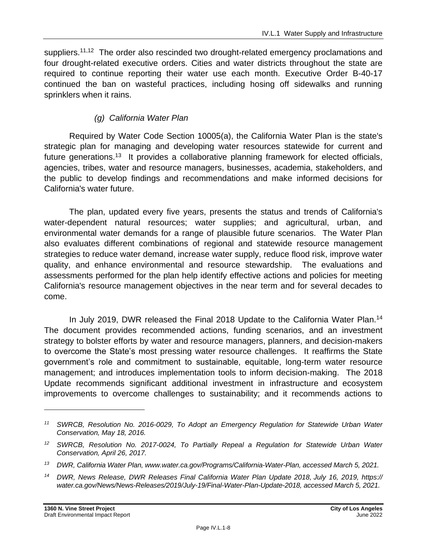suppliers.<sup>11,12</sup> The order also rescinded two drought-related emergency proclamations and four drought-related executive orders. Cities and water districts throughout the state are required to continue reporting their water use each month. Executive Order B-40-17 continued the ban on wasteful practices, including hosing off sidewalks and running sprinklers when it rains.

### *(g) California Water Plan*

Required by Water Code Section 10005(a), the California Water Plan is the state's strategic plan for managing and developing water resources statewide for current and future generations.<sup>13</sup> It provides a collaborative planning framework for elected officials, agencies, tribes, water and resource managers, businesses, academia, stakeholders, and the public to develop findings and recommendations and make informed decisions for California's water future.

The plan, updated every five years, presents the status and trends of California's water-dependent natural resources; water supplies; and agricultural, urban, and environmental water demands for a range of plausible future scenarios. The Water Plan also evaluates different combinations of regional and statewide resource management strategies to reduce water demand, increase water supply, reduce flood risk, improve water quality, and enhance environmental and resource stewardship. The evaluations and assessments performed for the plan help identify effective actions and policies for meeting California's resource management objectives in the near term and for several decades to come.

In July 2019, DWR released the Final 2018 Update to the California Water Plan. 14 The document provides recommended actions, funding scenarios, and an investment strategy to bolster efforts by water and resource managers, planners, and decision-makers to overcome the State's most pressing water resource challenges. It reaffirms the State government's role and commitment to sustainable, equitable, long-term water resource management; and introduces implementation tools to inform decision-making. The 2018 Update recommends significant additional investment in infrastructure and ecosystem improvements to overcome challenges to sustainability; and it recommends actions to

*<sup>11</sup> SWRCB, Resolution No. 2016-0029, To Adopt an Emergency Regulation for Statewide Urban Water Conservation, May 18, 2016.*

*<sup>12</sup> SWRCB, Resolution No. 2017-0024, To Partially Repeal a Regulation for Statewide Urban Water Conservation, April 26, 2017.*

*<sup>13</sup> DWR, California Water Plan, www.water.ca.gov/Programs/California-Water-Plan, accessed March 5, 2021.*

*<sup>14</sup> DWR, News Release, DWR Releases Final California Water Plan Update 2018, July 16, 2019, https:// water.ca.gov/News/News-Releases/2019/July-19/Final-Water-Plan-Update-2018, accessed March 5, 2021.*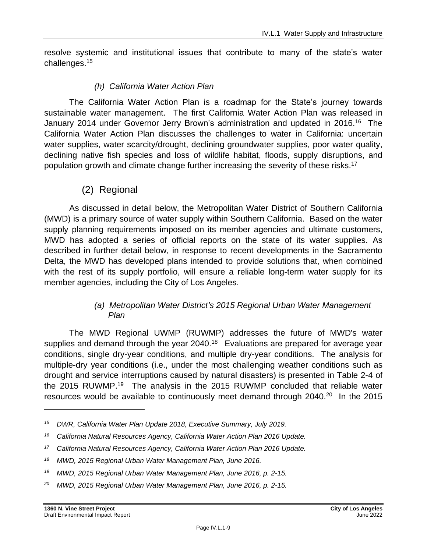resolve systemic and institutional issues that contribute to many of the state's water challenges.<sup>15</sup>

### *(h) California Water Action Plan*

The California Water Action Plan is a roadmap for the State's journey towards sustainable water management. The first California Water Action Plan was released in January 2014 under Governor Jerry Brown's administration and updated in 2016.<sup>16</sup> The California Water Action Plan discusses the challenges to water in California: uncertain water supplies, water scarcity/drought, declining groundwater supplies, poor water quality, declining native fish species and loss of wildlife habitat, floods, supply disruptions, and population growth and climate change further increasing the severity of these risks.<sup>17</sup>

# (2) Regional

As discussed in detail below, the Metropolitan Water District of Southern California (MWD) is a primary source of water supply within Southern California. Based on the water supply planning requirements imposed on its member agencies and ultimate customers, MWD has adopted a series of official reports on the state of its water supplies. As described in further detail below, in response to recent developments in the Sacramento Delta, the MWD has developed plans intended to provide solutions that, when combined with the rest of its supply portfolio, will ensure a reliable long-term water supply for its member agencies, including the City of Los Angeles.

#### *(a) Metropolitan Water District's 2015 Regional Urban Water Management Plan*

The MWD Regional UWMP (RUWMP) addresses the future of MWD's water supplies and demand through the year 2040.<sup>18</sup> Evaluations are prepared for average year conditions, single dry-year conditions, and multiple dry-year conditions. The analysis for multiple-dry year conditions (i.e., under the most challenging weather conditions such as drought and service interruptions caused by natural disasters) is presented in Table 2-4 of the 2015 RUWMP.<sup>19</sup> The analysis in the 2015 RUWMP concluded that reliable water resources would be available to continuously meet demand through 2040.<sup>20</sup> In the 2015

*<sup>15</sup> DWR, California Water Plan Update 2018, Executive Summary, July 2019.*

*<sup>16</sup> California Natural Resources Agency, California Water Action Plan 2016 Update.*

*<sup>17</sup> California Natural Resources Agency, California Water Action Plan 2016 Update.*

*<sup>18</sup> MWD, 2015 Regional Urban Water Management Plan, June 2016.*

*<sup>19</sup> MWD, 2015 Regional Urban Water Management Plan, June 2016, p. 2-15.*

*<sup>20</sup> MWD, 2015 Regional Urban Water Management Plan, June 2016, p. 2-15.*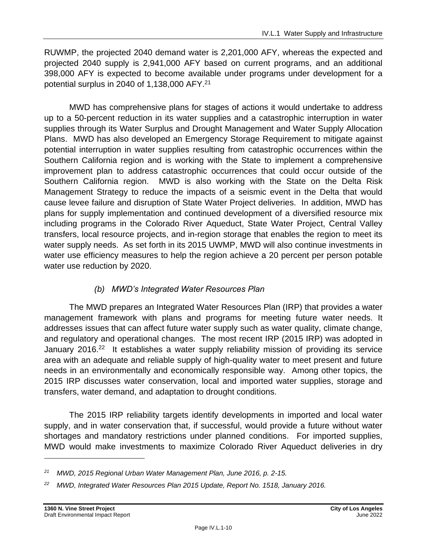RUWMP, the projected 2040 demand water is 2,201,000 AFY, whereas the expected and projected 2040 supply is 2,941,000 AFY based on current programs, and an additional 398,000 AFY is expected to become available under programs under development for a potential surplus in 2040 of 1,138,000 AFY. 21

MWD has comprehensive plans for stages of actions it would undertake to address up to a 50-percent reduction in its water supplies and a catastrophic interruption in water supplies through its Water Surplus and Drought Management and Water Supply Allocation Plans. MWD has also developed an Emergency Storage Requirement to mitigate against potential interruption in water supplies resulting from catastrophic occurrences within the Southern California region and is working with the State to implement a comprehensive improvement plan to address catastrophic occurrences that could occur outside of the Southern California region. MWD is also working with the State on the Delta Risk Management Strategy to reduce the impacts of a seismic event in the Delta that would cause levee failure and disruption of State Water Project deliveries. In addition, MWD has plans for supply implementation and continued development of a diversified resource mix including programs in the Colorado River Aqueduct, State Water Project, Central Valley transfers, local resource projects, and in-region storage that enables the region to meet its water supply needs. As set forth in its 2015 UWMP, MWD will also continue investments in water use efficiency measures to help the region achieve a 20 percent per person potable water use reduction by 2020.

# *(b) MWD's Integrated Water Resources Plan*

The MWD prepares an Integrated Water Resources Plan (IRP) that provides a water management framework with plans and programs for meeting future water needs. It addresses issues that can affect future water supply such as water quality, climate change, and regulatory and operational changes. The most recent IRP (2015 IRP) was adopted in January 2016.<sup>22</sup> It establishes a water supply reliability mission of providing its service area with an adequate and reliable supply of high-quality water to meet present and future needs in an environmentally and economically responsible way. Among other topics, the 2015 IRP discusses water conservation, local and imported water supplies, storage and transfers, water demand, and adaptation to drought conditions.

The 2015 IRP reliability targets identify developments in imported and local water supply, and in water conservation that, if successful, would provide a future without water shortages and mandatory restrictions under planned conditions. For imported supplies, MWD would make investments to maximize Colorado River Aqueduct deliveries in dry

*<sup>21</sup> MWD, 2015 Regional Urban Water Management Plan, June 2016, p. 2-15.*

*<sup>22</sup> MWD, Integrated Water Resources Plan 2015 Update, Report No. 1518, January 2016.*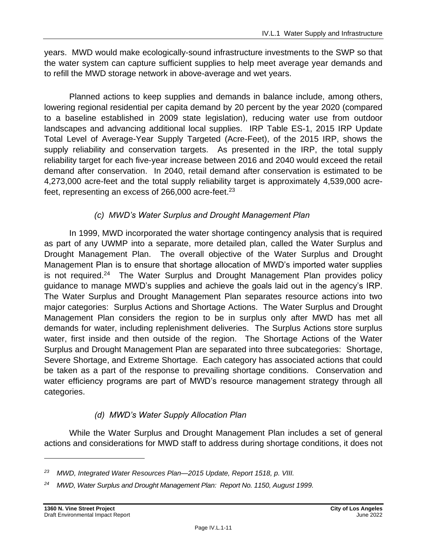years. MWD would make ecologically-sound infrastructure investments to the SWP so that the water system can capture sufficient supplies to help meet average year demands and to refill the MWD storage network in above-average and wet years.

Planned actions to keep supplies and demands in balance include, among others, lowering regional residential per capita demand by 20 percent by the year 2020 (compared to a baseline established in 2009 state legislation), reducing water use from outdoor landscapes and advancing additional local supplies. IRP Table ES-1, 2015 IRP Update Total Level of Average-Year Supply Targeted (Acre-Feet), of the 2015 IRP, shows the supply reliability and conservation targets. As presented in the IRP, the total supply reliability target for each five-year increase between 2016 and 2040 would exceed the retail demand after conservation. In 2040, retail demand after conservation is estimated to be 4,273,000 acre-feet and the total supply reliability target is approximately 4,539,000 acrefeet, representing an excess of 266,000 acre-feet.<sup>23</sup>

# *(c) MWD's Water Surplus and Drought Management Plan*

In 1999, MWD incorporated the water shortage contingency analysis that is required as part of any UWMP into a separate, more detailed plan, called the Water Surplus and Drought Management Plan. The overall objective of the Water Surplus and Drought Management Plan is to ensure that shortage allocation of MWD's imported water supplies is not required.<sup>24</sup> The Water Surplus and Drought Management Plan provides policy guidance to manage MWD's supplies and achieve the goals laid out in the agency's IRP. The Water Surplus and Drought Management Plan separates resource actions into two major categories: Surplus Actions and Shortage Actions. The Water Surplus and Drought Management Plan considers the region to be in surplus only after MWD has met all demands for water, including replenishment deliveries. The Surplus Actions store surplus water, first inside and then outside of the region. The Shortage Actions of the Water Surplus and Drought Management Plan are separated into three subcategories: Shortage, Severe Shortage, and Extreme Shortage. Each category has associated actions that could be taken as a part of the response to prevailing shortage conditions. Conservation and water efficiency programs are part of MWD's resource management strategy through all categories.

# *(d) MWD's Water Supply Allocation Plan*

While the Water Surplus and Drought Management Plan includes a set of general actions and considerations for MWD staff to address during shortage conditions, it does not

*<sup>23</sup> MWD, Integrated Water Resources Plan—2015 Update, Report 1518, p. VIII.*

*<sup>24</sup> MWD, Water Surplus and Drought Management Plan: Report No. 1150, August 1999.*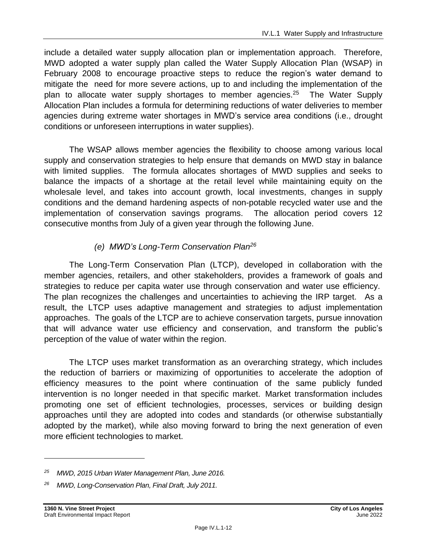include a detailed water supply allocation plan or implementation approach. Therefore, MWD adopted a water supply plan called the Water Supply Allocation Plan (WSAP) in February 2008 to encourage proactive steps to reduce the region's water demand to mitigate the need for more severe actions, up to and including the implementation of the plan to allocate water supply shortages to member agencies.<sup>25</sup> The Water Supply Allocation Plan includes a formula for determining reductions of water deliveries to member agencies during extreme water shortages in MWD's service area conditions (i.e., drought conditions or unforeseen interruptions in water supplies).

The WSAP allows member agencies the flexibility to choose among various local supply and conservation strategies to help ensure that demands on MWD stay in balance with limited supplies. The formula allocates shortages of MWD supplies and seeks to balance the impacts of a shortage at the retail level while maintaining equity on the wholesale level, and takes into account growth, local investments, changes in supply conditions and the demand hardening aspects of non-potable recycled water use and the implementation of conservation savings programs. The allocation period covers 12 consecutive months from July of a given year through the following June.

# *(e) MWD's Long-Term Conservation Plan<sup>26</sup>*

The Long‐Term Conservation Plan (LTCP), developed in collaboration with the member agencies, retailers, and other stakeholders, provides a framework of goals and strategies to reduce per capita water use through conservation and water use efficiency. The plan recognizes the challenges and uncertainties to achieving the IRP target. As a result, the LTCP uses adaptive management and strategies to adjust implementation approaches. The goals of the LTCP are to achieve conservation targets, pursue innovation that will advance water use efficiency and conservation, and transform the public's perception of the value of water within the region.

The LTCP uses market transformation as an overarching strategy, which includes the reduction of barriers or maximizing of opportunities to accelerate the adoption of efficiency measures to the point where continuation of the same publicly funded intervention is no longer needed in that specific market. Market transformation includes promoting one set of efficient technologies, processes, services or building design approaches until they are adopted into codes and standards (or otherwise substantially adopted by the market), while also moving forward to bring the next generation of even more efficient technologies to market.

*<sup>25</sup> MWD, 2015 Urban Water Management Plan, June 2016.*

*<sup>26</sup> MWD, Long-Conservation Plan, Final Draft, July 2011.*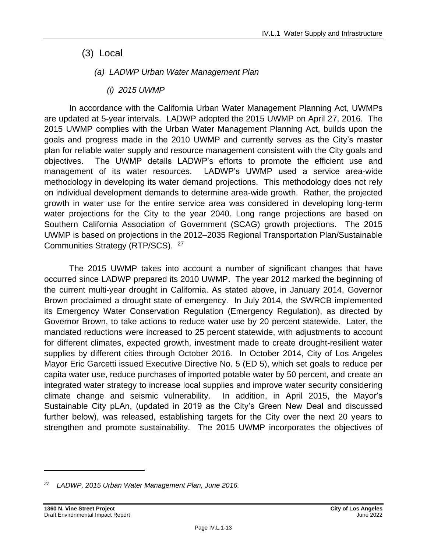- (3) Local
	- *(a) LADWP Urban Water Management Plan*
		- *(i) 2015 UWMP*

In accordance with the California Urban Water Management Planning Act, UWMPs are updated at 5-year intervals. LADWP adopted the 2015 UWMP on April 27, 2016. The 2015 UWMP complies with the Urban Water Management Planning Act, builds upon the goals and progress made in the 2010 UWMP and currently serves as the City's master plan for reliable water supply and resource management consistent with the City goals and objectives. The UWMP details LADWP's efforts to promote the efficient use and management of its water resources. LADWP's UWMP used a service area-wide methodology in developing its water demand projections. This methodology does not rely on individual development demands to determine area-wide growth. Rather, the projected growth in water use for the entire service area was considered in developing long-term water projections for the City to the year 2040. Long range projections are based on Southern California Association of Government (SCAG) growth projections. The 2015 UWMP is based on projections in the 2012–2035 Regional Transportation Plan/Sustainable Communities Strategy (RTP/SCS). <sup>27</sup>

The 2015 UWMP takes into account a number of significant changes that have occurred since LADWP prepared its 2010 UWMP. The year 2012 marked the beginning of the current multi-year drought in California. As stated above, in January 2014, Governor Brown proclaimed a drought state of emergency. In July 2014, the SWRCB implemented its Emergency Water Conservation Regulation (Emergency Regulation), as directed by Governor Brown, to take actions to reduce water use by 20 percent statewide. Later, the mandated reductions were increased to 25 percent statewide, with adjustments to account for different climates, expected growth, investment made to create drought-resilient water supplies by different cities through October 2016. In October 2014, City of Los Angeles Mayor Eric Garcetti issued Executive Directive No. 5 (ED 5), which set goals to reduce per capita water use, reduce purchases of imported potable water by 50 percent, and create an integrated water strategy to increase local supplies and improve water security considering climate change and seismic vulnerability. In addition, in April 2015, the Mayor's Sustainable City pLAn, (updated in 2019 as the City's Green New Deal and discussed further below), was released, establishing targets for the City over the next 20 years to strengthen and promote sustainability. The 2015 UWMP incorporates the objectives of

*<sup>27</sup> LADWP, 2015 Urban Water Management Plan, June 2016.*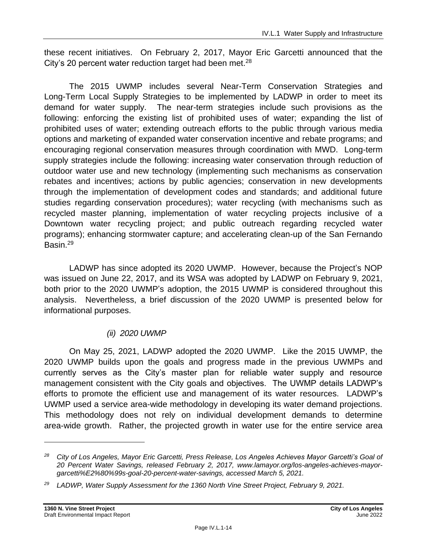these recent initiatives. On February 2, 2017, Mayor Eric Garcetti announced that the City's 20 percent water reduction target had been met.<sup>28</sup>

The 2015 UWMP includes several Near-Term Conservation Strategies and Long-Term Local Supply Strategies to be implemented by LADWP in order to meet its demand for water supply. The near-term strategies include such provisions as the following: enforcing the existing list of prohibited uses of water; expanding the list of prohibited uses of water; extending outreach efforts to the public through various media options and marketing of expanded water conservation incentive and rebate programs; and encouraging regional conservation measures through coordination with MWD. Long-term supply strategies include the following: increasing water conservation through reduction of outdoor water use and new technology (implementing such mechanisms as conservation rebates and incentives; actions by public agencies; conservation in new developments through the implementation of development codes and standards; and additional future studies regarding conservation procedures); water recycling (with mechanisms such as recycled master planning, implementation of water recycling projects inclusive of a Downtown water recycling project; and public outreach regarding recycled water programs); enhancing stormwater capture; and accelerating clean-up of the San Fernando Basin.<sup>29</sup>

LADWP has since adopted its 2020 UWMP. However, because the Project's NOP was issued on June 22, 2017, and its WSA was adopted by LADWP on February 9, 2021, both prior to the 2020 UWMP's adoption, the 2015 UWMP is considered throughout this analysis. Nevertheless, a brief discussion of the 2020 UWMP is presented below for informational purposes.

# *(ii) 2020 UWMP*

On May 25, 2021, LADWP adopted the 2020 UWMP. Like the 2015 UWMP, the 2020 UWMP builds upon the goals and progress made in the previous UWMPs and currently serves as the City's master plan for reliable water supply and resource management consistent with the City goals and objectives. The UWMP details LADWP's efforts to promote the efficient use and management of its water resources. LADWP's UWMP used a service area-wide methodology in developing its water demand projections. This methodology does not rely on individual development demands to determine area-wide growth. Rather, the projected growth in water use for the entire service area

*<sup>28</sup> City of Los Angeles, Mayor Eric Garcetti, Press Release, Los Angeles Achieves Mayor Garcetti's Goal of 20 Percent Water Savings, released February 2, 2017, www.lamayor.org/los-angeles-achieves-mayorgarcetti%E2%80%99s-goal-20-percent-water-savings, accessed March 5, 2021.*

*<sup>29</sup> LADWP, Water Supply Assessment for the 1360 North Vine Street Project, February 9, 2021.*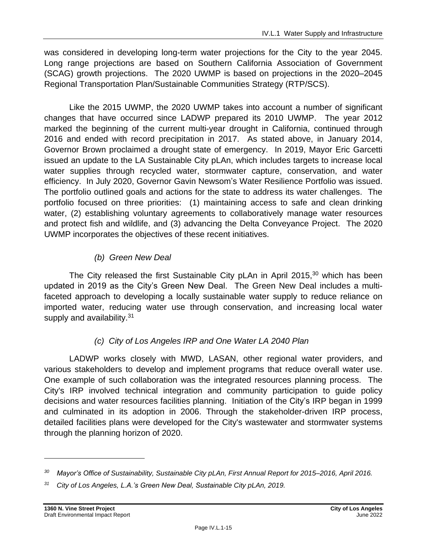was considered in developing long-term water projections for the City to the year 2045. Long range projections are based on Southern California Association of Government (SCAG) growth projections. The 2020 UWMP is based on projections in the 2020–2045 Regional Transportation Plan/Sustainable Communities Strategy (RTP/SCS).

Like the 2015 UWMP, the 2020 UWMP takes into account a number of significant changes that have occurred since LADWP prepared its 2010 UWMP. The year 2012 marked the beginning of the current multi-year drought in California, continued through 2016 and ended with record precipitation in 2017. As stated above, in January 2014, Governor Brown proclaimed a drought state of emergency. In 2019, Mayor Eric Garcetti issued an update to the LA Sustainable City pLAn, which includes targets to increase local water supplies through recycled water, stormwater capture, conservation, and water efficiency. In July 2020, Governor Gavin Newsom's Water Resilience Portfolio was issued. The portfolio outlined goals and actions for the state to address its water challenges. The portfolio focused on three priorities: (1) maintaining access to safe and clean drinking water, (2) establishing voluntary agreements to collaboratively manage water resources and protect fish and wildlife, and (3) advancing the Delta Conveyance Project. The 2020 UWMP incorporates the objectives of these recent initiatives.

# *(b) Green New Deal*

The City released the first Sustainable City pLAn in April 2015, $30$  which has been updated in 2019 as the City's Green New Deal. The Green New Deal includes a multifaceted approach to developing a locally sustainable water supply to reduce reliance on imported water, reducing water use through conservation, and increasing local water supply and availability.<sup>31</sup>

# *(c) City of Los Angeles IRP and One Water LA 2040 Plan*

LADWP works closely with MWD, LASAN, other regional water providers, and various stakeholders to develop and implement programs that reduce overall water use. One example of such collaboration was the integrated resources planning process. The City's IRP involved technical integration and community participation to guide policy decisions and water resources facilities planning. Initiation of the City's IRP began in 1999 and culminated in its adoption in 2006. Through the stakeholder-driven IRP process, detailed facilities plans were developed for the City's wastewater and stormwater systems through the planning horizon of 2020.

*<sup>30</sup> Mayor's Office of Sustainability, Sustainable City pLAn, First Annual Report for 2015–2016, April 2016.*

*<sup>31</sup> City of Los Angeles, L.A.'s Green New Deal, Sustainable City pLAn, 2019.*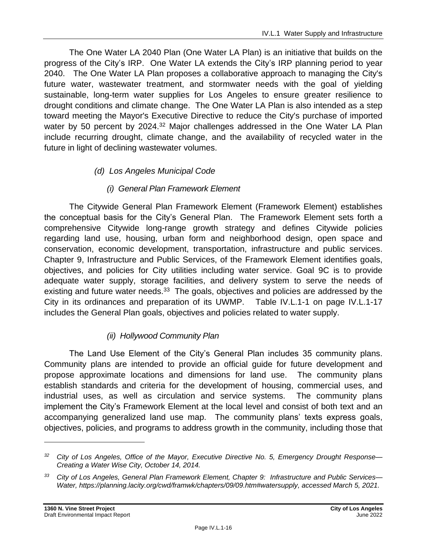The One Water LA 2040 Plan (One Water LA Plan) is an initiative that builds on the progress of the City's IRP. One Water LA extends the City's IRP planning period to year 2040. The One Water LA Plan proposes a collaborative approach to managing the City's future water, wastewater treatment, and stormwater needs with the goal of yielding sustainable, long-term water supplies for Los Angeles to ensure greater resilience to drought conditions and climate change. The One Water LA Plan is also intended as a step toward meeting the Mayor's Executive Directive to reduce the City's purchase of imported water by 50 percent by 2024.<sup>32</sup> Major challenges addressed in the One Water LA Plan include recurring drought, climate change, and the availability of recycled water in the future in light of declining wastewater volumes.

# *(d) Los Angeles Municipal Code*

# *(i) General Plan Framework Element*

The Citywide General Plan Framework Element (Framework Element) establishes the conceptual basis for the City's General Plan. The Framework Element sets forth a comprehensive Citywide long-range growth strategy and defines Citywide policies regarding land use, housing, urban form and neighborhood design, open space and conservation, economic development, transportation, infrastructure and public services. Chapter 9, Infrastructure and Public Services, of the Framework Element identifies goals, objectives, and policies for City utilities including water service. Goal 9C is to provide adequate water supply, storage facilities, and delivery system to serve the needs of existing and future water needs.<sup>33</sup> The goals, objectives and policies are addressed by the City in its ordinances and preparation of its UWMP. Table IV.L.1-1 on page IV.L.1-17 includes the General Plan goals, objectives and policies related to water supply.

# *(ii) Hollywood Community Plan*

The Land Use Element of the City's General Plan includes 35 community plans. Community plans are intended to provide an official guide for future development and propose approximate locations and dimensions for land use. The community plans establish standards and criteria for the development of housing, commercial uses, and industrial uses, as well as circulation and service systems. The community plans implement the City's Framework Element at the local level and consist of both text and an accompanying generalized land use map. The community plans' texts express goals, objectives, policies, and programs to address growth in the community, including those that

*<sup>32</sup> City of Los Angeles, Office of the Mayor, Executive Directive No. 5, Emergency Drought Response— Creating a Water Wise City, October 14, 2014.*

*<sup>33</sup> City of Los Angeles, General Plan Framework Element, Chapter 9: Infrastructure and Public Services— Water, https://planning.lacity.org/cwd/framwk/chapters/09/09.htm#watersupply, accessed March 5, 2021.*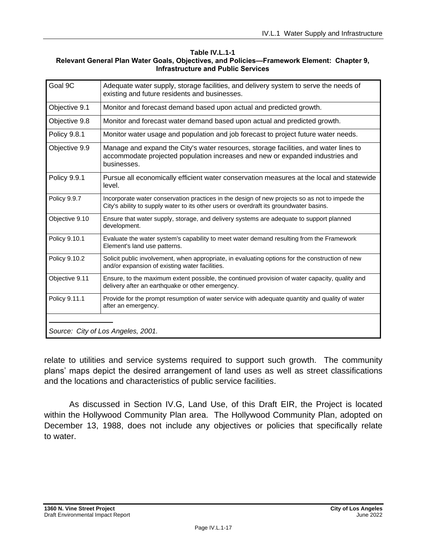#### **Table IV.L.1-1 Relevant General Plan Water Goals, Objectives, and Policies—Framework Element: Chapter 9, Infrastructure and Public Services**

| Goal 9C             | Adequate water supply, storage facilities, and delivery system to serve the needs of<br>existing and future residents and businesses.                                                    |
|---------------------|------------------------------------------------------------------------------------------------------------------------------------------------------------------------------------------|
| Objective 9.1       | Monitor and forecast demand based upon actual and predicted growth.                                                                                                                      |
| Objective 9.8       | Monitor and forecast water demand based upon actual and predicted growth.                                                                                                                |
| <b>Policy 9.8.1</b> | Monitor water usage and population and job forecast to project future water needs.                                                                                                       |
| Objective 9.9       | Manage and expand the City's water resources, storage facilities, and water lines to<br>accommodate projected population increases and new or expanded industries and<br>businesses.     |
| <b>Policy 9.9.1</b> | Pursue all economically efficient water conservation measures at the local and statewide<br>level.                                                                                       |
| Policy 9.9.7        | Incorporate water conservation practices in the design of new projects so as not to impede the<br>City's ability to supply water to its other users or overdraft its groundwater basins. |
| Objective 9.10      | Ensure that water supply, storage, and delivery systems are adequate to support planned<br>development.                                                                                  |
| Policy 9.10.1       | Evaluate the water system's capability to meet water demand resulting from the Framework<br>Element's land use patterns.                                                                 |
| Policy 9.10.2       | Solicit public involvement, when appropriate, in evaluating options for the construction of new<br>and/or expansion of existing water facilities.                                        |
| Objective 9.11      | Ensure, to the maximum extent possible, the continued provision of water capacity, quality and<br>delivery after an earthquake or other emergency.                                       |
| Policy 9.11.1       | Provide for the prompt resumption of water service with adequate quantity and quality of water<br>after an emergency.                                                                    |
|                     | Source: City of Los Angeles, 2001.                                                                                                                                                       |

relate to utilities and service systems required to support such growth. The community plans' maps depict the desired arrangement of land uses as well as street classifications and the locations and characteristics of public service facilities.

As discussed in Section IV.G, Land Use, of this Draft EIR, the Project is located within the Hollywood Community Plan area. The Hollywood Community Plan, adopted on December 13, 1988, does not include any objectives or policies that specifically relate to water.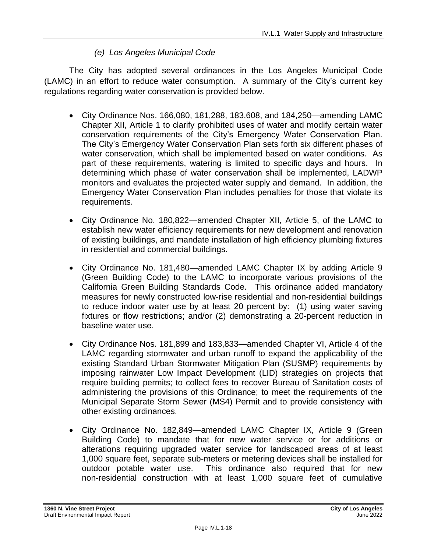### *(e) Los Angeles Municipal Code*

The City has adopted several ordinances in the Los Angeles Municipal Code (LAMC) in an effort to reduce water consumption. A summary of the City's current key regulations regarding water conservation is provided below.

- City Ordinance Nos. 166,080, 181,288, 183,608, and 184,250—amending LAMC Chapter XII, Article 1 to clarify prohibited uses of water and modify certain water conservation requirements of the City's Emergency Water Conservation Plan. The City's Emergency Water Conservation Plan sets forth six different phases of water conservation, which shall be implemented based on water conditions. As part of these requirements, watering is limited to specific days and hours. In determining which phase of water conservation shall be implemented, LADWP monitors and evaluates the projected water supply and demand. In addition, the Emergency Water Conservation Plan includes penalties for those that violate its requirements.
- City Ordinance No. 180,822—amended Chapter XII, Article 5, of the LAMC to establish new water efficiency requirements for new development and renovation of existing buildings, and mandate installation of high efficiency plumbing fixtures in residential and commercial buildings.
- City Ordinance No. 181,480—amended LAMC Chapter IX by adding Article 9 (Green Building Code) to the LAMC to incorporate various provisions of the California Green Building Standards Code. This ordinance added mandatory measures for newly constructed low-rise residential and non-residential buildings to reduce indoor water use by at least 20 percent by: (1) using water saving fixtures or flow restrictions; and/or (2) demonstrating a 20-percent reduction in baseline water use.
- City Ordinance Nos. 181,899 and 183,833—amended Chapter VI, Article 4 of the LAMC regarding stormwater and urban runoff to expand the applicability of the existing Standard Urban Stormwater Mitigation Plan (SUSMP) requirements by imposing rainwater Low Impact Development (LID) strategies on projects that require building permits; to collect fees to recover Bureau of Sanitation costs of administering the provisions of this Ordinance; to meet the requirements of the Municipal Separate Storm Sewer (MS4) Permit and to provide consistency with other existing ordinances.
- City Ordinance No. 182,849—amended LAMC Chapter IX, Article 9 (Green Building Code) to mandate that for new water service or for additions or alterations requiring upgraded water service for landscaped areas of at least 1,000 square feet, separate sub-meters or metering devices shall be installed for outdoor potable water use. This ordinance also required that for new non-residential construction with at least 1,000 square feet of cumulative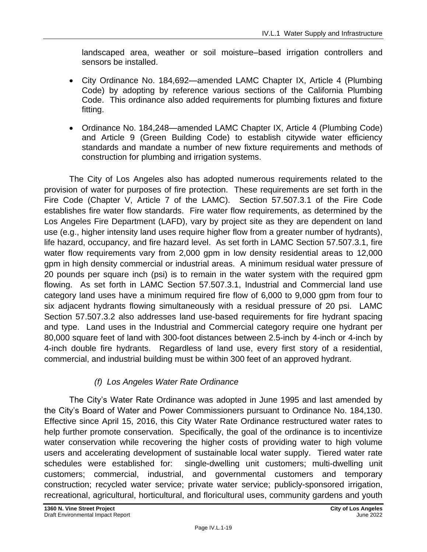landscaped area, weather or soil moisture–based irrigation controllers and sensors be installed.

- City Ordinance No. 184,692—amended LAMC Chapter IX, Article 4 (Plumbing Code) by adopting by reference various sections of the California Plumbing Code. This ordinance also added requirements for plumbing fixtures and fixture fitting.
- Ordinance No. 184,248—amended LAMC Chapter IX, Article 4 (Plumbing Code) and Article 9 (Green Building Code) to establish citywide water efficiency standards and mandate a number of new fixture requirements and methods of construction for plumbing and irrigation systems.

The City of Los Angeles also has adopted numerous requirements related to the provision of water for purposes of fire protection. These requirements are set forth in the Fire Code (Chapter V, Article 7 of the LAMC). Section 57.507.3.1 of the Fire Code establishes fire water flow standards. Fire water flow requirements, as determined by the Los Angeles Fire Department (LAFD), vary by project site as they are dependent on land use (e.g., higher intensity land uses require higher flow from a greater number of hydrants), life hazard, occupancy, and fire hazard level. As set forth in LAMC Section 57.507.3.1, fire water flow requirements vary from 2,000 gpm in low density residential areas to 12,000 gpm in high density commercial or industrial areas. A minimum residual water pressure of 20 pounds per square inch (psi) is to remain in the water system with the required gpm flowing. As set forth in LAMC Section 57.507.3.1, Industrial and Commercial land use category land uses have a minimum required fire flow of 6,000 to 9,000 gpm from four to six adjacent hydrants flowing simultaneously with a residual pressure of 20 psi. LAMC Section 57.507.3.2 also addresses land use-based requirements for fire hydrant spacing and type. Land uses in the Industrial and Commercial category require one hydrant per 80,000 square feet of land with 300-foot distances between 2.5-inch by 4-inch or 4-inch by 4-inch double fire hydrants. Regardless of land use, every first story of a residential, commercial, and industrial building must be within 300 feet of an approved hydrant.

### *(f) Los Angeles Water Rate Ordinance*

The City's Water Rate Ordinance was adopted in June 1995 and last amended by the City's Board of Water and Power Commissioners pursuant to Ordinance No. 184,130. Effective since April 15, 2016, this City Water Rate Ordinance restructured water rates to help further promote conservation. Specifically, the goal of the ordinance is to incentivize water conservation while recovering the higher costs of providing water to high volume users and accelerating development of sustainable local water supply. Tiered water rate schedules were established for: single-dwelling unit customers; multi-dwelling unit customers; commercial, industrial, and governmental customers and temporary construction; recycled water service; private water service; publicly-sponsored irrigation, recreational, agricultural, horticultural, and floricultural uses, community gardens and youth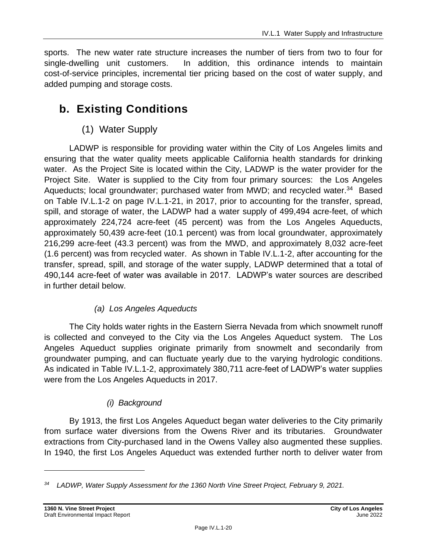sports. The new water rate structure increases the number of tiers from two to four for single-dwelling unit customers. In addition, this ordinance intends to maintain cost-of-service principles, incremental tier pricing based on the cost of water supply, and added pumping and storage costs.

# **b. Existing Conditions**

# (1) Water Supply

LADWP is responsible for providing water within the City of Los Angeles limits and ensuring that the water quality meets applicable California health standards for drinking water. As the Project Site is located within the City, LADWP is the water provider for the Project Site. Water is supplied to the City from four primary sources: the Los Angeles Aqueducts; local groundwater; purchased water from MWD; and recycled water.<sup>34</sup> Based on Table IV.L.1-2 on page IV.L.1-21, in 2017, prior to accounting for the transfer, spread, spill, and storage of water, the LADWP had a water supply of 499,494 acre-feet, of which approximately 224,724 acre-feet (45 percent) was from the Los Angeles Aqueducts, approximately 50,439 acre-feet (10.1 percent) was from local groundwater, approximately 216,299 acre-feet (43.3 percent) was from the MWD, and approximately 8,032 acre-feet (1.6 percent) was from recycled water. As shown in Table IV.L.1-2, after accounting for the transfer, spread, spill, and storage of the water supply, LADWP determined that a total of 490,144 acre-feet of water was available in 2017. LADWP's water sources are described in further detail below.

# *(a) Los Angeles Aqueducts*

The City holds water rights in the Eastern Sierra Nevada from which snowmelt runoff is collected and conveyed to the City via the Los Angeles Aqueduct system. The Los Angeles Aqueduct supplies originate primarily from snowmelt and secondarily from groundwater pumping, and can fluctuate yearly due to the varying hydrologic conditions. As indicated in Table IV.L.1-2, approximately 380,711 acre-feet of LADWP's water supplies were from the Los Angeles Aqueducts in 2017.

# *(i) Background*

By 1913, the first Los Angeles Aqueduct began water deliveries to the City primarily from surface water diversions from the Owens River and its tributaries. Groundwater extractions from City-purchased land in the Owens Valley also augmented these supplies. In 1940, the first Los Angeles Aqueduct was extended further north to deliver water from

*<sup>34</sup> LADWP, Water Supply Assessment for the 1360 North Vine Street Project, February 9, 2021.*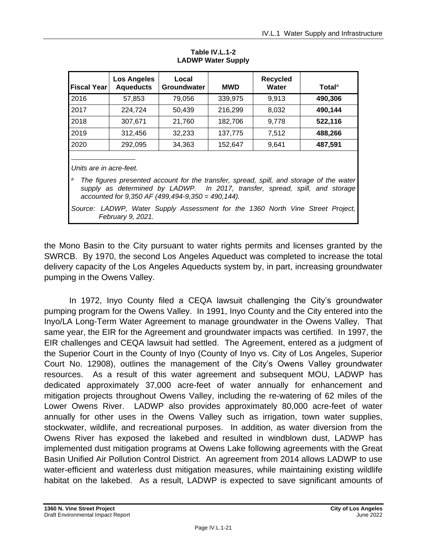| <b>Fiscal Year</b>                                                                                                                                                                                                                                             | <b>Los Angeles</b><br><b>Aqueducts</b> | Local<br>Groundwater | <b>MWD</b> | <b>Recycled</b><br>Water | Totalª  |
|----------------------------------------------------------------------------------------------------------------------------------------------------------------------------------------------------------------------------------------------------------------|----------------------------------------|----------------------|------------|--------------------------|---------|
| 2016                                                                                                                                                                                                                                                           | 57,853                                 | 79,056               | 339,975    | 9,913                    | 490,306 |
| 2017                                                                                                                                                                                                                                                           | 224,724                                | 50,439               | 216,299    | 8,032                    | 490,144 |
| 2018                                                                                                                                                                                                                                                           | 307,671                                | 21,760               | 182,706    | 9,778                    | 522,116 |
| 2019                                                                                                                                                                                                                                                           | 312,456                                | 32,233               | 137,775    | 7,512                    | 488,266 |
| 2020                                                                                                                                                                                                                                                           | 292,095                                | 34,363               | 152,647    | 9,641                    | 487,591 |
| Units are in acre-feet.<br>а<br>The figures presented account for the transfer, spread, spill, and storage of the water<br>supply as determined by LADWP. In 2017, transfer, spread, spill, and storage<br>accounted for $9,350$ AF (499,494-9,350 = 490,144). |                                        |                      |            |                          |         |
| Source: LADWP, Water Supply Assessment for the 1360 North Vine Street Project,<br>February 9, 2021.                                                                                                                                                            |                                        |                      |            |                          |         |

**Table IV.L.1-2 LADWP Water Supply**

the Mono Basin to the City pursuant to water rights permits and licenses granted by the SWRCB. By 1970, the second Los Angeles Aqueduct was completed to increase the total delivery capacity of the Los Angeles Aqueducts system by, in part, increasing groundwater pumping in the Owens Valley.

In 1972, Inyo County filed a CEQA lawsuit challenging the City's groundwater pumping program for the Owens Valley. In 1991, Inyo County and the City entered into the Inyo/LA Long-Term Water Agreement to manage groundwater in the Owens Valley. That same year, the EIR for the Agreement and groundwater impacts was certified. In 1997, the EIR challenges and CEQA lawsuit had settled. The Agreement, entered as a judgment of the Superior Court in the County of Inyo (County of Inyo vs. City of Los Angeles, Superior Court No. 12908), outlines the management of the City's Owens Valley groundwater resources. As a result of this water agreement and subsequent MOU, LADWP has dedicated approximately 37,000 acre-feet of water annually for enhancement and mitigation projects throughout Owens Valley, including the re-watering of 62 miles of the Lower Owens River. LADWP also provides approximately 80,000 acre-feet of water annually for other uses in the Owens Valley such as irrigation, town water supplies, stockwater, wildlife, and recreational purposes. In addition, as water diversion from the Owens River has exposed the lakebed and resulted in windblown dust, LADWP has implemented dust mitigation programs at Owens Lake following agreements with the Great Basin Unified Air Pollution Control District. An agreement from 2014 allows LADWP to use water-efficient and waterless dust mitigation measures, while maintaining existing wildlife habitat on the lakebed. As a result, LADWP is expected to save significant amounts of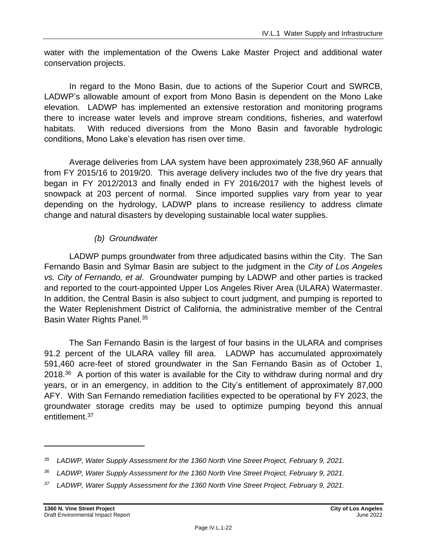water with the implementation of the Owens Lake Master Project and additional water conservation projects.

In regard to the Mono Basin, due to actions of the Superior Court and SWRCB, LADWP's allowable amount of export from Mono Basin is dependent on the Mono Lake elevation. LADWP has implemented an extensive restoration and monitoring programs there to increase water levels and improve stream conditions, fisheries, and waterfowl habitats. With reduced diversions from the Mono Basin and favorable hydrologic conditions, Mono Lake's elevation has risen over time.

Average deliveries from LAA system have been approximately 238,960 AF annually from FY 2015/16 to 2019/20. This average delivery includes two of the five dry years that began in FY 2012/2013 and finally ended in FY 2016/2017 with the highest levels of snowpack at 203 percent of normal. Since imported supplies vary from year to year depending on the hydrology, LADWP plans to increase resiliency to address climate change and natural disasters by developing sustainable local water supplies.

### *(b) Groundwater*

LADWP pumps groundwater from three adjudicated basins within the City. The San Fernando Basin and Sylmar Basin are subject to the judgment in the *City of Los Angeles vs. City of Fernando, et al*. Groundwater pumping by LADWP and other parties is tracked and reported to the court-appointed Upper Los Angeles River Area (ULARA) Watermaster. In addition, the Central Basin is also subject to court judgment, and pumping is reported to the Water Replenishment District of California, the administrative member of the Central Basin Water Rights Panel. 35

The San Fernando Basin is the largest of four basins in the ULARA and comprises 91.2 percent of the ULARA valley fill area. LADWP has accumulated approximately 591,460 acre-feet of stored groundwater in the San Fernando Basin as of October 1, 2018. $36$  A portion of this water is available for the City to withdraw during normal and dry years, or in an emergency, in addition to the City's entitlement of approximately 87,000 AFY. With San Fernando remediation facilities expected to be operational by FY 2023, the groundwater storage credits may be used to optimize pumping beyond this annual entitlement.<sup>37</sup>

*<sup>35</sup> LADWP, Water Supply Assessment for the 1360 North Vine Street Project, February 9, 2021.*

*<sup>36</sup> LADWP, Water Supply Assessment for the 1360 North Vine Street Project, February 9, 2021.*

*<sup>37</sup> LADWP, Water Supply Assessment for the 1360 North Vine Street Project, February 9, 2021.*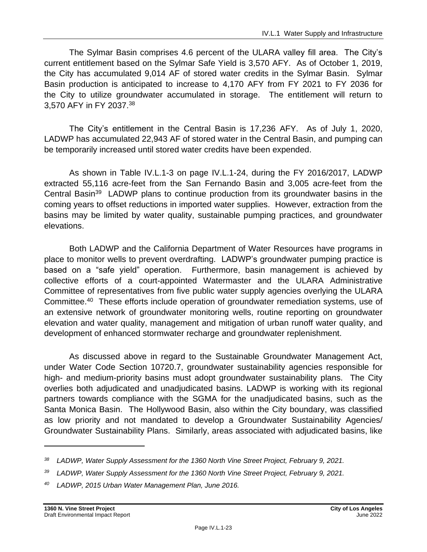The Sylmar Basin comprises 4.6 percent of the ULARA valley fill area. The City's current entitlement based on the Sylmar Safe Yield is 3,570 AFY. As of October 1, 2019, the City has accumulated 9,014 AF of stored water credits in the Sylmar Basin. Sylmar Basin production is anticipated to increase to 4,170 AFY from FY 2021 to FY 2036 for the City to utilize groundwater accumulated in storage. The entitlement will return to 3,570 AFY in FY 2037. 38

The City's entitlement in the Central Basin is 17,236 AFY. As of July 1, 2020, LADWP has accumulated 22,943 AF of stored water in the Central Basin, and pumping can be temporarily increased until stored water credits have been expended.

As shown in Table IV.L.1-3 on page [IV.L.1-24,](#page-23-0) during the FY 2016/2017, LADWP extracted 55,116 acre-feet from the San Fernando Basin and 3,005 acre-feet from the Central Basin<sup>39</sup> LADWP plans to continue production from its groundwater basins in the coming years to offset reductions in imported water supplies. However, extraction from the basins may be limited by water quality, sustainable pumping practices, and groundwater elevations.

Both LADWP and the California Department of Water Resources have programs in place to monitor wells to prevent overdrafting. LADWP's groundwater pumping practice is based on a "safe yield" operation. Furthermore, basin management is achieved by collective efforts of a court-appointed Watermaster and the ULARA Administrative Committee of representatives from five public water supply agencies overlying the ULARA Committee.<sup>40</sup> These efforts include operation of groundwater remediation systems, use of an extensive network of groundwater monitoring wells, routine reporting on groundwater elevation and water quality, management and mitigation of urban runoff water quality, and development of enhanced stormwater recharge and groundwater replenishment.

As discussed above in regard to the Sustainable Groundwater Management Act, under Water Code Section 10720.7, groundwater sustainability agencies responsible for high- and medium-priority basins must adopt groundwater sustainability plans. The City overlies both adjudicated and unadjudicated basins. LADWP is working with its regional partners towards compliance with the SGMA for the unadjudicated basins, such as the Santa Monica Basin. The Hollywood Basin, also within the City boundary, was classified as low priority and not mandated to develop a Groundwater Sustainability Agencies/ Groundwater Sustainability Plans. Similarly, areas associated with adjudicated basins, like

*<sup>38</sup> LADWP, Water Supply Assessment for the 1360 North Vine Street Project, February 9, 2021.*

*<sup>39</sup> LADWP, Water Supply Assessment for the 1360 North Vine Street Project, February 9, 2021.*

*<sup>40</sup> LADWP, 2015 Urban Water Management Plan, June 2016.*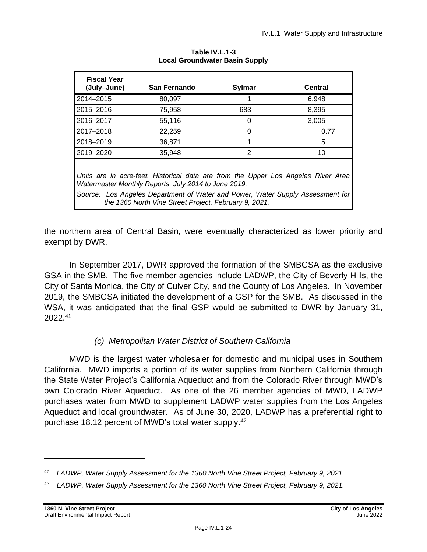<span id="page-23-0"></span>

| <b>Fiscal Year</b><br>(July-June)                                                                                                                                                                                                                                                    | San Fernando | <b>Sylmar</b> | Central |  |  |
|--------------------------------------------------------------------------------------------------------------------------------------------------------------------------------------------------------------------------------------------------------------------------------------|--------------|---------------|---------|--|--|
| 2014-2015                                                                                                                                                                                                                                                                            | 80,097       | 1             | 6.948   |  |  |
| 2015-2016                                                                                                                                                                                                                                                                            | 75,958       | 683           | 8,395   |  |  |
| 2016-2017                                                                                                                                                                                                                                                                            | 55,116       | 0             | 3,005   |  |  |
| 2017-2018                                                                                                                                                                                                                                                                            | 22,259       | $\Omega$      | 0.77    |  |  |
| 2018-2019                                                                                                                                                                                                                                                                            | 36,871       | 1             | 5       |  |  |
| 2019-2020                                                                                                                                                                                                                                                                            | 35,948       | 2             | 10      |  |  |
| Units are in acre-feet. Historical data are from the Upper Los Angeles River Area<br>Watermaster Monthly Reports, July 2014 to June 2019.<br>Source: Los Angeles Department of Water and Power, Water Supply Assessment for<br>the 1360 North Vine Street Project, February 9, 2021. |              |               |         |  |  |

**Table IV.L.1-3 Local Groundwater Basin Supply**

the northern area of Central Basin, were eventually characterized as lower priority and exempt by DWR.

In September 2017, DWR approved the formation of the SMBGSA as the exclusive GSA in the SMB. The five member agencies include LADWP, the City of Beverly Hills, the City of Santa Monica, the City of Culver City, and the County of Los Angeles. In November 2019, the SMBGSA initiated the development of a GSP for the SMB. As discussed in the WSA, it was anticipated that the final GSP would be submitted to DWR by January 31, 2022.<sup>41</sup>

# *(c) Metropolitan Water District of Southern California*

MWD is the largest water wholesaler for domestic and municipal uses in Southern California. MWD imports a portion of its water supplies from Northern California through the State Water Project's California Aqueduct and from the Colorado River through MWD's own Colorado River Aqueduct. As one of the 26 member agencies of MWD, LADWP purchases water from MWD to supplement LADWP water supplies from the Los Angeles Aqueduct and local groundwater. As of June 30, 2020, LADWP has a preferential right to purchase 18.12 percent of MWD's total water supply.<sup>42</sup>

*<sup>41</sup> LADWP, Water Supply Assessment for the 1360 North Vine Street Project, February 9, 2021.*

*<sup>42</sup> LADWP, Water Supply Assessment for the 1360 North Vine Street Project, February 9, 2021.*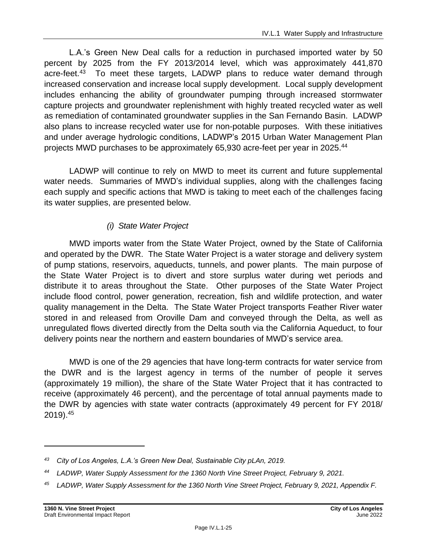L.A.'s Green New Deal calls for a reduction in purchased imported water by 50 percent by 2025 from the FY 2013/2014 level, which was approximately 441,870 acre-feet.<sup>43</sup> To meet these targets, LADWP plans to reduce water demand through increased conservation and increase local supply development. Local supply development includes enhancing the ability of groundwater pumping through increased stormwater capture projects and groundwater replenishment with highly treated recycled water as well as remediation of contaminated groundwater supplies in the San Fernando Basin. LADWP also plans to increase recycled water use for non-potable purposes. With these initiatives and under average hydrologic conditions, LADWP's 2015 Urban Water Management Plan projects MWD purchases to be approximately 65,930 acre-feet per year in 2025.<sup>44</sup>

LADWP will continue to rely on MWD to meet its current and future supplemental water needs. Summaries of MWD's individual supplies, along with the challenges facing each supply and specific actions that MWD is taking to meet each of the challenges facing its water supplies, are presented below.

# *(i) State Water Project*

MWD imports water from the State Water Project, owned by the State of California and operated by the DWR. The State Water Project is a water storage and delivery system of pump stations, reservoirs, aqueducts, tunnels, and power plants. The main purpose of the State Water Project is to divert and store surplus water during wet periods and distribute it to areas throughout the State. Other purposes of the State Water Project include flood control, power generation, recreation, fish and wildlife protection, and water quality management in the Delta. The State Water Project transports Feather River water stored in and released from Oroville Dam and conveyed through the Delta, as well as unregulated flows diverted directly from the Delta south via the California Aqueduct, to four delivery points near the northern and eastern boundaries of MWD's service area.

MWD is one of the 29 agencies that have long-term contracts for water service from the DWR and is the largest agency in terms of the number of people it serves (approximately 19 million), the share of the State Water Project that it has contracted to receive (approximately 46 percent), and the percentage of total annual payments made to the DWR by agencies with state water contracts (approximately 49 percent for FY 2018/ 2019).<sup>45</sup>

*<sup>43</sup> City of Los Angeles, L.A.'s Green New Deal, Sustainable City pLAn, 2019.*

*<sup>44</sup> LADWP, Water Supply Assessment for the 1360 North Vine Street Project, February 9, 2021.*

*<sup>45</sup> LADWP, Water Supply Assessment for the 1360 North Vine Street Project, February 9, 2021, Appendix F.*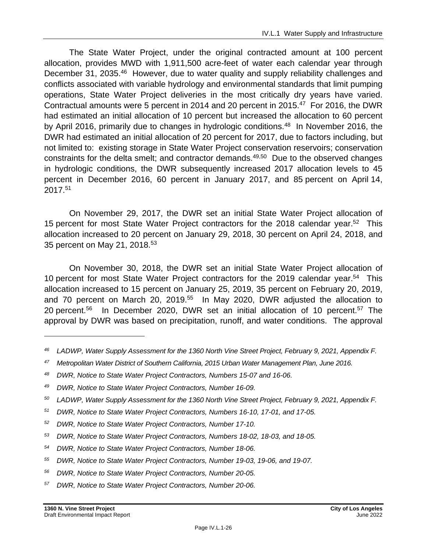The State Water Project, under the original contracted amount at 100 percent allocation, provides MWD with 1,911,500 acre-feet of water each calendar year through December 31, 2035.<sup>46</sup> However, due to water quality and supply reliability challenges and conflicts associated with variable hydrology and environmental standards that limit pumping operations, State Water Project deliveries in the most critically dry years have varied. Contractual amounts were 5 percent in 2014 and 20 percent in 2015.<sup>47</sup> For 2016, the DWR had estimated an initial allocation of 10 percent but increased the allocation to 60 percent by April 2016, primarily due to changes in hydrologic conditions.<sup>48</sup> In November 2016, the DWR had estimated an initial allocation of 20 percent for 2017, due to factors including, but not limited to: existing storage in State Water Project conservation reservoirs; conservation constraints for the delta smelt; and contractor demands.<sup>49,50</sup> Due to the observed changes in hydrologic conditions, the DWR subsequently increased 2017 allocation levels to 45 percent in December 2016, 60 percent in January 2017, and 85 percent on April 14, 2017.<sup>51</sup>

On November 29, 2017, the DWR set an initial State Water Project allocation of 15 percent for most State Water Project contractors for the 2018 calendar year.<sup>52</sup> This allocation increased to 20 percent on January 29, 2018, 30 percent on April 24, 2018, and 35 percent on May 21, 2018.<sup>53</sup>

On November 30, 2018, the DWR set an initial State Water Project allocation of 10 percent for most State Water Project contractors for the 2019 calendar year.<sup>54</sup> This allocation increased to 15 percent on January 25, 2019, 35 percent on February 20, 2019, and 70 percent on March 20, 2019. 55 In May 2020, DWR adjusted the allocation to 20 percent. <sup>56</sup> In December 2020, DWR set an initial allocation of 10 percent. <sup>57</sup> The approval by DWR was based on precipitation, runoff, and water conditions. The approval

- *<sup>47</sup> Metropolitan Water District of Southern California, 2015 Urban Water Management Plan, June 2016.*
- *<sup>48</sup> DWR, Notice to State Water Project Contractors, Numbers 15-07 and 16-06.*

- *<sup>50</sup> LADWP, Water Supply Assessment for the 1360 North Vine Street Project, February 9, 2021, Appendix F.*
- *<sup>51</sup> DWR, Notice to State Water Project Contractors, Numbers 16-10, 17-01, and 17-05.*
- *<sup>52</sup> DWR, Notice to State Water Project Contractors, Number 17-10.*
- *<sup>53</sup> DWR, Notice to State Water Project Contractors, Numbers 18-02, 18-03, and 18-05.*
- *<sup>54</sup> DWR, Notice to State Water Project Contractors, Number 18-06.*
- *<sup>55</sup> DWR, Notice to State Water Project Contractors, Number 19-03, 19-06, and 19-07.*
- *<sup>56</sup> DWR, Notice to State Water Project Contractors, Number 20-05.*
- *<sup>57</sup> DWR, Notice to State Water Project Contractors, Number 20-06.*

*<sup>46</sup> LADWP, Water Supply Assessment for the 1360 North Vine Street Project, February 9, 2021, Appendix F.*

*<sup>49</sup> DWR, Notice to State Water Project Contractors, Number 16-09.*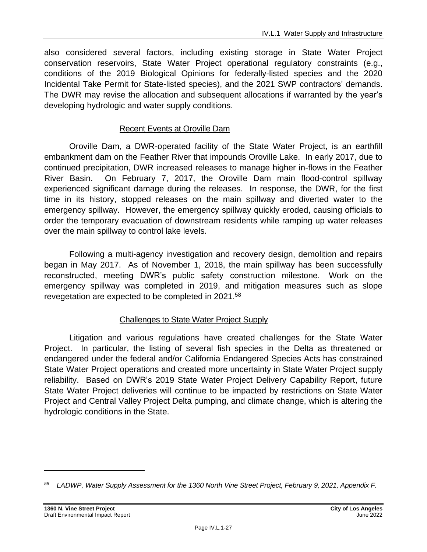also considered several factors, including existing storage in State Water Project conservation reservoirs, State Water Project operational regulatory constraints (e.g., conditions of the 2019 Biological Opinions for federally-listed species and the 2020 Incidental Take Permit for State-listed species), and the 2021 SWP contractors' demands. The DWR may revise the allocation and subsequent allocations if warranted by the year's developing hydrologic and water supply conditions.

### Recent Events at Oroville Dam

Oroville Dam, a DWR-operated facility of the State Water Project, is an earthfill embankment dam on the Feather River that impounds Oroville Lake. In early 2017, due to continued precipitation, DWR increased releases to manage higher in-flows in the Feather River Basin. On February 7, 2017, the Oroville Dam main flood-control spillway experienced significant damage during the releases. In response, the DWR, for the first time in its history, stopped releases on the main spillway and diverted water to the emergency spillway. However, the emergency spillway quickly eroded, causing officials to order the temporary evacuation of downstream residents while ramping up water releases over the main spillway to control lake levels.

Following a multi-agency investigation and recovery design, demolition and repairs began in May 2017. As of November 1, 2018, the main spillway has been successfully reconstructed, meeting DWR's public safety construction milestone. Work on the emergency spillway was completed in 2019, and mitigation measures such as slope revegetation are expected to be completed in 2021.<sup>58</sup>

# Challenges to State Water Project Supply

Litigation and various regulations have created challenges for the State Water Project. In particular, the listing of several fish species in the Delta as threatened or endangered under the federal and/or California Endangered Species Acts has constrained State Water Project operations and created more uncertainty in State Water Project supply reliability. Based on DWR's 2019 State Water Project Delivery Capability Report, future State Water Project deliveries will continue to be impacted by restrictions on State Water Project and Central Valley Project Delta pumping, and climate change, which is altering the hydrologic conditions in the State.

*<sup>58</sup> LADWP, Water Supply Assessment for the 1360 North Vine Street Project, February 9, 2021, Appendix F.*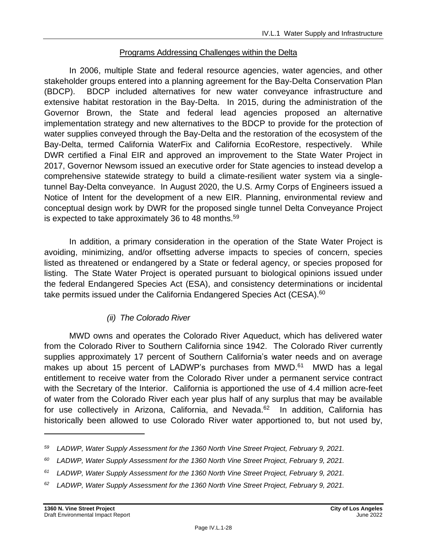### Programs Addressing Challenges within the Delta

In 2006, multiple State and federal resource agencies, water agencies, and other stakeholder groups entered into a planning agreement for the Bay-Delta Conservation Plan (BDCP). BDCP included alternatives for new water conveyance infrastructure and extensive habitat restoration in the Bay-Delta. In 2015, during the administration of the Governor Brown, the State and federal lead agencies proposed an alternative implementation strategy and new alternatives to the BDCP to provide for the protection of water supplies conveyed through the Bay-Delta and the restoration of the ecosystem of the Bay-Delta, termed California WaterFix and California EcoRestore, respectively. While DWR certified a Final EIR and approved an improvement to the State Water Project in 2017, Governor Newsom issued an executive order for State agencies to instead develop a comprehensive statewide strategy to build a climate-resilient water system via a singletunnel Bay-Delta conveyance. In August 2020, the U.S. Army Corps of Engineers issued a Notice of Intent for the development of a new EIR. Planning, environmental review and conceptual design work by DWR for the proposed single tunnel Delta Conveyance Project is expected to take approximately 36 to 48 months.<sup>59</sup>

In addition, a primary consideration in the operation of the State Water Project is avoiding, minimizing, and/or offsetting adverse impacts to species of concern, species listed as threatened or endangered by a State or federal agency, or species proposed for listing. The State Water Project is operated pursuant to biological opinions issued under the federal Endangered Species Act (ESA), and consistency determinations or incidental take permits issued under the California Endangered Species Act (CESA).<sup>60</sup>

### *(ii) The Colorado River*

MWD owns and operates the Colorado River Aqueduct, which has delivered water from the Colorado River to Southern California since 1942. The Colorado River currently supplies approximately 17 percent of Southern California's water needs and on average makes up about 15 percent of LADWP's purchases from MWD.<sup>61</sup> MWD has a legal entitlement to receive water from the Colorado River under a permanent service contract with the Secretary of the Interior. California is apportioned the use of 4.4 million acre-feet of water from the Colorado River each year plus half of any surplus that may be available for use collectively in Arizona, California, and Nevada.<sup>62</sup> In addition, California has historically been allowed to use Colorado River water apportioned to, but not used by,

*<sup>62</sup> LADWP, Water Supply Assessment for the 1360 North Vine Street Project, February 9, 2021.*

*<sup>59</sup> LADWP, Water Supply Assessment for the 1360 North Vine Street Project, February 9, 2021.*

*<sup>60</sup> LADWP, Water Supply Assessment for the 1360 North Vine Street Project, February 9, 2021.*

*<sup>61</sup> LADWP, Water Supply Assessment for the 1360 North Vine Street Project, February 9, 2021.*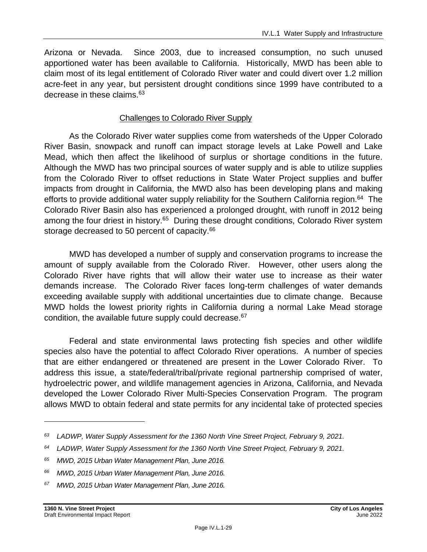Arizona or Nevada. Since 2003, due to increased consumption, no such unused apportioned water has been available to California. Historically, MWD has been able to claim most of its legal entitlement of Colorado River water and could divert over 1.2 million acre-feet in any year, but persistent drought conditions since 1999 have contributed to a decrease in these claims.<sup>63</sup>

### Challenges to Colorado River Supply

As the Colorado River water supplies come from watersheds of the Upper Colorado River Basin, snowpack and runoff can impact storage levels at Lake Powell and Lake Mead, which then affect the likelihood of surplus or shortage conditions in the future. Although the MWD has two principal sources of water supply and is able to utilize supplies from the Colorado River to offset reductions in State Water Project supplies and buffer impacts from drought in California, the MWD also has been developing plans and making efforts to provide additional water supply reliability for the Southern California region.<sup>64</sup> The Colorado River Basin also has experienced a prolonged drought, with runoff in 2012 being among the four driest in history.<sup>65</sup> During these drought conditions, Colorado River system storage decreased to 50 percent of capacity.<sup>66</sup>

MWD has developed a number of supply and conservation programs to increase the amount of supply available from the Colorado River. However, other users along the Colorado River have rights that will allow their water use to increase as their water demands increase. The Colorado River faces long-term challenges of water demands exceeding available supply with additional uncertainties due to climate change. Because MWD holds the lowest priority rights in California during a normal Lake Mead storage condition, the available future supply could decrease.<sup>67</sup>

Federal and state environmental laws protecting fish species and other wildlife species also have the potential to affect Colorado River operations. A number of species that are either endangered or threatened are present in the Lower Colorado River. To address this issue, a state/federal/tribal/private regional partnership comprised of water, hydroelectric power, and wildlife management agencies in Arizona, California, and Nevada developed the Lower Colorado River Multi-Species Conservation Program. The program allows MWD to obtain federal and state permits for any incidental take of protected species

*<sup>63</sup> LADWP, Water Supply Assessment for the 1360 North Vine Street Project, February 9, 2021.*

*<sup>64</sup> LADWP, Water Supply Assessment for the 1360 North Vine Street Project, February 9, 2021.*

*<sup>65</sup> MWD, 2015 Urban Water Management Plan, June 2016.*

*<sup>66</sup> MWD, 2015 Urban Water Management Plan, June 2016.*

*<sup>67</sup> MWD, 2015 Urban Water Management Plan, June 2016.*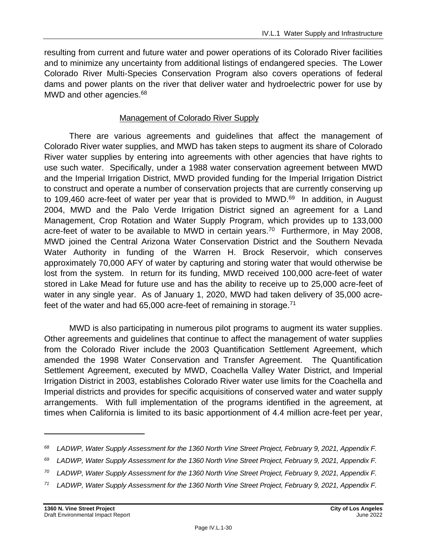resulting from current and future water and power operations of its Colorado River facilities and to minimize any uncertainty from additional listings of endangered species. The Lower Colorado River Multi-Species Conservation Program also covers operations of federal dams and power plants on the river that deliver water and hydroelectric power for use by MWD and other agencies.<sup>68</sup>

### Management of Colorado River Supply

There are various agreements and guidelines that affect the management of Colorado River water supplies, and MWD has taken steps to augment its share of Colorado River water supplies by entering into agreements with other agencies that have rights to use such water. Specifically, under a 1988 water conservation agreement between MWD and the Imperial Irrigation District, MWD provided funding for the Imperial Irrigation District to construct and operate a number of conservation projects that are currently conserving up to 109,460 acre-feet of water per year that is provided to MWD.<sup>69</sup> In addition, in August 2004, MWD and the Palo Verde Irrigation District signed an agreement for a Land Management, Crop Rotation and Water Supply Program, which provides up to 133,000 acre-feet of water to be available to MWD in certain years.<sup>70</sup> Furthermore, in May 2008, MWD joined the Central Arizona Water Conservation District and the Southern Nevada Water Authority in funding of the Warren H. Brock Reservoir, which conserves approximately 70,000 AFY of water by capturing and storing water that would otherwise be lost from the system. In return for its funding, MWD received 100,000 acre-feet of water stored in Lake Mead for future use and has the ability to receive up to 25,000 acre-feet of water in any single year. As of January 1, 2020, MWD had taken delivery of 35,000 acrefeet of the water and had  $65,000$  acre-feet of remaining in storage.<sup>71</sup>

MWD is also participating in numerous pilot programs to augment its water supplies. Other agreements and guidelines that continue to affect the management of water supplies from the Colorado River include the 2003 Quantification Settlement Agreement, which amended the 1998 Water Conservation and Transfer Agreement. The Quantification Settlement Agreement, executed by MWD, Coachella Valley Water District, and Imperial Irrigation District in 2003, establishes Colorado River water use limits for the Coachella and Imperial districts and provides for specific acquisitions of conserved water and water supply arrangements. With full implementation of the programs identified in the agreement, at times when California is limited to its basic apportionment of 4.4 million acre-feet per year,

*<sup>68</sup> LADWP, Water Supply Assessment for the 1360 North Vine Street Project, February 9, 2021, Appendix F.*

*<sup>69</sup> LADWP, Water Supply Assessment for the 1360 North Vine Street Project, February 9, 2021, Appendix F.*

*<sup>70</sup> LADWP, Water Supply Assessment for the 1360 North Vine Street Project, February 9, 2021, Appendix F.*

*<sup>71</sup> LADWP, Water Supply Assessment for the 1360 North Vine Street Project, February 9, 2021, Appendix F.*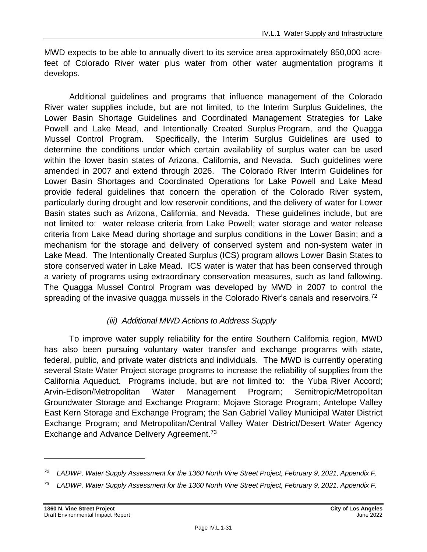MWD expects to be able to annually divert to its service area approximately 850,000 acrefeet of Colorado River water plus water from other water augmentation programs it develops.

Additional guidelines and programs that influence management of the Colorado River water supplies include, but are not limited, to the Interim Surplus Guidelines, the Lower Basin Shortage Guidelines and Coordinated Management Strategies for Lake Powell and Lake Mead, and Intentionally Created Surplus Program, and the Quagga Mussel Control Program. Specifically, the Interim Surplus Guidelines are used to determine the conditions under which certain availability of surplus water can be used within the lower basin states of Arizona, California, and Nevada. Such guidelines were amended in 2007 and extend through 2026. The Colorado River Interim Guidelines for Lower Basin Shortages and Coordinated Operations for Lake Powell and Lake Mead provide federal guidelines that concern the operation of the Colorado River system, particularly during drought and low reservoir conditions, and the delivery of water for Lower Basin states such as Arizona, California, and Nevada. These guidelines include, but are not limited to: water release criteria from Lake Powell; water storage and water release criteria from Lake Mead during shortage and surplus conditions in the Lower Basin; and a mechanism for the storage and delivery of conserved system and non-system water in Lake Mead. The Intentionally Created Surplus (ICS) program allows Lower Basin States to store conserved water in Lake Mead. ICS water is water that has been conserved through a variety of programs using extraordinary conservation measures, such as land fallowing. The Quagga Mussel Control Program was developed by MWD in 2007 to control the spreading of the invasive quagga mussels in the Colorado River's canals and reservoirs.<sup>72</sup>

# *(iii) Additional MWD Actions to Address Supply*

To improve water supply reliability for the entire Southern California region, MWD has also been pursuing voluntary water transfer and exchange programs with state, federal, public, and private water districts and individuals. The MWD is currently operating several State Water Project storage programs to increase the reliability of supplies from the California Aqueduct. Programs include, but are not limited to: the Yuba River Accord; Arvin-Edison/Metropolitan Water Management Program; Semitropic/Metropolitan Groundwater Storage and Exchange Program; Mojave Storage Program; Antelope Valley East Kern Storage and Exchange Program; the San Gabriel Valley Municipal Water District Exchange Program; and Metropolitan/Central Valley Water District/Desert Water Agency Exchange and Advance Delivery Agreement.<sup>73</sup>

*<sup>72</sup> LADWP, Water Supply Assessment for the 1360 North Vine Street Project, February 9, 2021, Appendix F.*

*<sup>73</sup> LADWP, Water Supply Assessment for the 1360 North Vine Street Project, February 9, 2021, Appendix F.*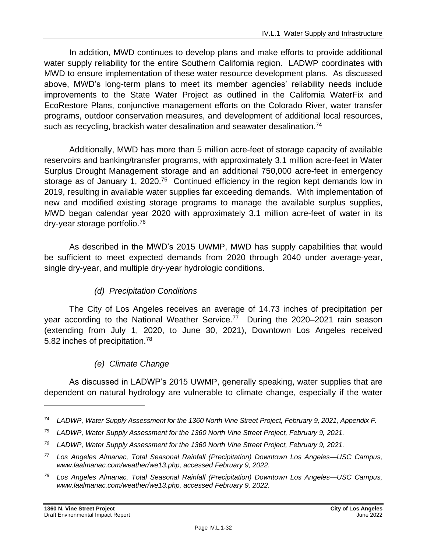In addition, MWD continues to develop plans and make efforts to provide additional water supply reliability for the entire Southern California region. LADWP coordinates with MWD to ensure implementation of these water resource development plans. As discussed above, MWD's long-term plans to meet its member agencies' reliability needs include improvements to the State Water Project as outlined in the California WaterFix and EcoRestore Plans, conjunctive management efforts on the Colorado River, water transfer programs, outdoor conservation measures, and development of additional local resources, such as recycling, brackish water desalination and seawater desalination.<sup>74</sup>

Additionally, MWD has more than 5 million acre-feet of storage capacity of available reservoirs and banking/transfer programs, with approximately 3.1 million acre-feet in Water Surplus Drought Management storage and an additional 750,000 acre-feet in emergency storage as of January 1, 2020.<sup>75</sup> Continued efficiency in the region kept demands low in 2019, resulting in available water supplies far exceeding demands. With implementation of new and modified existing storage programs to manage the available surplus supplies, MWD began calendar year 2020 with approximately 3.1 million acre-feet of water in its dry-year storage portfolio. 76

As described in the MWD's 2015 UWMP, MWD has supply capabilities that would be sufficient to meet expected demands from 2020 through 2040 under average-year, single dry-year, and multiple dry-year hydrologic conditions.

### *(d) Precipitation Conditions*

The City of Los Angeles receives an average of 14.73 inches of precipitation per year according to the National Weather Service.<sup>77</sup> During the 2020–2021 rain season (extending from July 1, 2020, to June 30, 2021), Downtown Los Angeles received 5.82 inches of precipitation.<sup>78</sup>

### *(e) Climate Change*

As discussed in LADWP's 2015 UWMP, generally speaking, water supplies that are dependent on natural hydrology are vulnerable to climate change, especially if the water

*<sup>74</sup> LADWP, Water Supply Assessment for the 1360 North Vine Street Project, February 9, 2021, Appendix F.*

*<sup>75</sup> LADWP, Water Supply Assessment for the 1360 North Vine Street Project, February 9, 2021.*

*<sup>76</sup> LADWP, Water Supply Assessment for the 1360 North Vine Street Project, February 9, 2021.*

*<sup>77</sup> Los Angeles Almanac, Total Seasonal Rainfall (Precipitation) Downtown Los Angeles—USC Campus, www.laalmanac.com/weather/we13.php, accessed February 9, 2022.*

*<sup>78</sup> Los Angeles Almanac, Total Seasonal Rainfall (Precipitation) Downtown Los Angeles—USC Campus, www.laalmanac.com/weather/we13.php, accessed February 9, 2022.*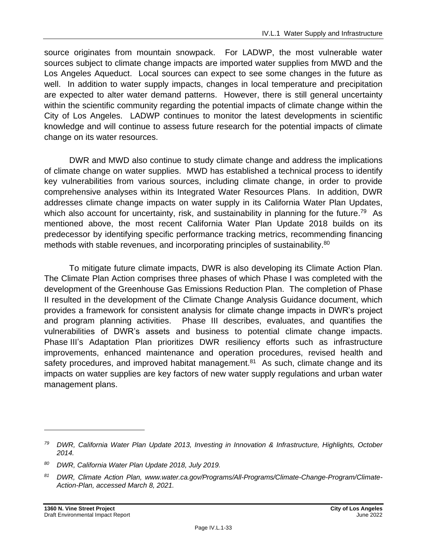source originates from mountain snowpack. For LADWP, the most vulnerable water sources subject to climate change impacts are imported water supplies from MWD and the Los Angeles Aqueduct. Local sources can expect to see some changes in the future as well. In addition to water supply impacts, changes in local temperature and precipitation are expected to alter water demand patterns. However, there is still general uncertainty within the scientific community regarding the potential impacts of climate change within the City of Los Angeles. LADWP continues to monitor the latest developments in scientific knowledge and will continue to assess future research for the potential impacts of climate change on its water resources.

DWR and MWD also continue to study climate change and address the implications of climate change on water supplies. MWD has established a technical process to identify key vulnerabilities from various sources, including climate change, in order to provide comprehensive analyses within its Integrated Water Resources Plans. In addition, DWR addresses climate change impacts on water supply in its California Water Plan Updates, which also account for uncertainty, risk, and sustainability in planning for the future.<sup>79</sup> As mentioned above, the most recent California Water Plan Update 2018 builds on its predecessor by identifying specific performance tracking metrics, recommending financing methods with stable revenues, and incorporating principles of sustainability.<sup>80</sup>

To mitigate future climate impacts, DWR is also developing its Climate Action Plan. The Climate Plan Action comprises three phases of which Phase I was completed with the development of the Greenhouse Gas Emissions Reduction Plan. The completion of Phase II resulted in the development of the Climate Change Analysis Guidance document, which provides a framework for consistent analysis for climate change impacts in DWR's project and program planning activities. Phase III describes, evaluates, and quantifies the vulnerabilities of DWR's assets and business to potential climate change impacts. Phase III's Adaptation Plan prioritizes DWR resiliency efforts such as infrastructure improvements, enhanced maintenance and operation procedures, revised health and safety procedures, and improved habitat management.<sup>81</sup> As such, climate change and its impacts on water supplies are key factors of new water supply regulations and urban water management plans.

*<sup>79</sup> DWR, California Water Plan Update 2013, Investing in Innovation & Infrastructure, Highlights, October 2014.*

*<sup>80</sup> DWR, California Water Plan Update 2018, July 2019.*

*<sup>81</sup> DWR, Climate Action Plan, www.water.ca.gov/Programs/All-Programs/Climate-Change-Program/Climate-Action-Plan, accessed March 8, 2021.*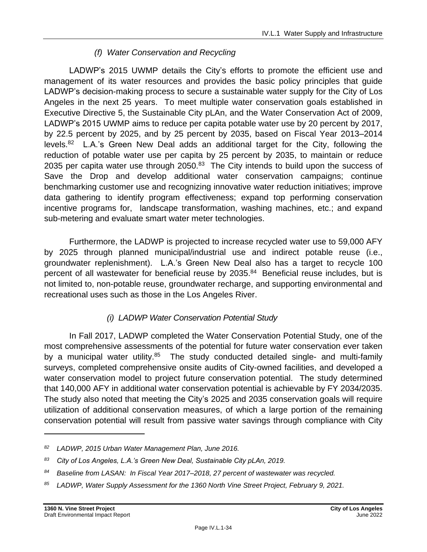# *(f) Water Conservation and Recycling*

LADWP's 2015 UWMP details the City's efforts to promote the efficient use and management of its water resources and provides the basic policy principles that guide LADWP's decision-making process to secure a sustainable water supply for the City of Los Angeles in the next 25 years. To meet multiple water conservation goals established in Executive Directive 5, the Sustainable City pLAn, and the Water Conservation Act of 2009, LADWP's 2015 UWMP aims to reduce per capita potable water use by 20 percent by 2017, by 22.5 percent by 2025, and by 25 percent by 2035, based on Fiscal Year 2013–2014 levels.<sup>82</sup> L.A.'s Green New Deal adds an additional target for the City, following the reduction of potable water use per capita by 25 percent by 2035, to maintain or reduce 2035 per capita water use through 2050.<sup>83</sup> The City intends to build upon the success of Save the Drop and develop additional water conservation campaigns; continue benchmarking customer use and recognizing innovative water reduction initiatives; improve data gathering to identify program effectiveness; expand top performing conservation incentive programs for, landscape transformation, washing machines, etc.; and expand sub-metering and evaluate smart water meter technologies.

Furthermore, the LADWP is projected to increase recycled water use to 59,000 AFY by 2025 through planned municipal/industrial use and indirect potable reuse (i.e., groundwater replenishment). L.A.'s Green New Deal also has a target to recycle 100 percent of all wastewater for beneficial reuse by 2035. <sup>84</sup> Beneficial reuse includes, but is not limited to, non-potable reuse, groundwater recharge, and supporting environmental and recreational uses such as those in the Los Angeles River.

# *(i) LADWP Water Conservation Potential Study*

In Fall 2017, LADWP completed the Water Conservation Potential Study, one of the most comprehensive assessments of the potential for future water conservation ever taken by a municipal water utility.<sup>85</sup> The study conducted detailed single- and multi-family surveys, completed comprehensive onsite audits of City-owned facilities, and developed a water conservation model to project future conservation potential. The study determined that 140,000 AFY in additional water conservation potential is achievable by FY 2034/2035. The study also noted that meeting the City's 2025 and 2035 conservation goals will require utilization of additional conservation measures, of which a large portion of the remaining conservation potential will result from passive water savings through compliance with City

*<sup>82</sup> LADWP, 2015 Urban Water Management Plan, June 2016.*

*<sup>83</sup> City of Los Angeles, L.A.'s Green New Deal, Sustainable City pLAn, 2019.*

*<sup>84</sup> Baseline from LASAN: In Fiscal Year 2017–2018, 27 percent of wastewater was recycled.*

*<sup>85</sup> LADWP, Water Supply Assessment for the 1360 North Vine Street Project, February 9, 2021.*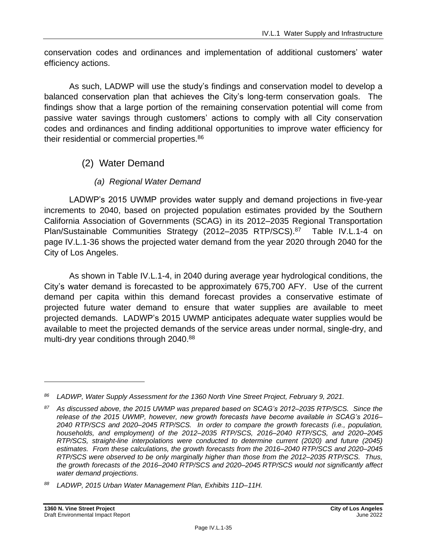conservation codes and ordinances and implementation of additional customers' water efficiency actions.

As such, LADWP will use the study's findings and conservation model to develop a balanced conservation plan that achieves the City's long-term conservation goals. The findings show that a large portion of the remaining conservation potential will come from passive water savings through customers' actions to comply with all City conservation codes and ordinances and finding additional opportunities to improve water efficiency for their residential or commercial properties.<sup>86</sup>

# (2) Water Demand

### *(a) Regional Water Demand*

LADWP's 2015 UWMP provides water supply and demand projections in five-year increments to 2040, based on projected population estimates provided by the Southern California Association of Governments (SCAG) in its 2012–2035 Regional Transportation Plan/Sustainable Communities Strategy (2012–2035 RTP/SCS).<sup>87</sup> Table IV.L.1-4 on page IV.L.1-36 shows the projected water demand from the year 2020 through 2040 for the City of Los Angeles.

As shown in Table IV.L.1-4, in 2040 during average year hydrological conditions, the City's water demand is forecasted to be approximately 675,700 AFY. Use of the current demand per capita within this demand forecast provides a conservative estimate of projected future water demand to ensure that water supplies are available to meet projected demands. LADWP's 2015 UWMP anticipates adequate water supplies would be available to meet the projected demands of the service areas under normal, single-dry, and multi-dry year conditions through 2040.<sup>88</sup>

*<sup>86</sup> LADWP, Water Supply Assessment for the 1360 North Vine Street Project, February 9, 2021.*

*<sup>87</sup> As discussed above, the 2015 UWMP was prepared based on SCAG's 2012–2035 RTP/SCS. Since the release of the 2015 UWMP, however, new growth forecasts have become available in SCAG's 2016– 2040 RTP/SCS and 2020–2045 RTP/SCS. In order to compare the growth forecasts (i.e., population, households, and employment) of the 2012–2035 RTP/SCS, 2016–2040 RTP/SCS, and 2020–2045 RTP/SCS, straight-line interpolations were conducted to determine current (2020) and future (2045) estimates. From these calculations, the growth forecasts from the 2016–2040 RTP/SCS and 2020–2045 RTP/SCS were observed to be only marginally higher than those from the 2012–2035 RTP/SCS. Thus, the growth forecasts of the 2016–2040 RTP/SCS and 2020–2045 RTP/SCS would not significantly affect water demand projections.*

*<sup>88</sup> LADWP, 2015 Urban Water Management Plan, Exhibits 11D–11H.*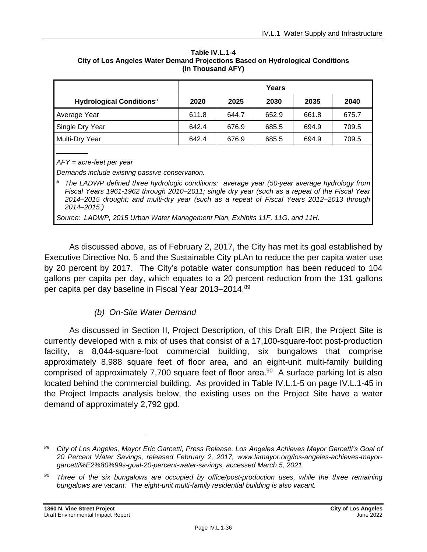| Table IV.L.1-4                                                                |
|-------------------------------------------------------------------------------|
| City of Los Angeles Water Demand Projections Based on Hydrological Conditions |
| (in Thousand AFY)                                                             |

|                                             |       | Years |       |       |       |
|---------------------------------------------|-------|-------|-------|-------|-------|
| <b>Hydrological Conditions</b> <sup>a</sup> | 2020  | 2025  | 2030  | 2035  | 2040  |
| Average Year                                | 611.8 | 644.7 | 652.9 | 661.8 | 675.7 |
| Single Dry Year                             | 642.4 | 676.9 | 685.5 | 694.9 | 709.5 |
| Multi-Dry Year                              | 642.4 | 676.9 | 685.5 | 694.9 | 709.5 |
|                                             |       |       |       |       |       |

*AFY = acre-feet per year*

*Demands include existing passive conservation.*

*<sup>a</sup> The LADWP defined three hydrologic conditions: average year (50-year average hydrology from Fiscal Years 1961-1962 through 2010–2011; single dry year (such as a repeat of the Fiscal Year 2014–2015 drought; and multi-dry year (such as a repeat of Fiscal Years 2012–2013 through 2014–2015.)*

*Source: LADWP, 2015 Urban Water Management Plan, Exhibits 11F, 11G, and 11H.*

As discussed above, as of February 2, 2017, the City has met its goal established by Executive Directive No. 5 and the Sustainable City pLAn to reduce the per capita water use by 20 percent by 2017. The City's potable water consumption has been reduced to 104 gallons per capita per day, which equates to a 20 percent reduction from the 131 gallons per capita per day baseline in Fiscal Year 2013–2014.<sup>89</sup>

### *(b) On-Site Water Demand*

As discussed in Section II, Project Description, of this Draft EIR, the Project Site is currently developed with a mix of uses that consist of a 17,100-square-foot post-production facility, a 8,044-square-foot commercial building, six bungalows that comprise approximately 8,988 square feet of floor area, and an eight-unit multi-family building comprised of approximately 7,700 square feet of floor area.<sup>90</sup> A surface parking lot is also located behind the commercial building. As provided in Table IV.L.1-5 on page IV.L.1-45 in the Project Impacts analysis below, the existing uses on the Project Site have a water demand of approximately 2,792 gpd.

*<sup>89</sup> City of Los Angeles, Mayor Eric Garcetti, Press Release, Los Angeles Achieves Mayor Garcetti's Goal of 20 Percent Water Savings, released February 2, 2017, www.lamayor.org/los-angeles-achieves-mayorgarcetti%E2%80%99s-goal-20-percent-water-savings, accessed March 5, 2021.*

*<sup>90</sup> Three of the six bungalows are occupied by office/post-production uses, while the three remaining bungalows are vacant. The eight-unit multi-family residential building is also vacant.*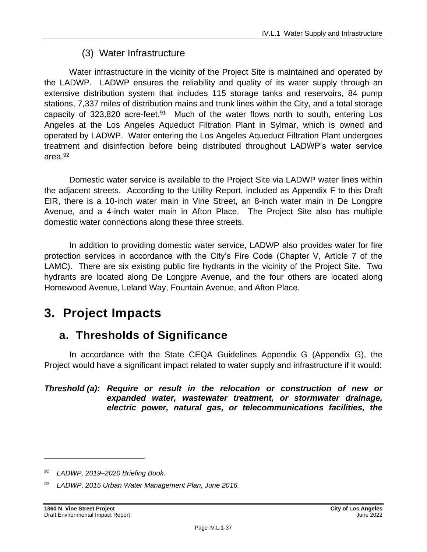# (3) Water Infrastructure

Water infrastructure in the vicinity of the Project Site is maintained and operated by the LADWP. LADWP ensures the reliability and quality of its water supply through an extensive distribution system that includes 115 storage tanks and reservoirs, 84 pump stations, 7,337 miles of distribution mains and trunk lines within the City, and a total storage capacity of 323,820 acre-feet.<sup>91</sup> Much of the water flows north to south, entering Los Angeles at the Los Angeles Aqueduct Filtration Plant in Sylmar, which is owned and operated by LADWP. Water entering the Los Angeles Aqueduct Filtration Plant undergoes treatment and disinfection before being distributed throughout LADWP's water service area.<sup>92</sup>

Domestic water service is available to the Project Site via LADWP water lines within the adjacent streets. According to the Utility Report, included as Appendix F to this Draft EIR, there is a 10-inch water main in Vine Street, an 8-inch water main in De Longpre Avenue, and a 4-inch water main in Afton Place. The Project Site also has multiple domestic water connections along these three streets.

In addition to providing domestic water service, LADWP also provides water for fire protection services in accordance with the City's Fire Code (Chapter V, Article 7 of the LAMC). There are six existing public fire hydrants in the vicinity of the Project Site. Two hydrants are located along De Longpre Avenue, and the four others are located along Homewood Avenue, Leland Way, Fountain Avenue, and Afton Place.

# **3. Project Impacts**

# **a. Thresholds of Significance**

In accordance with the State CEQA Guidelines Appendix G (Appendix G), the Project would have a significant impact related to water supply and infrastructure if it would:

#### *Threshold (a): Require or result in the relocation or construction of new or expanded water, wastewater treatment, or stormwater drainage, electric power, natural gas, or telecommunications facilities, the*

*<sup>91</sup> LADWP, 2019–2020 Briefing Book.*

*<sup>92</sup> LADWP, 2015 Urban Water Management Plan, June 2016.*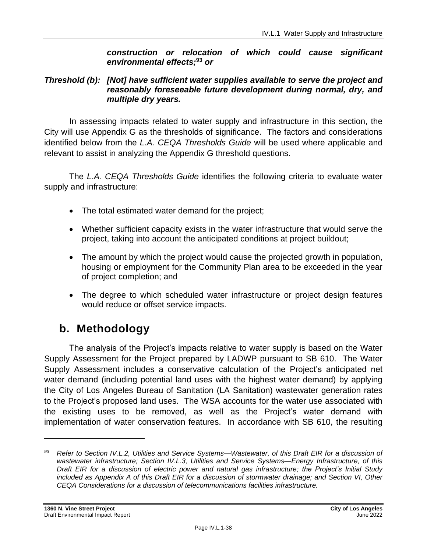#### *construction or relocation of which could cause significant environmental effects;***<sup>93</sup>** *or*

#### *Threshold (b): [Not] have sufficient water supplies available to serve the project and reasonably foreseeable future development during normal, dry, and multiple dry years.*

In assessing impacts related to water supply and infrastructure in this section, the City will use Appendix G as the thresholds of significance. The factors and considerations identified below from the *L.A. CEQA Thresholds Guide* will be used where applicable and relevant to assist in analyzing the Appendix G threshold questions.

The *L.A. CEQA Thresholds Guide* identifies the following criteria to evaluate water supply and infrastructure:

- The total estimated water demand for the project;
- Whether sufficient capacity exists in the water infrastructure that would serve the project, taking into account the anticipated conditions at project buildout;
- The amount by which the project would cause the projected growth in population, housing or employment for the Community Plan area to be exceeded in the year of project completion; and
- The degree to which scheduled water infrastructure or project design features would reduce or offset service impacts.

# **b. Methodology**

The analysis of the Project's impacts relative to water supply is based on the Water Supply Assessment for the Project prepared by LADWP pursuant to SB 610. The Water Supply Assessment includes a conservative calculation of the Project's anticipated net water demand (including potential land uses with the highest water demand) by applying the City of Los Angeles Bureau of Sanitation (LA Sanitation) wastewater generation rates to the Project's proposed land uses. The WSA accounts for the water use associated with the existing uses to be removed, as well as the Project's water demand with implementation of water conservation features. In accordance with SB 610, the resulting

*<sup>93</sup> Refer to Section IV.L.2, Utilities and Service Systems—Wastewater, of this Draft EIR for a discussion of wastewater infrastructure; Section IV.L.3, Utilities and Service Systems—Energy Infrastructure, of this Draft EIR for a discussion of electric power and natural gas infrastructure; the Project's Initial Study included as Appendix A of this Draft EIR for a discussion of stormwater drainage; and Section VI, Other CEQA Considerations for a discussion of telecommunications facilities infrastructure.*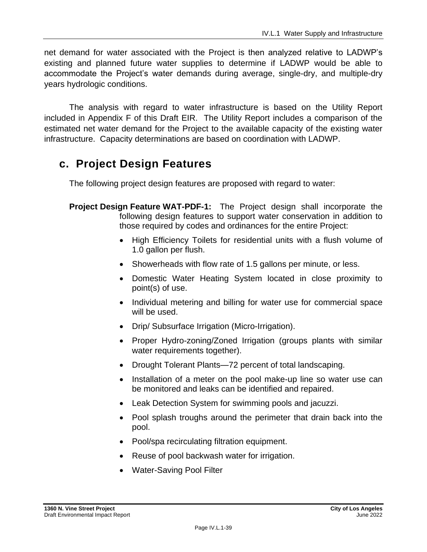net demand for water associated with the Project is then analyzed relative to LADWP's existing and planned future water supplies to determine if LADWP would be able to accommodate the Project's water demands during average, single-dry, and multiple-dry years hydrologic conditions.

The analysis with regard to water infrastructure is based on the Utility Report included in Appendix F of this Draft EIR. The Utility Report includes a comparison of the estimated net water demand for the Project to the available capacity of the existing water infrastructure. Capacity determinations are based on coordination with LADWP.

# **c. Project Design Features**

The following project design features are proposed with regard to water:

- **Project Design Feature WAT-PDF-1:** The Project design shall incorporate the following design features to support water conservation in addition to those required by codes and ordinances for the entire Project:
	- High Efficiency Toilets for residential units with a flush volume of 1.0 gallon per flush.
	- Showerheads with flow rate of 1.5 gallons per minute, or less.
	- Domestic Water Heating System located in close proximity to point(s) of use.
	- Individual metering and billing for water use for commercial space will be used.
	- Drip/ Subsurface Irrigation (Micro-Irrigation).
	- Proper Hydro-zoning/Zoned Irrigation (groups plants with similar water requirements together).
	- Drought Tolerant Plants—72 percent of total landscaping.
	- Installation of a meter on the pool make-up line so water use can be monitored and leaks can be identified and repaired.
	- Leak Detection System for swimming pools and jacuzzi.
	- Pool splash troughs around the perimeter that drain back into the pool.
	- Pool/spa recirculating filtration equipment.
	- Reuse of pool backwash water for irrigation.
	- Water-Saving Pool Filter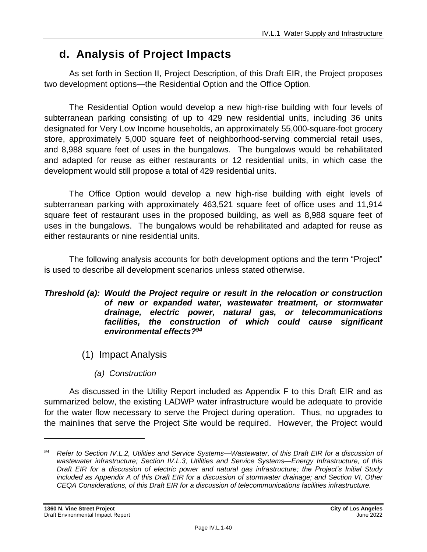# **d. Analysis of Project Impacts**

As set forth in Section II, Project Description, of this Draft EIR, the Project proposes two development options—the Residential Option and the Office Option.

The Residential Option would develop a new high-rise building with four levels of subterranean parking consisting of up to 429 new residential units, including 36 units designated for Very Low Income households, an approximately 55,000-square-foot grocery store, approximately 5,000 square feet of neighborhood-serving commercial retail uses, and 8,988 square feet of uses in the bungalows. The bungalows would be rehabilitated and adapted for reuse as either restaurants or 12 residential units, in which case the development would still propose a total of 429 residential units.

The Office Option would develop a new high-rise building with eight levels of subterranean parking with approximately 463,521 square feet of office uses and 11,914 square feet of restaurant uses in the proposed building, as well as 8,988 square feet of uses in the bungalows. The bungalows would be rehabilitated and adapted for reuse as either restaurants or nine residential units.

The following analysis accounts for both development options and the term "Project" is used to describe all development scenarios unless stated otherwise.

#### *Threshold (a): Would the Project require or result in the relocation or construction of new or expanded water, wastewater treatment, or stormwater drainage, electric power, natural gas, or telecommunications* facilities, the construction of which could cause significant *environmental effects?<sup>94</sup>*

- (1) Impact Analysis
	- *(a) Construction*

As discussed in the Utility Report included as Appendix F to this Draft EIR and as summarized below, the existing LADWP water infrastructure would be adequate to provide for the water flow necessary to serve the Project during operation. Thus, no upgrades to the mainlines that serve the Project Site would be required. However, the Project would

*<sup>94</sup> Refer to Section IV.L.2, Utilities and Service Systems—Wastewater, of this Draft EIR for a discussion of wastewater infrastructure; Section IV.L.3, Utilities and Service Systems—Energy Infrastructure, of this Draft EIR for a discussion of electric power and natural gas infrastructure; the Project's Initial Study included as Appendix A of this Draft EIR for a discussion of stormwater drainage; and Section VI, Other CEQA Considerations, of this Draft EIR for a discussion of telecommunications facilities infrastructure.*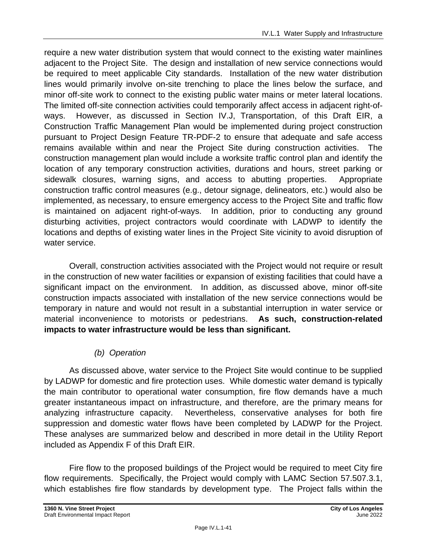require a new water distribution system that would connect to the existing water mainlines adjacent to the Project Site. The design and installation of new service connections would be required to meet applicable City standards. Installation of the new water distribution lines would primarily involve on-site trenching to place the lines below the surface, and minor off-site work to connect to the existing public water mains or meter lateral locations. The limited off-site connection activities could temporarily affect access in adjacent right-ofways. However, as discussed in Section IV.J, Transportation, of this Draft EIR, a Construction Traffic Management Plan would be implemented during project construction pursuant to Project Design Feature TR-PDF-2 to ensure that adequate and safe access remains available within and near the Project Site during construction activities. The construction management plan would include a worksite traffic control plan and identify the location of any temporary construction activities, durations and hours, street parking or sidewalk closures, warning signs, and access to abutting properties. Appropriate construction traffic control measures (e.g., detour signage, delineators, etc.) would also be implemented, as necessary, to ensure emergency access to the Project Site and traffic flow is maintained on adjacent right-of-ways. In addition, prior to conducting any ground disturbing activities, project contractors would coordinate with LADWP to identify the locations and depths of existing water lines in the Project Site vicinity to avoid disruption of water service.

Overall, construction activities associated with the Project would not require or result in the construction of new water facilities or expansion of existing facilities that could have a significant impact on the environment. In addition, as discussed above, minor off-site construction impacts associated with installation of the new service connections would be temporary in nature and would not result in a substantial interruption in water service or material inconvenience to motorists or pedestrians. **As such, construction-related impacts to water infrastructure would be less than significant.**

# *(b) Operation*

As discussed above, water service to the Project Site would continue to be supplied by LADWP for domestic and fire protection uses. While domestic water demand is typically the main contributor to operational water consumption, fire flow demands have a much greater instantaneous impact on infrastructure, and therefore, are the primary means for analyzing infrastructure capacity. Nevertheless, conservative analyses for both fire suppression and domestic water flows have been completed by LADWP for the Project. These analyses are summarized below and described in more detail in the Utility Report included as Appendix F of this Draft EIR.

Fire flow to the proposed buildings of the Project would be required to meet City fire flow requirements. Specifically, the Project would comply with LAMC Section 57.507.3.1, which establishes fire flow standards by development type. The Project falls within the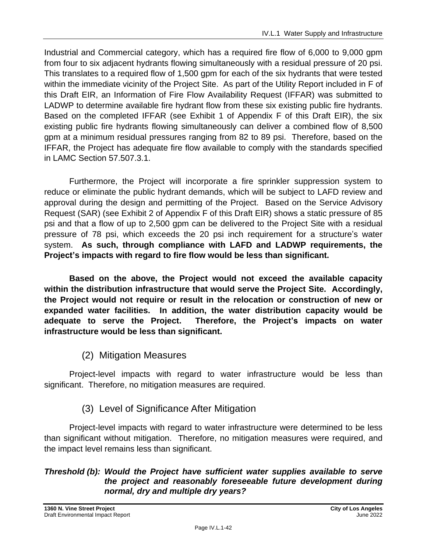Industrial and Commercial category, which has a required fire flow of 6,000 to 9,000 gpm from four to six adjacent hydrants flowing simultaneously with a residual pressure of 20 psi. This translates to a required flow of 1,500 gpm for each of the six hydrants that were tested within the immediate vicinity of the Project Site. As part of the Utility Report included in F of this Draft EIR, an Information of Fire Flow Availability Request (IFFAR) was submitted to LADWP to determine available fire hydrant flow from these six existing public fire hydrants. Based on the completed IFFAR (see Exhibit 1 of Appendix F of this Draft EIR), the six existing public fire hydrants flowing simultaneously can deliver a combined flow of 8,500 gpm at a minimum residual pressures ranging from 82 to 89 psi. Therefore, based on the IFFAR, the Project has adequate fire flow available to comply with the standards specified in LAMC Section 57.507.3.1.

Furthermore, the Project will incorporate a fire sprinkler suppression system to reduce or eliminate the public hydrant demands, which will be subject to LAFD review and approval during the design and permitting of the Project. Based on the Service Advisory Request (SAR) (see Exhibit 2 of Appendix F of this Draft EIR) shows a static pressure of 85 psi and that a flow of up to 2,500 gpm can be delivered to the Project Site with a residual pressure of 78 psi, which exceeds the 20 psi inch requirement for a structure's water system. **As such, through compliance with LAFD and LADWP requirements, the Project's impacts with regard to fire flow would be less than significant.**

**Based on the above, the Project would not exceed the available capacity within the distribution infrastructure that would serve the Project Site. Accordingly, the Project would not require or result in the relocation or construction of new or expanded water facilities. In addition, the water distribution capacity would be adequate to serve the Project. Therefore, the Project's impacts on water infrastructure would be less than significant.**

# (2) Mitigation Measures

Project-level impacts with regard to water infrastructure would be less than significant. Therefore, no mitigation measures are required.

# (3) Level of Significance After Mitigation

Project-level impacts with regard to water infrastructure were determined to be less than significant without mitigation. Therefore, no mitigation measures were required, and the impact level remains less than significant.

### *Threshold (b): Would the Project have sufficient water supplies available to serve the project and reasonably foreseeable future development during normal, dry and multiple dry years?*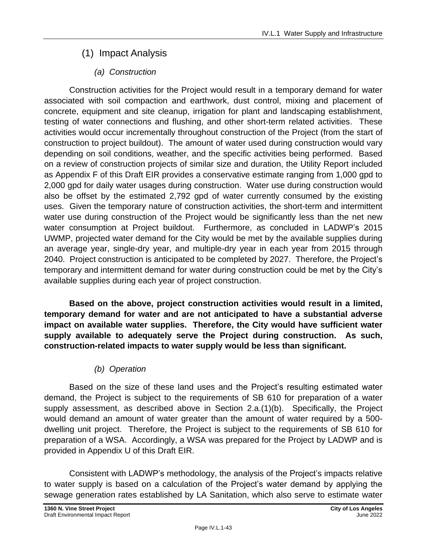# (1) Impact Analysis

# *(a) Construction*

Construction activities for the Project would result in a temporary demand for water associated with soil compaction and earthwork, dust control, mixing and placement of concrete, equipment and site cleanup, irrigation for plant and landscaping establishment, testing of water connections and flushing, and other short-term related activities. These activities would occur incrementally throughout construction of the Project (from the start of construction to project buildout). The amount of water used during construction would vary depending on soil conditions, weather, and the specific activities being performed. Based on a review of construction projects of similar size and duration, the Utility Report included as Appendix F of this Draft EIR provides a conservative estimate ranging from 1,000 gpd to 2,000 gpd for daily water usages during construction. Water use during construction would also be offset by the estimated 2,792 gpd of water currently consumed by the existing uses. Given the temporary nature of construction activities, the short-term and intermittent water use during construction of the Project would be significantly less than the net new water consumption at Project buildout. Furthermore, as concluded in LADWP's 2015 UWMP, projected water demand for the City would be met by the available supplies during an average year, single-dry year, and multiple-dry year in each year from 2015 through 2040. Project construction is anticipated to be completed by 2027. Therefore, the Project's temporary and intermittent demand for water during construction could be met by the City's available supplies during each year of project construction.

**Based on the above, project construction activities would result in a limited, temporary demand for water and are not anticipated to have a substantial adverse impact on available water supplies. Therefore, the City would have sufficient water supply available to adequately serve the Project during construction. As such, construction-related impacts to water supply would be less than significant.**

# *(b) Operation*

Based on the size of these land uses and the Project's resulting estimated water demand, the Project is subject to the requirements of SB 610 for preparation of a water supply assessment, as described above in Section 2.a.(1)(b). Specifically, the Project would demand an amount of water greater than the amount of water required by a 500 dwelling unit project. Therefore, the Project is subject to the requirements of SB 610 for preparation of a WSA. Accordingly, a WSA was prepared for the Project by LADWP and is provided in Appendix U of this Draft EIR.

Consistent with LADWP's methodology, the analysis of the Project's impacts relative to water supply is based on a calculation of the Project's water demand by applying the sewage generation rates established by LA Sanitation, which also serve to estimate water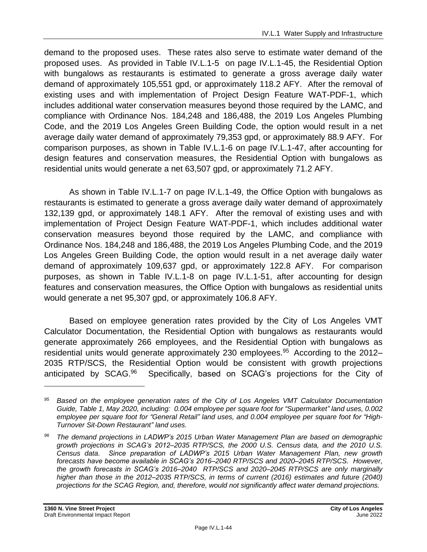demand to the proposed uses. These rates also serve to estimate water demand of the proposed uses. As provided in Table IV.L.1-5 on page IV.L.1-45, the Residential Option with bungalows as restaurants is estimated to generate a gross average daily water demand of approximately 105,551 gpd, or approximately 118.2 AFY. After the removal of existing uses and with implementation of Project Design Feature WAT-PDF-1, which includes additional water conservation measures beyond those required by the LAMC, and compliance with Ordinance Nos. 184,248 and 186,488, the 2019 Los Angeles Plumbing Code, and the 2019 Los Angeles Green Building Code, the option would result in a net average daily water demand of approximately 79,353 gpd, or approximately 88.9 AFY. For comparison purposes, as shown in Table IV.L.1-6 on page IV.L.1-47, after accounting for design features and conservation measures, the Residential Option with bungalows as residential units would generate a net 63,507 gpd, or approximately 71.2 AFY.

As shown in Table IV.L.1-7 on page IV.L.1-49, the Office Option with bungalows as restaurants is estimated to generate a gross average daily water demand of approximately 132,139 gpd, or approximately 148.1 AFY. After the removal of existing uses and with implementation of Project Design Feature WAT-PDF-1, which includes additional water conservation measures beyond those required by the LAMC, and compliance with Ordinance Nos. 184,248 and 186,488, the 2019 Los Angeles Plumbing Code, and the 2019 Los Angeles Green Building Code, the option would result in a net average daily water demand of approximately 109,637 gpd, or approximately 122.8 AFY. For comparison purposes, as shown in Table IV.L.1-8 on page IV.L.1-51, after accounting for design features and conservation measures, the Office Option with bungalows as residential units would generate a net 95,307 gpd, or approximately 106.8 AFY.

Based on employee generation rates provided by the City of Los Angeles VMT Calculator Documentation, the Residential Option with bungalows as restaurants would generate approximately 266 employees, and the Residential Option with bungalows as residential units would generate approximately 230 employees.<sup>95</sup> According to the 2012-2035 RTP/SCS, the Residential Option would be consistent with growth projections anticipated by SCAG.<sup>96</sup> Specifically, based on SCAG's projections for the City of

*<sup>95</sup> Based on the employee generation rates of the City of Los Angeles VMT Calculator Documentation Guide, Table 1, May 2020, including: 0.004 employee per square foot for "Supermarket" land uses, 0.002 employee per square foot for "General Retail" land uses, and 0.004 employee per square foot for "High-Turnover Sit-Down Restaurant" land uses.*

*<sup>96</sup> The demand projections in LADWP's 2015 Urban Water Management Plan are based on demographic growth projections in SCAG's 2012–2035 RTP/SCS, the 2000 U.S. Census data, and the 2010 U.S. Census data. Since preparation of LADWP's 2015 Urban Water Management Plan, new growth forecasts have become available in SCAG's 2016–2040 RTP/SCS and 2020–2045 RTP/SCS. However, the growth forecasts in SCAG's 2016–2040 RTP/SCS and 2020–2045 RTP/SCS are only marginally higher than those in the 2012–2035 RTP/SCS, in terms of current (2016) estimates and future (2040) projections for the SCAG Region, and, therefore, would not significantly affect water demand projections.*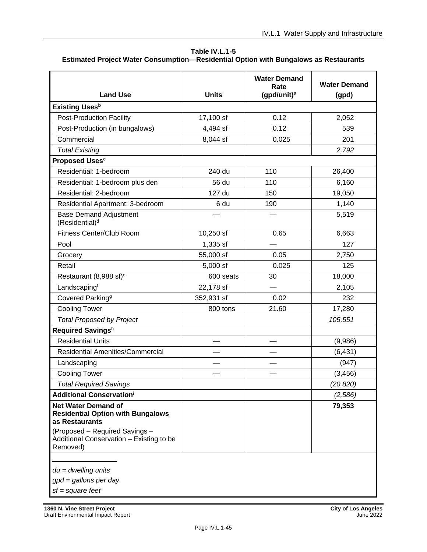| Table IV.L.1-5                                                                              |
|---------------------------------------------------------------------------------------------|
| <b>Estimated Project Water Consumption-Residential Option with Bungalows as Restaurants</b> |

| <b>Land Use</b>                                                                                                                                                                    | <b>Units</b> | <b>Water Demand</b><br>Rate<br>(gpd/unit) $a$ | <b>Water Demand</b><br>(gpd) |
|------------------------------------------------------------------------------------------------------------------------------------------------------------------------------------|--------------|-----------------------------------------------|------------------------------|
| <b>Existing Uses</b> b                                                                                                                                                             |              |                                               |                              |
| <b>Post-Production Facility</b>                                                                                                                                                    | 17,100 sf    | 0.12                                          | 2,052                        |
| Post-Production (in bungalows)                                                                                                                                                     | 4,494 sf     | 0.12                                          | 539                          |
| Commercial                                                                                                                                                                         | 8,044 sf     | 0.025                                         | 201                          |
| <b>Total Existing</b>                                                                                                                                                              |              |                                               | 2,792                        |
| <b>Proposed Uses<sup>c</sup></b>                                                                                                                                                   |              |                                               |                              |
| Residential: 1-bedroom                                                                                                                                                             | 240 du       | 110                                           | 26,400                       |
| Residential: 1-bedroom plus den                                                                                                                                                    | 56 du        | 110                                           | 6,160                        |
| Residential: 2-bedroom                                                                                                                                                             | 127 du       | 150                                           | 19,050                       |
| Residential Apartment: 3-bedroom                                                                                                                                                   | 6 du         | 190                                           | 1,140                        |
| <b>Base Demand Adjustment</b><br>(Residential) <sup>d</sup>                                                                                                                        |              |                                               | 5,519                        |
| <b>Fitness Center/Club Room</b>                                                                                                                                                    | 10,250 sf    | 0.65                                          | 6,663                        |
| Pool                                                                                                                                                                               | 1,335 sf     |                                               | 127                          |
| Grocery                                                                                                                                                                            | 55,000 sf    | 0.05                                          | 2,750                        |
| Retail                                                                                                                                                                             | 5,000 sf     | 0.025                                         | 125                          |
| Restaurant (8,988 sf) <sup>e</sup>                                                                                                                                                 | 600 seats    | 30                                            | 18,000                       |
| Landscapingf                                                                                                                                                                       | 22,178 sf    |                                               | 2,105                        |
| Covered Parking <sup>g</sup>                                                                                                                                                       | 352,931 sf   | 0.02                                          | 232                          |
| <b>Cooling Tower</b>                                                                                                                                                               | 800 tons     | 21.60                                         | 17,280                       |
| <b>Total Proposed by Project</b>                                                                                                                                                   |              |                                               | 105,551                      |
| Required Savingsh                                                                                                                                                                  |              |                                               |                              |
| <b>Residential Units</b>                                                                                                                                                           |              |                                               | (9,986)                      |
| <b>Residential Amenities/Commercial</b>                                                                                                                                            |              |                                               | (6, 431)                     |
| Landscaping                                                                                                                                                                        |              |                                               | (947)                        |
| <b>Cooling Tower</b>                                                                                                                                                               |              |                                               | (3, 456)                     |
| <b>Total Required Savings</b>                                                                                                                                                      |              |                                               | (20, 820)                    |
| <b>Additional Conservationi</b>                                                                                                                                                    |              |                                               | (2,586)                      |
| <b>Net Water Demand of</b><br><b>Residential Option with Bungalows</b><br>as Restaurants<br>(Proposed - Required Savings -<br>Additional Conservation - Existing to be<br>Removed) |              |                                               | 79,353                       |

*du = dwelling units*

*gpd = gallons per day*

*sf = square feet*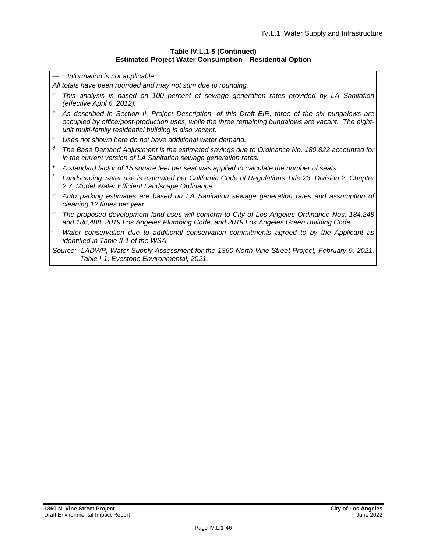#### **Table IV.L.1-5 (Continued) Estimated Project Water Consumption—Residential Option**

*— = Information is not applicable.*

*All totals have been rounded and may not sum due to rounding.*

- *<sup>a</sup> This analysis is based on 100 percent of sewage generation rates provided by LA Sanitation (effective April 6, 2012).*
- *<sup>b</sup> As described in Section II, Project Description, of this Draft EIR, three of the six bungalows are occupied by office/post-production uses, while the three remaining bungalows are vacant. The eightunit multi-family residential building is also vacant.*
- *<sup>c</sup> Uses not shown here do not have additional water demand.*
- *<sup>d</sup> The Base Demand Adjustment is the estimated savings due to Ordinance No. 180,822 accounted for in the current version of LA Sanitation sewage generation rates.*
- *<sup>e</sup> A standard factor of 15 square feet per seat was applied to calculate the number of seats.*
- *<sup>f</sup> Landscaping water use is estimated per California Code of Regulations Title 23, Division 2, Chapter 2.7, Model Water Efficient Landscape Ordinance.*
- *<sup>g</sup> Auto parking estimates are based on LA Sanitation sewage generation rates and assumption of cleaning 12 times per year.*
- *<sup>h</sup> The proposed development land uses will conform to City of Los Angeles Ordinance Nos. 184,248 and 186,488, 2019 Los Angeles Plumbing Code, and 2019 Los Angeles Green Building Code.*
- *<sup>i</sup> Water conservation due to additional conservation commitments agreed to by the Applicant as identified in Table II-1 of the WSA.*

*Source: LADWP, Water Supply Assessment for the 1360 North Vine Street Project, February 9, 2021, Table I-1; Eyestone Environmental, 2021.*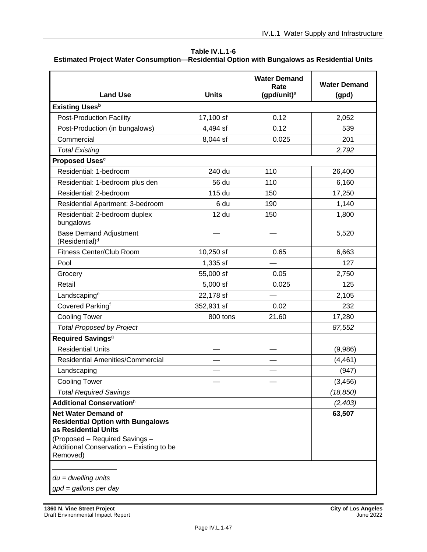#### **Table IV.L.1-6**

#### **Estimated Project Water Consumption—Residential Option with Bungalows as Residential Units**

|                                                                                                |              | <b>Water Demand</b>    | <b>Water Demand</b> |
|------------------------------------------------------------------------------------------------|--------------|------------------------|---------------------|
| <b>Land Use</b>                                                                                | <b>Units</b> | Rate<br>(gpd/unit) $a$ | (gpd)               |
| <b>Existing Uses</b> <sup>b</sup>                                                              |              |                        |                     |
| <b>Post-Production Facility</b>                                                                | 17,100 sf    | 0.12                   | 2,052               |
| Post-Production (in bungalows)                                                                 | 4,494 sf     | 0.12                   | 539                 |
| Commercial                                                                                     | 8,044 sf     | 0.025                  | 201                 |
| <b>Total Existing</b>                                                                          |              |                        | 2,792               |
| <b>Proposed Uses<sup>c</sup></b>                                                               |              |                        |                     |
| Residential: 1-bedroom                                                                         | 240 du       | 110                    | 26,400              |
| Residential: 1-bedroom plus den                                                                | 56 du        | 110                    | 6,160               |
| Residential: 2-bedroom                                                                         | 115 du       | 150                    | 17,250              |
| Residential Apartment: 3-bedroom                                                               | 6 du         | 190                    | 1,140               |
| Residential: 2-bedroom duplex<br>bungalows                                                     | 12 du        | 150                    | 1,800               |
| <b>Base Demand Adjustment</b><br>(Residential) <sup>d</sup>                                    |              |                        | 5,520               |
| Fitness Center/Club Room                                                                       | 10,250 sf    | 0.65                   | 6,663               |
| Pool                                                                                           | 1,335 sf     |                        | 127                 |
| Grocery                                                                                        | 55,000 sf    | 0.05                   | 2,750               |
| Retail                                                                                         | 5,000 sf     | 0.025                  | 125                 |
| Landscaping <sup>e</sup>                                                                       | 22,178 sf    |                        | 2,105               |
| Covered Parkingf                                                                               | 352,931 sf   | 0.02                   | 232                 |
| <b>Cooling Tower</b>                                                                           | 800 tons     | 21.60                  | 17,280              |
| <b>Total Proposed by Project</b>                                                               |              |                        | 87,552              |
| Required Savings <sup>9</sup>                                                                  |              |                        |                     |
| <b>Residential Units</b>                                                                       |              |                        | (9,986)             |
| <b>Residential Amenities/Commercial</b>                                                        |              |                        | (4, 461)            |
| Landscaping                                                                                    |              |                        | (947)               |
| <b>Cooling Tower</b>                                                                           |              |                        | (3, 456)            |
| <b>Total Required Savings</b>                                                                  |              |                        | (18, 850)           |
| Additional Conservationh                                                                       |              |                        | (2,403)             |
| <b>Net Water Demand of</b><br><b>Residential Option with Bungalows</b><br>as Residential Units |              |                        | 63,507              |
| (Proposed - Required Savings -<br>Additional Conservation - Existing to be<br>Removed)         |              |                        |                     |
| $du = dwelling$ units<br>$gpd = gallons per day$                                               |              |                        |                     |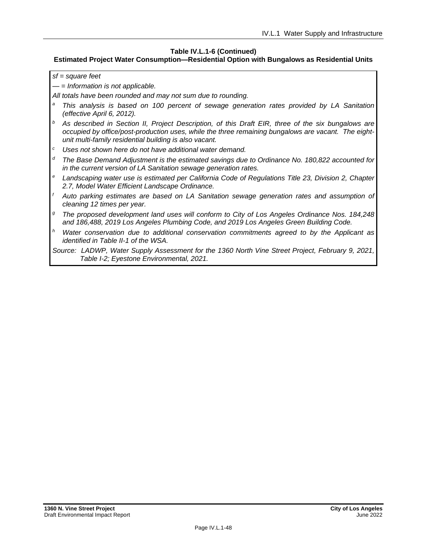#### **Table IV.L.1-6 (Continued)**

#### **Estimated Project Water Consumption—Residential Option with Bungalows as Residential Units**

*sf = square feet*

*— = Information is not applicable.*

*All totals have been rounded and may not sum due to rounding.*

- *<sup>a</sup> This analysis is based on 100 percent of sewage generation rates provided by LA Sanitation (effective April 6, 2012).*
- *<sup>b</sup> As described in Section II, Project Description, of this Draft EIR, three of the six bungalows are occupied by office/post-production uses, while the three remaining bungalows are vacant. The eightunit multi-family residential building is also vacant.*
- *<sup>c</sup> Uses not shown here do not have additional water demand.*
- *<sup>d</sup> The Base Demand Adjustment is the estimated savings due to Ordinance No. 180,822 accounted for in the current version of LA Sanitation sewage generation rates.*
- *<sup>e</sup> Landscaping water use is estimated per California Code of Regulations Title 23, Division 2, Chapter 2.7, Model Water Efficient Landscape Ordinance.*
- *<sup>f</sup> Auto parking estimates are based on LA Sanitation sewage generation rates and assumption of cleaning 12 times per year.*
- *<sup>g</sup> The proposed development land uses will conform to City of Los Angeles Ordinance Nos. 184,248 and 186,488, 2019 Los Angeles Plumbing Code, and 2019 Los Angeles Green Building Code.*
- *<sup>h</sup> Water conservation due to additional conservation commitments agreed to by the Applicant as identified in Table II-1 of the WSA.*

*Source: LADWP, Water Supply Assessment for the 1360 North Vine Street Project, February 9, 2021, Table I-2; Eyestone Environmental, 2021.*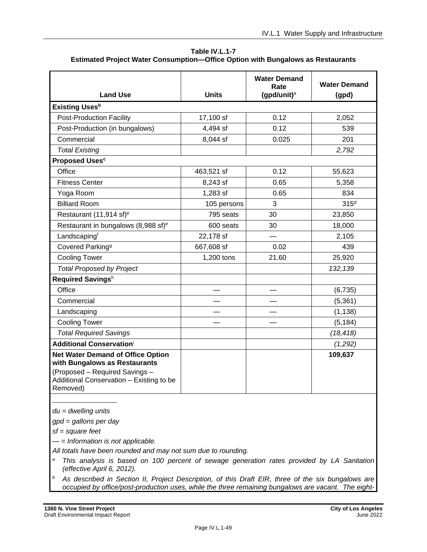| Table IV.L.1-7                                                                         |
|----------------------------------------------------------------------------------------|
| <b>Estimated Project Water Consumption—Office Option with Bungalows as Restaurants</b> |

| <b>Land Use</b>                                                                                                                                                     | <b>Units</b> | <b>Water Demand</b><br>Rate<br>(gpd/unit) $a$ | <b>Water Demand</b><br>(gpd) |
|---------------------------------------------------------------------------------------------------------------------------------------------------------------------|--------------|-----------------------------------------------|------------------------------|
| <b>Existing Uses</b> <sup>b</sup>                                                                                                                                   |              |                                               |                              |
| <b>Post-Production Facility</b>                                                                                                                                     | 17,100 sf    | 0.12                                          | 2,052                        |
| Post-Production (in bungalows)                                                                                                                                      | 4,494 sf     | 0.12                                          | 539                          |
| Commercial                                                                                                                                                          | 8,044 sf     | 0.025                                         | 201                          |
| <b>Total Existing</b>                                                                                                                                               |              |                                               | 2,792                        |
| <b>Proposed Uses<sup>c</sup></b>                                                                                                                                    |              |                                               |                              |
| Office                                                                                                                                                              | 463,521 sf   | 0.12                                          | 55,623                       |
| <b>Fitness Center</b>                                                                                                                                               | 8,243 sf     | 0.65                                          | 5,358                        |
| Yoga Room                                                                                                                                                           | 1,283 sf     | 0.65                                          | 834                          |
| <b>Billiard Room</b>                                                                                                                                                | 105 persons  | 3                                             | 315 <sup>d</sup>             |
| Restaurant (11,914 sf) <sup>e</sup>                                                                                                                                 | 795 seats    | 30                                            | 23,850                       |
| Restaurant in bungalows (8,988 sf) <sup>e</sup>                                                                                                                     | 600 seats    | 30                                            | 18,000                       |
| Landscapingf                                                                                                                                                        | 22,178 sf    |                                               | 2,105                        |
| Covered Parking <sup>9</sup>                                                                                                                                        | 667,608 sf   | 0.02                                          | 439                          |
| <b>Cooling Tower</b>                                                                                                                                                | 1,200 tons   | 21.60                                         | 25,920                       |
| <b>Total Proposed by Project</b>                                                                                                                                    |              |                                               | 132,139                      |
| Required Savingsh                                                                                                                                                   |              |                                               |                              |
| Office                                                                                                                                                              |              |                                               | (6, 735)                     |
| Commercial                                                                                                                                                          |              |                                               | (5, 361)                     |
| Landscaping                                                                                                                                                         |              |                                               | (1, 138)                     |
| <b>Cooling Tower</b>                                                                                                                                                |              |                                               | (5, 184)                     |
| <b>Total Required Savings</b>                                                                                                                                       |              |                                               | (18, 418)                    |
| <b>Additional Conservationi</b>                                                                                                                                     |              |                                               | (1,292)                      |
| <b>Net Water Demand of Office Option</b><br>with Bungalows as Restaurants<br>(Proposed - Required Savings -<br>Additional Conservation - Existing to be<br>Removed) |              |                                               | 109,637                      |

*du = dwelling units*

*gpd = gallons per day*

*sf = square feet*

*— = Information is not applicable.*

*All totals have been rounded and may not sum due to rounding.*

- *<sup>a</sup> This analysis is based on 100 percent of sewage generation rates provided by LA Sanitation (effective April 6, 2012).*
- *<sup>b</sup> As described in Section II, Project Description, of this Draft EIR, three of the six bungalows are occupied by office/post-production uses, while the three remaining bungalows are vacant. The eight-*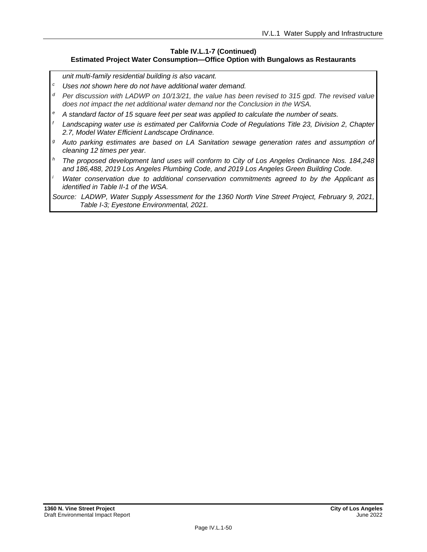#### **Table IV.L.1-7 (Continued) Estimated Project Water Consumption—Office Option with Bungalows as Restaurants**

*unit multi-family residential building is also vacant.*

- *<sup>c</sup> Uses not shown here do not have additional water demand.*
- *<sup>d</sup> Per discussion with LADWP on 10/13/21, the value has been revised to 315 gpd. The revised value does not impact the net additional water demand nor the Conclusion in the WSA.*
- *<sup>e</sup> A standard factor of 15 square feet per seat was applied to calculate the number of seats.*
- *<sup>f</sup> Landscaping water use is estimated per California Code of Regulations Title 23, Division 2, Chapter 2.7, Model Water Efficient Landscape Ordinance.*
- *<sup>g</sup> Auto parking estimates are based on LA Sanitation sewage generation rates and assumption of cleaning 12 times per year.*
- *<sup>h</sup> The proposed development land uses will conform to City of Los Angeles Ordinance Nos. 184,248 and 186,488, 2019 Los Angeles Plumbing Code, and 2019 Los Angeles Green Building Code.*
- *<sup>i</sup> Water conservation due to additional conservation commitments agreed to by the Applicant as identified in Table II-1 of the WSA.*
- *Source: LADWP, Water Supply Assessment for the 1360 North Vine Street Project, February 9, 2021, Table I-3; Eyestone Environmental, 2021.*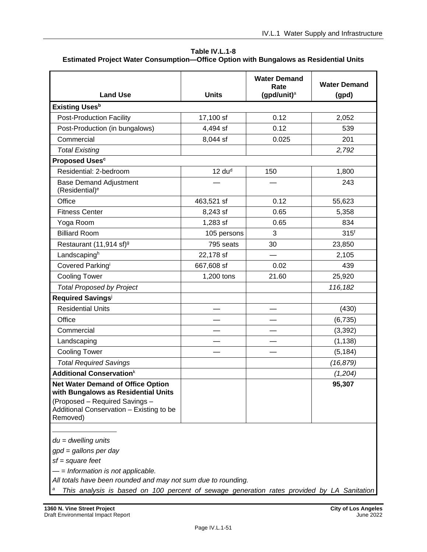| Table IV.L.1-8                                                                        |
|---------------------------------------------------------------------------------------|
| Estimated Project Water Consumption-Office Option with Bungalows as Residential Units |

| <b>Units</b><br>17,100 sf<br>4,494 sf<br>8,044 sf | (gpd/unit) $a$<br>0.12<br>0.12<br>0.025 | (gpd)<br>2,052<br>539 |
|---------------------------------------------------|-----------------------------------------|-----------------------|
|                                                   |                                         |                       |
|                                                   |                                         |                       |
|                                                   |                                         |                       |
|                                                   |                                         | 201                   |
|                                                   |                                         | 2,792                 |
|                                                   |                                         |                       |
| 12 du <sup>d</sup>                                | 150                                     | 1,800                 |
|                                                   |                                         | 243                   |
| 463,521 sf                                        | 0.12                                    | 55,623                |
| 8,243 sf                                          | 0.65                                    | 5,358                 |
| 1,283 sf                                          | 0.65                                    | 834                   |
| 105 persons                                       | 3                                       | 315 <sup>f</sup>      |
| 795 seats                                         | 30                                      | 23,850                |
| 22,178 sf                                         |                                         | 2,105                 |
| 667,608 sf                                        | 0.02                                    | 439                   |
| 1,200 tons                                        | 21.60                                   | 25,920                |
|                                                   |                                         | 116,182               |
|                                                   |                                         |                       |
|                                                   |                                         | (430)                 |
|                                                   |                                         | (6, 735)              |
|                                                   |                                         | (3, 392)              |
|                                                   |                                         | (1, 138)              |
|                                                   |                                         | (5, 184)              |
|                                                   |                                         | (16, 879)             |
|                                                   |                                         | (1,204)               |
|                                                   |                                         | 95,307                |
|                                                   |                                         |                       |

*du = dwelling units*

*gpd = gallons per day*

*sf = square feet*

*— = Information is not applicable.*

*All totals have been rounded and may not sum due to rounding.*

*<sup>a</sup> This analysis is based on 100 percent of sewage generation rates provided by LA Sanitation*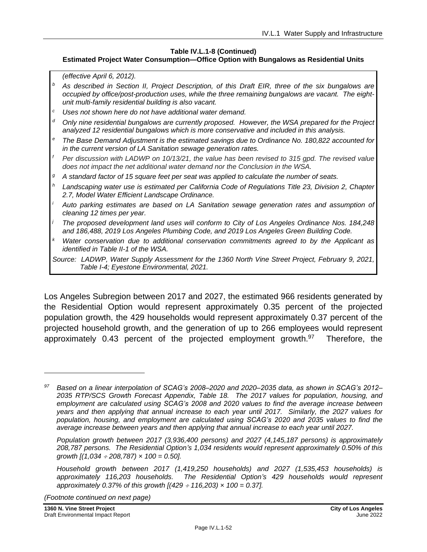#### **Table IV.L.1-8 (Continued)**

#### **Estimated Project Water Consumption—Office Option with Bungalows as Residential Units**

*(effective April 6, 2012).*

- *<sup>b</sup> As described in Section II, Project Description, of this Draft EIR, three of the six bungalows are occupied by office/post-production uses, while the three remaining bungalows are vacant. The eightunit multi-family residential building is also vacant.*
- *<sup>c</sup> Uses not shown here do not have additional water demand.*
- *<sup>d</sup> Only nine residential bungalows are currently proposed. However, the WSA prepared for the Project analyzed 12 residential bungalows which is more conservative and included in this analysis.*
- *<sup>e</sup> The Base Demand Adjustment is the estimated savings due to Ordinance No. 180,822 accounted for in the current version of LA Sanitation sewage generation rates.*
- *<sup>f</sup> Per discussion with LADWP on 10/13/21, the value has been revised to 315 gpd. The revised value does not impact the net additional water demand nor the Conclusion in the WSA.*
- *<sup>g</sup> A standard factor of 15 square feet per seat was applied to calculate the number of seats.*
- *<sup>h</sup> Landscaping water use is estimated per California Code of Regulations Title 23, Division 2, Chapter 2.7, Model Water Efficient Landscape Ordinance.*
- *<sup>i</sup> Auto parking estimates are based on LA Sanitation sewage generation rates and assumption of cleaning 12 times per year.*
- *<sup>j</sup> The proposed development land uses will conform to City of Los Angeles Ordinance Nos. 184,248 and 186,488, 2019 Los Angeles Plumbing Code, and 2019 Los Angeles Green Building Code.*
- *Water conservation due to additional conservation commitments agreed to by the Applicant as identified in Table II-1 of the WSA.*
- *Source: LADWP, Water Supply Assessment for the 1360 North Vine Street Project, February 9, 2021, Table I-4; Eyestone Environmental, 2021.*

Los Angeles Subregion between 2017 and 2027, the estimated 966 residents generated by the Residential Option would represent approximately 0.35 percent of the projected population growth, the 429 households would represent approximately 0.37 percent of the projected household growth, and the generation of up to 266 employees would represent approximately 0.43 percent of the projected employment growth.<sup>97</sup> Therefore, the

*(Footnote continued on next page)*

*<sup>97</sup> Based on a linear interpolation of SCAG's 2008–2020 and 2020–2035 data, as shown in SCAG's 2012– 2035 RTP/SCS Growth Forecast Appendix, Table 18. The 2017 values for population, housing, and employment are calculated using SCAG's 2008 and 2020 values to find the average increase between years and then applying that annual increase to each year until 2017. Similarly, the 2027 values for population, housing, and employment are calculated using SCAG's 2020 and 2035 values to find the average increase between years and then applying that annual increase to each year until 2027.*

*Population growth between 2017 (3,936,400 persons) and 2027 (4,145,187 persons) is approximately 208,787 persons. The Residential Option's 1,034 residents would represent approximately 0.50% of this growth [(1,034 208,787) × 100 = 0.50].*

*Household growth between 2017 (1,419,250 households) and 2027 (1,535,453 households) is approximately 116,203 households. The Residential Option's 429 households would represent approximately 0.37% of this growth [(429 116,203) × 100 = 0.37].*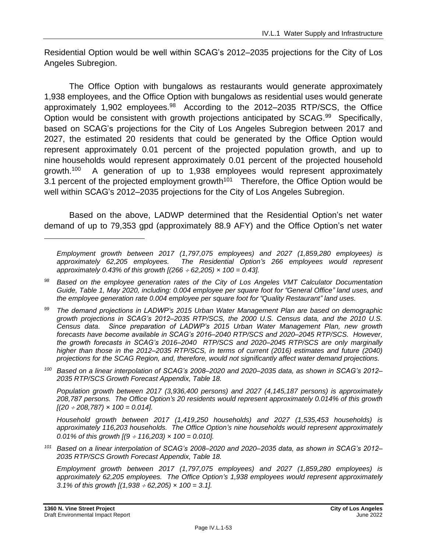Residential Option would be well within SCAG's 2012–2035 projections for the City of Los Angeles Subregion.

The Office Option with bungalows as restaurants would generate approximately 1,938 employees, and the Office Option with bungalows as residential uses would generate approximately 1,902 employees.<sup>98</sup> According to the 2012–2035 RTP/SCS, the Office Option would be consistent with growth projections anticipated by SCAG.<sup>99</sup> Specifically, based on SCAG's projections for the City of Los Angeles Subregion between 2017 and 2027, the estimated 20 residents that could be generated by the Office Option would represent approximately 0.01 percent of the projected population growth, and up to nine households would represent approximately 0.01 percent of the projected household growth.<sup>100</sup> A generation of up to 1,938 employees would represent approximately 3.1 percent of the projected employment growth<sup>101</sup> Therefore, the Office Option would be well within SCAG's 2012–2035 projections for the City of Los Angeles Subregion.

Based on the above, LADWP determined that the Residential Option's net water demand of up to 79,353 gpd (approximately 88.9 AFY) and the Office Option's net water

*<sup>99</sup> The demand projections in LADWP's 2015 Urban Water Management Plan are based on demographic growth projections in SCAG's 2012–2035 RTP/SCS, the 2000 U.S. Census data, and the 2010 U.S. Census data. Since preparation of LADWP's 2015 Urban Water Management Plan, new growth forecasts have become available in SCAG's 2016–2040 RTP/SCS and 2020–2045 RTP/SCS. However, the growth forecasts in SCAG's 2016–2040 RTP/SCS and 2020–2045 RTP/SCS are only marginally higher than those in the 2012–2035 RTP/SCS, in terms of current (2016) estimates and future (2040) projections for the SCAG Region, and, therefore, would not significantly affect water demand projections.*

*<sup>100</sup> Based on a linear interpolation of SCAG's 2008–2020 and 2020–2035 data, as shown in SCAG's 2012– 2035 RTP/SCS Growth Forecast Appendix, Table 18.*

*Population growth between 2017 (3,936,400 persons) and 2027 (4,145,187 persons) is approximately 208,787 persons. The Office Option's 20 residents would represent approximately 0.014% of this growth [(20 208,787) × 100 = 0.014].*

*Household growth between 2017 (1,419,250 households) and 2027 (1,535,453 households) is approximately 116,203 households. The Office Option's nine households would represent approximately 0.01% of this growth [(9 116,203) × 100 = 0.010].*

*<sup>101</sup> Based on a linear interpolation of SCAG's 2008–2020 and 2020–2035 data, as shown in SCAG's 2012– 2035 RTP/SCS Growth Forecast Appendix, Table 18.*

*Employment growth between 2017 (1,797,075 employees) and 2027 (1,859,280 employees) is approximately 62,205 employees. The Office Option's 1,938 employees would represent approximately 3.1% of this growth [(1,938 62,205) × 100 = 3.1].*

*Employment growth between 2017 (1,797,075 employees) and 2027 (1,859,280 employees) is approximately 62,205 employees. The Residential Option's 266 employees would represent approximately 0.43% of this growth [(266 62,205) × 100 = 0.43].*

*<sup>98</sup> Based on the employee generation rates of the City of Los Angeles VMT Calculator Documentation Guide, Table 1, May 2020, including: 0.004 employee per square foot for "General Office" land uses, and the employee generation rate 0.004 employee per square foot for "Quality Restaurant" land uses.*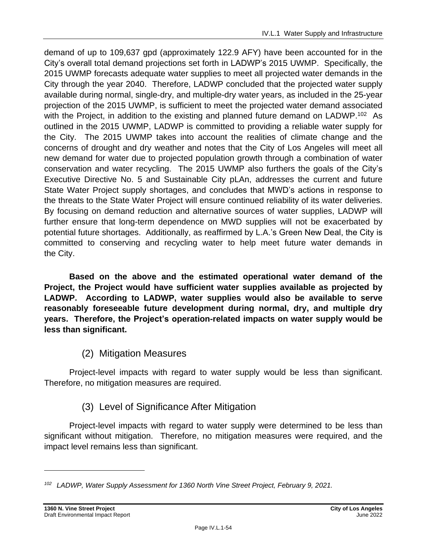demand of up to 109,637 gpd (approximately 122.9 AFY) have been accounted for in the City's overall total demand projections set forth in LADWP's 2015 UWMP. Specifically, the 2015 UWMP forecasts adequate water supplies to meet all projected water demands in the City through the year 2040. Therefore, LADWP concluded that the projected water supply available during normal, single-dry, and multiple-dry water years, as included in the 25-year projection of the 2015 UWMP, is sufficient to meet the projected water demand associated with the Project, in addition to the existing and planned future demand on LADWP.<sup>102</sup> As outlined in the 2015 UWMP, LADWP is committed to providing a reliable water supply for the City. The 2015 UWMP takes into account the realities of climate change and the concerns of drought and dry weather and notes that the City of Los Angeles will meet all new demand for water due to projected population growth through a combination of water conservation and water recycling. The 2015 UWMP also furthers the goals of the City's Executive Directive No. 5 and Sustainable City pLAn, addresses the current and future State Water Project supply shortages, and concludes that MWD's actions in response to the threats to the State Water Project will ensure continued reliability of its water deliveries. By focusing on demand reduction and alternative sources of water supplies, LADWP will further ensure that long-term dependence on MWD supplies will not be exacerbated by potential future shortages. Additionally, as reaffirmed by L.A.'s Green New Deal, the City is committed to conserving and recycling water to help meet future water demands in the City.

**Based on the above and the estimated operational water demand of the Project, the Project would have sufficient water supplies available as projected by LADWP. According to LADWP, water supplies would also be available to serve reasonably foreseeable future development during normal, dry, and multiple dry years. Therefore, the Project's operation-related impacts on water supply would be less than significant.**

# (2) Mitigation Measures

Project-level impacts with regard to water supply would be less than significant. Therefore, no mitigation measures are required.

# (3) Level of Significance After Mitigation

Project-level impacts with regard to water supply were determined to be less than significant without mitigation. Therefore, no mitigation measures were required, and the impact level remains less than significant.

*<sup>102</sup> LADWP, Water Supply Assessment for 1360 North Vine Street Project, February 9, 2021.*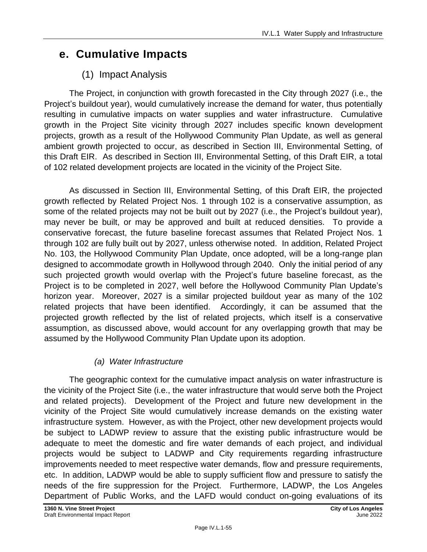# **e. Cumulative Impacts**

# (1) Impact Analysis

The Project, in conjunction with growth forecasted in the City through 2027 (i.e., the Project's buildout year), would cumulatively increase the demand for water, thus potentially resulting in cumulative impacts on water supplies and water infrastructure. Cumulative growth in the Project Site vicinity through 2027 includes specific known development projects, growth as a result of the Hollywood Community Plan Update, as well as general ambient growth projected to occur, as described in Section III, Environmental Setting, of this Draft EIR. As described in Section III, Environmental Setting, of this Draft EIR, a total of 102 related development projects are located in the vicinity of the Project Site.

As discussed in Section III, Environmental Setting, of this Draft EIR, the projected growth reflected by Related Project Nos. 1 through 102 is a conservative assumption, as some of the related projects may not be built out by 2027 (i.e., the Project's buildout year), may never be built, or may be approved and built at reduced densities. To provide a conservative forecast, the future baseline forecast assumes that Related Project Nos. 1 through 102 are fully built out by 2027, unless otherwise noted. In addition, Related Project No. 103, the Hollywood Community Plan Update, once adopted, will be a long-range plan designed to accommodate growth in Hollywood through 2040. Only the initial period of any such projected growth would overlap with the Project's future baseline forecast, as the Project is to be completed in 2027, well before the Hollywood Community Plan Update's horizon year. Moreover, 2027 is a similar projected buildout year as many of the 102 related projects that have been identified. Accordingly, it can be assumed that the projected growth reflected by the list of related projects, which itself is a conservative assumption, as discussed above, would account for any overlapping growth that may be assumed by the Hollywood Community Plan Update upon its adoption.

# *(a) Water Infrastructure*

The geographic context for the cumulative impact analysis on water infrastructure is the vicinity of the Project Site (i.e., the water infrastructure that would serve both the Project and related projects). Development of the Project and future new development in the vicinity of the Project Site would cumulatively increase demands on the existing water infrastructure system. However, as with the Project, other new development projects would be subject to LADWP review to assure that the existing public infrastructure would be adequate to meet the domestic and fire water demands of each project, and individual projects would be subject to LADWP and City requirements regarding infrastructure improvements needed to meet respective water demands, flow and pressure requirements, etc. In addition, LADWP would be able to supply sufficient flow and pressure to satisfy the needs of the fire suppression for the Project. Furthermore, LADWP, the Los Angeles Department of Public Works, and the LAFD would conduct on-going evaluations of its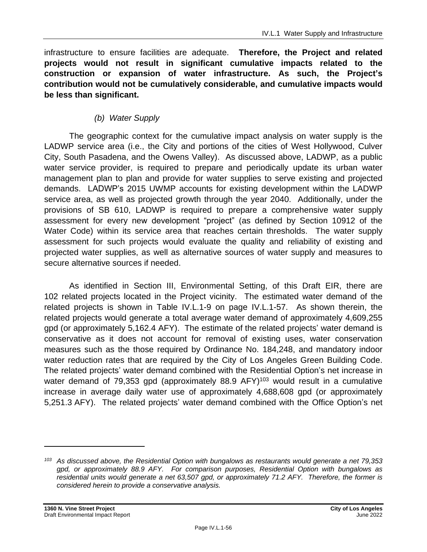infrastructure to ensure facilities are adequate. **Therefore, the Project and related projects would not result in significant cumulative impacts related to the construction or expansion of water infrastructure. As such, the Project's contribution would not be cumulatively considerable, and cumulative impacts would be less than significant.**

### *(b) Water Supply*

The geographic context for the cumulative impact analysis on water supply is the LADWP service area (i.e., the City and portions of the cities of West Hollywood, Culver City, South Pasadena, and the Owens Valley). As discussed above, LADWP, as a public water service provider, is required to prepare and periodically update its urban water management plan to plan and provide for water supplies to serve existing and projected demands. LADWP's 2015 UWMP accounts for existing development within the LADWP service area, as well as projected growth through the year 2040. Additionally, under the provisions of SB 610, LADWP is required to prepare a comprehensive water supply assessment for every new development "project" (as defined by Section 10912 of the Water Code) within its service area that reaches certain thresholds. The water supply assessment for such projects would evaluate the quality and reliability of existing and projected water supplies, as well as alternative sources of water supply and measures to secure alternative sources if needed.

As identified in Section III, Environmental Setting, of this Draft EIR, there are 102 related projects located in the Project vicinity. The estimated water demand of the related projects is shown in Table IV.L.1-9 on page [IV.L.1-57.](#page-56-0) As shown therein, the related projects would generate a total average water demand of approximately 4,609,255 gpd (or approximately 5,162.4 AFY). The estimate of the related projects' water demand is conservative as it does not account for removal of existing uses, water conservation measures such as the those required by Ordinance No. 184,248, and mandatory indoor water reduction rates that are required by the City of Los Angeles Green Building Code. The related projects' water demand combined with the Residential Option's net increase in water demand of 79,353 gpd (approximately 88.9  $AFY$ )<sup>103</sup> would result in a cumulative increase in average daily water use of approximately 4,688,608 gpd (or approximately 5,251.3 AFY). The related projects' water demand combined with the Office Option's net

*<sup>103</sup> As discussed above, the Residential Option with bungalows as restaurants would generate a net 79,353 gpd, or approximately 88.9 AFY. For comparison purposes, Residential Option with bungalows as residential units would generate a net 63,507 gpd, or approximately 71.2 AFY. Therefore, the former is considered herein to provide a conservative analysis.*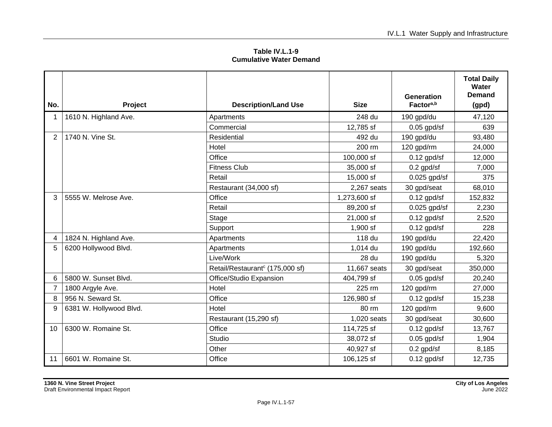**Table IV.L.1-9 Cumulative Water Demand**

<span id="page-56-0"></span>

| No.            | Project                 | <b>Description/Land Use</b>                 | <b>Size</b>  | <b>Generation</b><br>Factor <sup>a,b</sup> | <b>Total Daily</b><br>Water<br>Demand<br>(gpd) |
|----------------|-------------------------|---------------------------------------------|--------------|--------------------------------------------|------------------------------------------------|
|                | 1610 N. Highland Ave.   | Apartments                                  | 248 du       | 190 gpd/du                                 | 47,120                                         |
|                |                         | Commercial                                  | 12,785 sf    | $0.05$ gpd/sf                              | 639                                            |
| $\overline{2}$ | 1740 N. Vine St.        | Residential                                 | 492 du       | 190 gpd/du                                 | 93,480                                         |
|                |                         | Hotel                                       | 200 rm       | 120 gpd/rm                                 | 24,000                                         |
|                |                         | Office                                      | 100,000 sf   | $0.12$ gpd/sf                              | 12,000                                         |
|                |                         | <b>Fitness Club</b>                         | 35,000 sf    | $0.2$ gpd/sf                               | 7,000                                          |
|                |                         | Retail                                      | 15,000 sf    | $0.025$ gpd/sf                             | 375                                            |
|                |                         | Restaurant (34,000 sf)                      | 2,267 seats  | 30 gpd/seat                                | 68,010                                         |
| 3              | 5555 W. Melrose Ave.    | Office                                      | 1,273,600 sf | $0.12$ gpd/sf                              | 152,832                                        |
|                |                         | Retail                                      | 89,200 sf    | $0.025$ gpd/sf                             | 2,230                                          |
|                |                         | Stage                                       | 21,000 sf    | $0.12$ gpd/sf                              | 2,520                                          |
|                |                         | Support                                     | 1,900 sf     | $0.12$ gpd/sf                              | 228                                            |
| 4              | 1824 N. Highland Ave.   | Apartments                                  | 118 du       | 190 gpd/du                                 | 22,420                                         |
| 5              | 6200 Hollywood Blvd.    | Apartments                                  | 1,014 du     | 190 gpd/du                                 | 192,660                                        |
|                |                         | Live/Work                                   | 28 du        | 190 gpd/du                                 | 5,320                                          |
|                |                         | Retail/Restaurant <sup>c</sup> (175,000 sf) | 11,667 seats | 30 gpd/seat                                | 350,000                                        |
| 6              | 5800 W. Sunset Blvd.    | Office/Studio Expansion                     | 404,799 sf   | $0.05$ gpd/sf                              | 20,240                                         |
| 7              | 1800 Argyle Ave.        | Hotel                                       | 225 rm       | 120 gpd/rm                                 | 27,000                                         |
| 8              | 956 N. Seward St.       | Office                                      | 126,980 sf   | $0.12$ gpd/sf                              | 15,238                                         |
| 9              | 6381 W. Hollywood Blvd. | Hotel                                       | 80 rm        | 120 gpd/rm                                 | 9,600                                          |
|                |                         | Restaurant (15,290 sf)                      | 1,020 seats  | 30 gpd/seat                                | 30,600                                         |
| 10             | 6300 W. Romaine St.     | Office                                      | 114,725 sf   | $0.12$ gpd/sf                              | 13,767                                         |
|                |                         | Studio                                      | 38,072 sf    | $0.05$ gpd/sf                              | 1,904                                          |
|                |                         | Other                                       | 40,927 sf    | $0.2$ gpd/sf                               | 8,185                                          |
| 11             | 6601 W. Romaine St.     | Office                                      | 106,125 sf   | $0.12$ gpd/sf                              | 12,735                                         |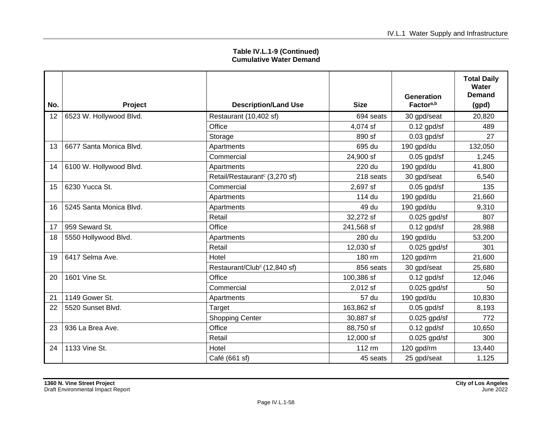| Table IV.L.1-9 (Continued)     |  |
|--------------------------------|--|
| <b>Cumulative Water Demand</b> |  |

| No. | <b>Project</b>          | <b>Description/Land Use</b>               | <b>Size</b> | Generation<br>Factor <sup>a,b</sup> | <b>Total Daily</b><br>Water<br>Demand<br>(gpd) |
|-----|-------------------------|-------------------------------------------|-------------|-------------------------------------|------------------------------------------------|
| 12  | 6523 W. Hollywood Blvd. | Restaurant (10,402 sf)                    | 694 seats   | 30 gpd/seat                         | 20,820                                         |
|     |                         | Office                                    | 4,074 sf    | $0.12$ gpd/sf                       | 489                                            |
|     |                         |                                           | 890 sf      |                                     | 27                                             |
|     |                         | Storage                                   |             | $0.03$ gpd/sf                       |                                                |
| 13  | 6677 Santa Monica Blvd. | Apartments                                | 695 du      | 190 gpd/du                          | 132,050                                        |
|     |                         | Commercial                                | 24,900 sf   | $0.05$ gpd/sf                       | 1,245                                          |
| 14  | 6100 W. Hollywood Blvd. | Apartments                                | 220 du      | 190 gpd/du                          | 41,800                                         |
|     |                         | Retail/Restaurant <sup>c</sup> (3,270 sf) | 218 seats   | 30 gpd/seat                         | 6,540                                          |
| 15  | 6230 Yucca St.          | Commercial                                | 2,697 sf    | $0.05$ gpd/sf                       | 135                                            |
|     |                         | Apartments                                | 114 du      | 190 gpd/du                          | 21,660                                         |
| 16  | 5245 Santa Monica Blvd. | Apartments                                | 49 du       | 190 gpd/du                          | 9,310                                          |
|     |                         | Retail                                    | 32,272 sf   | $0.025$ gpd/sf                      | 807                                            |
| 17  | 959 Seward St.          | Office                                    | 241,568 sf  | $0.12$ gpd/sf                       | 28,988                                         |
| 18  | 5550 Hollywood Blvd.    | Apartments                                | 280 du      | 190 gpd/du                          | 53,200                                         |
|     |                         | Retail                                    | 12,030 sf   | $0.025$ gpd/sf                      | 301                                            |
| 19  | 6417 Selma Ave.         | Hotel                                     | 180 rm      | 120 gpd/rm                          | 21,600                                         |
|     |                         | Restaurant/Club <sup>c</sup> (12,840 sf)  | 856 seats   | 30 gpd/seat                         | 25,680                                         |
| 20  | 1601 Vine St.           | Office                                    | 100,386 sf  | $0.12$ gpd/sf                       | 12,046                                         |
|     |                         | Commercial                                | 2,012 sf    | $0.025$ gpd/sf                      | 50                                             |
| 21  | 1149 Gower St.          | Apartments                                | 57 du       | 190 gpd/du                          | 10,830                                         |
| 22  | 5520 Sunset Blvd.       | Target                                    | 163,862 sf  | $0.05$ gpd/sf                       | 8,193                                          |
|     |                         | <b>Shopping Center</b>                    | 30,887 sf   | $0.025$ gpd/sf                      | 772                                            |
| 23  | 936 La Brea Ave.        | Office                                    | 88,750 sf   | $0.12$ gpd/sf                       | 10,650                                         |
|     |                         | Retail                                    | 12,000 sf   | $0.025$ gpd/sf                      | 300                                            |
| 24  | 1133 Vine St.           | Hotel                                     | 112 rm      | 120 gpd/rm                          | 13,440                                         |
|     |                         | Café (661 sf)                             | 45 seats    | 25 gpd/seat                         | 1,125                                          |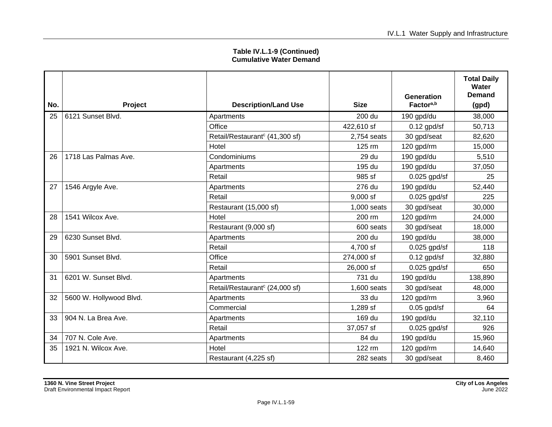|     |                         |                                            |             | <b>Generation</b>     | <b>Total Daily</b><br>Water<br><b>Demand</b> |
|-----|-------------------------|--------------------------------------------|-------------|-----------------------|----------------------------------------------|
| No. | <b>Project</b>          | <b>Description/Land Use</b>                | <b>Size</b> | Factor <sup>a,b</sup> | (gpd)                                        |
| 25  | 6121 Sunset Blvd.       | Apartments                                 | 200 du      | 190 gpd/du            | 38,000                                       |
|     |                         | Office                                     | 422,610 sf  | $0.12$ gpd/sf         | 50,713                                       |
|     |                         | Retail/Restaurant <sup>c</sup> (41,300 sf) | 2,754 seats | 30 gpd/seat           | 82,620                                       |
|     |                         | Hotel                                      | 125 rm      | 120 gpd/rm            | 15,000                                       |
| 26  | 1718 Las Palmas Ave.    | Condominiums                               | 29 du       | 190 gpd/du            | 5,510                                        |
|     |                         | Apartments                                 | 195 du      | 190 gpd/du            | 37,050                                       |
|     |                         | Retail                                     | 985 sf      | $0.025$ gpd/sf        | 25                                           |
| 27  | 1546 Argyle Ave.        | Apartments                                 | 276 du      | 190 gpd/du            | 52,440                                       |
|     |                         | Retail                                     | $9,000$ sf  | $0.025$ gpd/sf        | 225                                          |
|     |                         | Restaurant (15,000 sf)                     | 1,000 seats | 30 gpd/seat           | 30,000                                       |
| 28  | 1541 Wilcox Ave.        | Hotel                                      | 200 rm      | 120 gpd/rm            | 24,000                                       |
|     |                         | Restaurant (9,000 sf)                      | 600 seats   | 30 gpd/seat           | 18,000                                       |
| 29  | 6230 Sunset Blvd.       | Apartments                                 | 200 du      | 190 gpd/du            | 38,000                                       |
|     |                         | Retail                                     | 4,700 sf    | $0.025$ gpd/sf        | 118                                          |
| 30  | 5901 Sunset Blvd.       | Office                                     | 274,000 sf  | $0.12$ gpd/sf         | 32,880                                       |
|     |                         | Retail                                     | 26,000 sf   | $0.025$ gpd/sf        | 650                                          |
| 31  | 6201 W. Sunset Blvd.    | Apartments                                 | 731 du      | 190 gpd/du            | 138,890                                      |
|     |                         | Retail/Restaurant <sup>c</sup> (24,000 sf) | 1,600 seats | 30 gpd/seat           | 48,000                                       |
| 32  | 5600 W. Hollywood Blvd. | Apartments                                 | 33 du       | 120 gpd/rm            | 3,960                                        |
|     |                         | Commercial                                 | 1,289 sf    | $0.05$ gpd/sf         | 64                                           |
| 33  | 904 N. La Brea Ave.     | Apartments                                 | 169 du      | 190 gpd/du            | 32,110                                       |
|     |                         | Retail                                     | 37,057 sf   | $0.025$ gpd/sf        | 926                                          |
| 34  | 707 N. Cole Ave.        | Apartments                                 | 84 du       | 190 gpd/du            | 15,960                                       |
| 35  | 1921 N. Wilcox Ave.     | Hotel                                      | 122 rm      | 120 gpd/rm            | 14,640                                       |
|     |                         | Restaurant (4,225 sf)                      | 282 seats   | 30 gpd/seat           | 8,460                                        |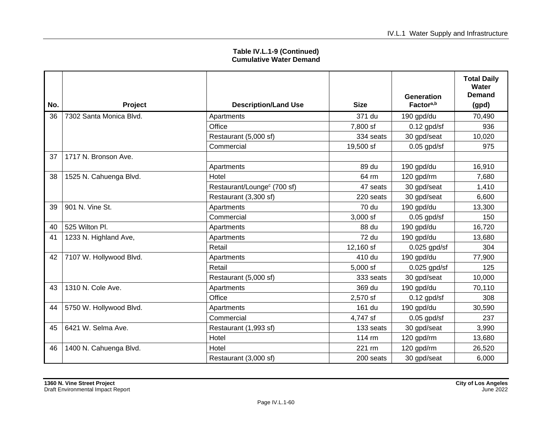| No. |                         |                                         | <b>Size</b> | Generation<br>Factor <sup>a,b</sup> | <b>Total Daily</b><br>Water<br>Demand |
|-----|-------------------------|-----------------------------------------|-------------|-------------------------------------|---------------------------------------|
|     | <b>Project</b>          | <b>Description/Land Use</b>             |             |                                     | (gpd)                                 |
| 36  | 7302 Santa Monica Blvd. | Apartments                              | 371 du      | 190 gpd/du                          | 70,490                                |
|     |                         | Office                                  | 7,800 sf    | $0.12$ gpd/sf                       | 936                                   |
|     |                         | Restaurant (5,000 sf)                   | 334 seats   | 30 gpd/seat                         | 10,020                                |
|     |                         | Commercial                              | 19,500 sf   | $0.05$ gpd/sf                       | 975                                   |
| 37  | 1717 N. Bronson Ave.    |                                         |             |                                     |                                       |
|     |                         | Apartments                              | 89 du       | 190 gpd/du                          | 16,910                                |
| 38  | 1525 N. Cahuenga Blvd.  | Hotel                                   | 64 rm       | 120 gpd/rm                          | 7,680                                 |
|     |                         | Restaurant/Lounge <sup>c</sup> (700 sf) | 47 seats    | 30 gpd/seat                         | 1,410                                 |
|     |                         | Restaurant (3,300 sf)                   | 220 seats   | 30 gpd/seat                         | 6,600                                 |
| 39  | 901 N. Vine St.         | Apartments                              | 70 du       | 190 gpd/du                          | 13,300                                |
|     |                         | Commercial                              | $3,000$ sf  | $0.05$ gpd/sf                       | 150                                   |
| 40  | 525 Wilton Pl.          | Apartments                              | 88 du       | 190 gpd/du                          | 16,720                                |
| 41  | 1233 N. Highland Ave,   | Apartments                              | 72 du       | 190 gpd/du                          | 13,680                                |
|     |                         | Retail                                  | 12,160 sf   | $0.025$ gpd/sf                      | 304                                   |
| 42  | 7107 W. Hollywood Blvd. | Apartments                              | 410 du      | 190 gpd/du                          | 77,900                                |
|     |                         | Retail                                  | $5,000$ sf  | $0.025$ gpd/sf                      | 125                                   |
|     |                         | Restaurant (5,000 sf)                   | 333 seats   | 30 gpd/seat                         | 10,000                                |
| 43  | 1310 N. Cole Ave.       | Apartments                              | 369 du      | 190 gpd/du                          | 70,110                                |
|     |                         | Office                                  | 2,570 sf    | $0.12$ gpd/sf                       | 308                                   |
| 44  | 5750 W. Hollywood Blvd. | Apartments                              | 161 du      | 190 gpd/du                          | 30,590                                |
|     |                         | Commercial                              | 4,747 sf    | $0.05$ gpd/sf                       | 237                                   |
| 45  | 6421 W. Selma Ave.      | Restaurant (1,993 sf)                   | 133 seats   | 30 gpd/seat                         | 3,990                                 |
|     |                         | Hotel                                   | 114 rm      | 120 gpd/rm                          | 13,680                                |
| 46  | 1400 N. Cahuenga Blvd.  | Hotel                                   | 221 rm      | 120 gpd/rm                          | 26,520                                |
|     |                         | Restaurant (3,000 sf)                   | 200 seats   | 30 gpd/seat                         | 6,000                                 |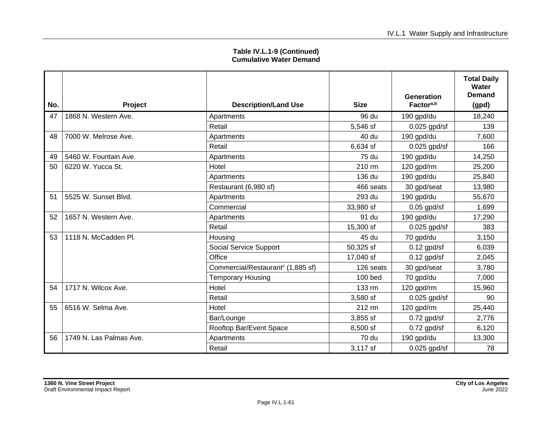| Table IV.L.1-9 (Continued)     |  |
|--------------------------------|--|
| <b>Cumulative Water Demand</b> |  |

| No. | Project                 | <b>Description/Land Use</b>                   | <b>Size</b>      | Generation<br>Factor <sup>a,b</sup> | <b>Total Daily</b><br>Water<br>Demand<br>(gpd) |
|-----|-------------------------|-----------------------------------------------|------------------|-------------------------------------|------------------------------------------------|
| 47  | 1868 N. Western Ave.    | Apartments                                    | 96 du            | 190 gpd/du                          | 18,240                                         |
|     |                         | Retail                                        | 5,546 sf         | $0.025$ gpd/sf                      | 139                                            |
| 48  | 7000 W. Melrose Ave.    | Apartments                                    | 40 du            | 190 gpd/du                          | 7,600                                          |
|     |                         | Retail                                        | 6,634 sf         | $0.025$ gpd/sf                      | 166                                            |
| 49  | l 5460 W. Fountain Ave. | Apartments                                    | 75 du            | 190 gpd/du                          | 14,250                                         |
| 50  | 6220 W. Yucca St.       | Hotel                                         | $210 \text{ rm}$ | 120 gpd/rm                          | 25,200                                         |
|     |                         | Apartments                                    | 136 du           | 190 gpd/du                          | 25,840                                         |
|     |                         | Restaurant (6,980 sf)                         | 466 seats        | 30 gpd/seat                         | 13,980                                         |
| 51  | 5525 W. Sunset Blvd.    | Apartments                                    | 293 du           | 190 gpd/du                          | 55,670                                         |
|     |                         | Commercial                                    | 33,980 sf        | $0.05$ gpd/sf                       | 1,699                                          |
| 52  | 1657 N. Western Ave.    | Apartments                                    | 91 du            | 190 gpd/du                          | 17,290                                         |
|     |                         | Retail                                        | 15,300 sf        | $0.025$ gpd/sf                      | 383                                            |
| 53  | 1118 N. McCadden Pl.    | Housing                                       | 45 du            | 70 gpd/du                           | 3,150                                          |
|     |                         | Social Service Support                        | 50,325 sf        | $0.12$ gpd/sf                       | 6,039                                          |
|     |                         | Office                                        | 17,040 sf        | $0.12$ gpd/sf                       | 2,045                                          |
|     |                         | Commercial/Restaurant <sup>c</sup> (1,885 sf) | 126 seats        | 30 gpd/seat                         | 3,780                                          |
|     |                         | <b>Temporary Housing</b>                      | $100$ bed        | 70 gpd/du                           | 7,000                                          |
| 54  | 1717 N. Wilcox Ave.     | Hotel                                         | 133 rm           | 120 gpd/rm                          | 15,960                                         |
|     |                         | Retail                                        | 3,580 sf         | $0.025$ gpd/sf                      | 90                                             |
| 55  | 6516 W. Selma Ave.      | Hotel                                         | 212 rm           | 120 gpd/rm                          | 25,440                                         |
|     |                         | Bar/Lounge                                    | $3,855$ sf       | $0.72$ gpd/sf                       | 2,776                                          |
|     |                         | Rooftop Bar/Event Space                       | 8,500 sf         | 0.72 gpd/sf                         | 6,120                                          |
| 56  | 1749 N. Las Palmas Ave. | Apartments                                    | 70 du            | 190 gpd/du                          | 13,300                                         |
|     |                         | Retail                                        | 3,117 sf         | $0.025$ gpd/sf                      | 78                                             |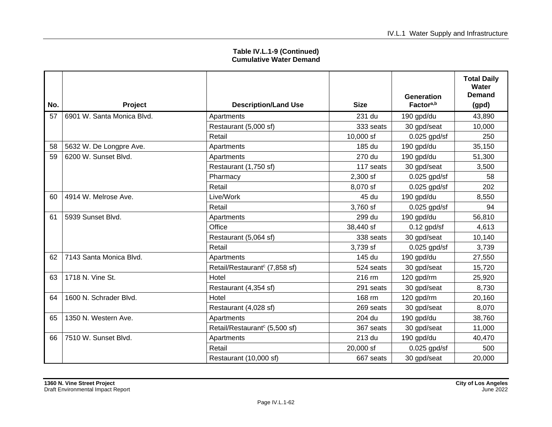| No. | <b>Project</b>             | <b>Description/Land Use</b>               | <b>Size</b> | <b>Generation</b><br>Factor <sup>a,b</sup> | <b>Total Daily</b><br>Water<br>Demand<br>(gpd) |
|-----|----------------------------|-------------------------------------------|-------------|--------------------------------------------|------------------------------------------------|
| 57  | 6901 W. Santa Monica Blvd. | Apartments                                | 231 du      | 190 gpd/du                                 | 43,890                                         |
|     |                            | Restaurant (5,000 sf)                     | 333 seats   | 30 gpd/seat                                | 10,000                                         |
|     |                            | Retail                                    | 10,000 sf   | $0.025$ gpd/sf                             | 250                                            |
| 58  | 5632 W. De Longpre Ave.    | Apartments                                | 185 du      | 190 gpd/du                                 | 35,150                                         |
| 59  | 6200 W. Sunset Blvd.       | Apartments                                | 270 du      | 190 gpd/du                                 | 51,300                                         |
|     |                            | Restaurant (1,750 sf)                     | 117 seats   | 30 gpd/seat                                | 3,500                                          |
|     |                            | Pharmacy                                  | $2,300$ sf  | $0.025$ gpd/sf                             | 58                                             |
|     |                            | Retail                                    | 8,070 sf    | $0.025$ gpd/sf                             | 202                                            |
| 60  | 4914 W. Melrose Ave.       | Live/Work                                 | 45 du       | 190 gpd/du                                 | 8,550                                          |
|     |                            | Retail                                    | 3,760 sf    | $0.025$ gpd/sf                             | 94                                             |
| 61  | 5939 Sunset Blvd.          | Apartments                                | 299 du      | 190 gpd/du                                 | 56,810                                         |
|     |                            | Office                                    | 38,440 sf   | $0.12$ gpd/sf                              | 4,613                                          |
|     |                            | Restaurant (5,064 sf)                     | 338 seats   | 30 gpd/seat                                | 10,140                                         |
|     |                            | Retail                                    | 3,739 sf    | $0.025$ gpd/sf                             | 3,739                                          |
| 62  | 7143 Santa Monica Blvd.    | Apartments                                | 145 du      | 190 gpd/du                                 | 27,550                                         |
|     |                            | Retail/Restaurant <sup>c</sup> (7,858 sf) | 524 seats   | 30 gpd/seat                                | 15,720                                         |
| 63  | 1718 N. Vine St.           | Hotel                                     | 216 rm      | 120 gpd/rm                                 | 25,920                                         |
|     |                            | Restaurant (4,354 sf)                     | 291 seats   | 30 gpd/seat                                | 8,730                                          |
| 64  | 1600 N. Schrader Blvd.     | Hotel                                     | 168 rm      | 120 gpd/rm                                 | 20,160                                         |
|     |                            | Restaurant (4,028 sf)                     | 269 seats   | 30 gpd/seat                                | 8,070                                          |
| 65  | 1350 N. Western Ave.       | Apartments                                | 204 du      | 190 gpd/du                                 | 38,760                                         |
|     |                            | Retail/Restaurant <sup>c</sup> (5,500 sf) | 367 seats   | 30 gpd/seat                                | 11,000                                         |
| 66  | 7510 W. Sunset Blvd.       | Apartments                                | 213 du      | 190 gpd/du                                 | 40,470                                         |
|     |                            | Retail                                    | 20,000 sf   | $0.025$ gpd/sf                             | 500                                            |
|     |                            | Restaurant (10,000 sf)                    | 667 seats   | 30 gpd/seat                                | 20,000                                         |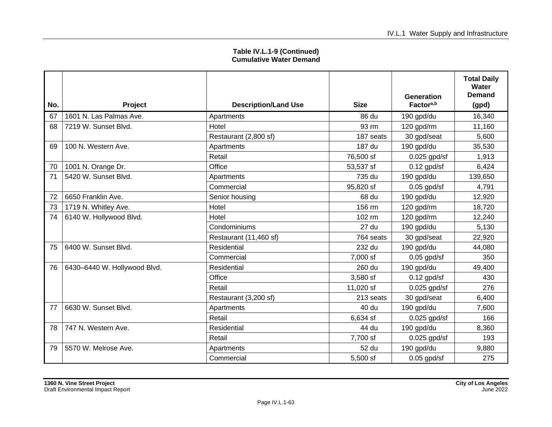| No. | <b>Project</b>               | <b>Description/Land Use</b> | <b>Size</b> | <b>Generation</b><br>Factor <sup>a,b</sup> | <b>Total Daily</b><br>Water<br>Demand |
|-----|------------------------------|-----------------------------|-------------|--------------------------------------------|---------------------------------------|
| 67  | 1601 N. Las Palmas Ave.      |                             | 86 du       |                                            | (gpd)<br>16,340                       |
|     |                              | Apartments                  |             | 190 gpd/du                                 |                                       |
| 68  | 7219 W. Sunset Blvd.         | Hotel                       | 93 rm       | 120 gpd/rm                                 | 11,160                                |
|     |                              | Restaurant (2,800 sf)       | 187 seats   | 30 gpd/seat                                | 5,600                                 |
| 69  | 100 N. Western Ave.          | Apartments                  | 187 du      | 190 gpd/du                                 | 35,530                                |
|     |                              | Retail                      | 76,500 sf   | $0.025$ gpd/sf                             | 1,913                                 |
| 70  | 1001 N. Orange Dr.           | Office                      | 53,537 sf   | $0.12$ gpd/sf                              | 6,424                                 |
| 71  | 5420 W. Sunset Blvd.         | Apartments                  | 735 du      | 190 gpd/du                                 | 139,650                               |
|     |                              | Commercial                  | 95,820 sf   | $0.05$ gpd/sf                              | 4,791                                 |
| 72  | 6650 Franklin Ave.           | Senior housing              | 68 du       | 190 gpd/du                                 | 12,920                                |
| 73  | 1719 N. Whitley Ave.         | Hotel                       | 156 rm      | 120 gpd/rm                                 | 18,720                                |
| 74  | 6140 W. Hollywood Blvd.      | Hotel                       | 102 rm      | 120 gpd/rm                                 | 12,240                                |
|     |                              | Condominiums                | 27 du       | 190 gpd/du                                 | 5,130                                 |
|     |                              | Restaurant (11,460 sf)      | 764 seats   | 30 gpd/seat                                | 22,920                                |
| 75  | 6400 W. Sunset Blvd.         | Residential                 | 232 du      | 190 gpd/du                                 | 44,080                                |
|     |                              | Commercial                  | 7,000 sf    | $0.05$ gpd/sf                              | 350                                   |
| 76  | 6430-6440 W. Hollywood Blvd. | Residential                 | 260 du      | 190 gpd/du                                 | 49,400                                |
|     |                              | Office                      | 3,580 sf    | $0.12$ gpd/sf                              | 430                                   |
|     |                              | Retail                      | 11,020 sf   | $0.025$ gpd/sf                             | 276                                   |
|     |                              | Restaurant (3,200 sf)       | 213 seats   | 30 gpd/seat                                | 6,400                                 |
| 77  | 6630 W. Sunset Blvd.         | Apartments                  | 40 du       | 190 gpd/du                                 | 7,600                                 |
|     |                              | Retail                      | 6,634 sf    | $0.025$ gpd/sf                             | 166                                   |
| 78  | 747 N. Western Ave.          | Residential                 | 44 du       | 190 gpd/du                                 | 8,360                                 |
|     |                              | Retail                      | 7,700 sf    | $0.025$ gpd/sf                             | 193                                   |
| 79  | 5570 W. Melrose Ave.         | Apartments                  | 52 du       | 190 gpd/du                                 | 9,880                                 |
|     |                              | Commercial                  | 5,500 sf    | $0.05$ gpd/sf                              | 275                                   |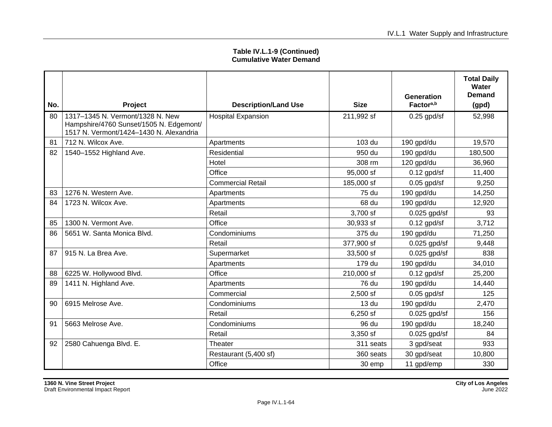| No. | Project                                                                                                                | <b>Description/Land Use</b> | <b>Size</b> | Generation<br>Factor <sup>a,b</sup> | <b>Total Daily</b><br>Water<br>Demand<br>(gpd) |
|-----|------------------------------------------------------------------------------------------------------------------------|-----------------------------|-------------|-------------------------------------|------------------------------------------------|
| 80  | 1317-1345 N. Vermont/1328 N. New<br>Hampshire/4760 Sunset/1505 N. Edgemont/<br>1517 N. Vermont/1424-1430 N. Alexandria | <b>Hospital Expansion</b>   | 211,992 sf  | $0.25$ gpd/sf                       | 52,998                                         |
| 81  | 712 N. Wilcox Ave.                                                                                                     | Apartments                  | 103 du      | 190 gpd/du                          | 19,570                                         |
| 82  | 1540-1552 Highland Ave.                                                                                                | Residential                 | 950 du      | 190 gpd/du                          | 180,500                                        |
|     |                                                                                                                        | Hotel                       | 308 rm      | 120 gpd/du                          | 36,960                                         |
|     |                                                                                                                        | Office                      | 95,000 sf   | $0.12$ gpd/sf                       | 11,400                                         |
|     |                                                                                                                        | <b>Commercial Retail</b>    | 185,000 sf  | $0.05$ gpd/sf                       | 9,250                                          |
| 83  | 1276 N. Western Ave.                                                                                                   | Apartments                  | 75 du       | 190 gpd/du                          | 14,250                                         |
| 84  | 1723 N. Wilcox Ave.                                                                                                    | Apartments                  | 68 du       | 190 gpd/du                          | 12,920                                         |
|     |                                                                                                                        | Retail                      | 3,700 sf    | $0.025$ gpd/sf                      | 93                                             |
| 85  | 1300 N. Vermont Ave.                                                                                                   | Office                      | 30,933 sf   | $0.12$ gpd/sf                       | 3,712                                          |
| 86  | 5651 W. Santa Monica Blvd.                                                                                             | Condominiums                | 375 du      | 190 gpd/du                          | 71,250                                         |
|     |                                                                                                                        | Retail                      | 377,900 sf  | $0.025$ gpd/sf                      | 9,448                                          |
| 87  | 915 N. La Brea Ave.                                                                                                    | Supermarket                 | 33,500 sf   | $0.025$ gpd/sf                      | 838                                            |
|     |                                                                                                                        | Apartments                  | 179 du      | 190 gpd/du                          | 34,010                                         |
| 88  | 6225 W. Hollywood Blvd.                                                                                                | Office                      | 210,000 sf  | $0.12$ gpd/sf                       | 25,200                                         |
| 89  | 1411 N. Highland Ave.                                                                                                  | Apartments                  | 76 du       | 190 gpd/du                          | 14,440                                         |
|     |                                                                                                                        | Commercial                  | 2,500 sf    | $0.05$ gpd/sf                       | 125                                            |
| 90  | 6915 Melrose Ave.                                                                                                      | Condominiums                | 13 du       | 190 gpd/du                          | 2,470                                          |
|     |                                                                                                                        | Retail                      | 6,250 sf    | $0.025$ gpd/sf                      | 156                                            |
| 91  | 5663 Melrose Ave.                                                                                                      | Condominiums                | 96 du       | 190 gpd/du                          | 18,240                                         |
|     |                                                                                                                        | Retail                      | 3,350 sf    | $0.025$ gpd/sf                      | 84                                             |
| 92  | 2580 Cahuenga Blvd. E.                                                                                                 | Theater                     | 311 seats   | 3 gpd/seat                          | 933                                            |
|     |                                                                                                                        | Restaurant (5,400 sf)       | 360 seats   | 30 gpd/seat                         | 10,800                                         |
|     |                                                                                                                        | Office                      | 30 emp      | 11 gpd/emp                          | 330                                            |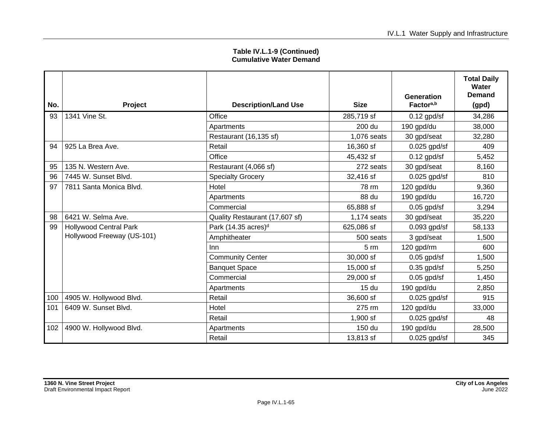| No. | Project                       | <b>Description/Land Use</b>     | <b>Size</b>      | Generation<br>Factor <sup>a,b</sup> | <b>Total Daily</b><br>Water<br><b>Demand</b><br>(gpd) |
|-----|-------------------------------|---------------------------------|------------------|-------------------------------------|-------------------------------------------------------|
| 93  | 1341 Vine St.                 | Office                          | 285,719 sf       | $0.12$ gpd/sf                       | 34,286                                                |
|     |                               | Apartments                      | 200 du           | 190 gpd/du                          | 38,000                                                |
|     |                               | Restaurant (16,135 sf)          | 1,076 seats      | 30 gpd/seat                         | 32,280                                                |
| 94  | 925 La Brea Ave.              | Retail                          | 16,360 sf        | $0.025$ gpd/sf                      | 409                                                   |
|     |                               | Office                          | 45,432 sf        | $0.12$ gpd/sf                       | 5,452                                                 |
| 95  | 135 N. Western Ave.           | Restaurant (4,066 sf)           | 272 seats        | 30 gpd/seat                         | 8,160                                                 |
| 96  | 7445 W. Sunset Blvd.          | <b>Specialty Grocery</b>        | 32,416 sf        | $0.025$ gpd/sf                      | 810                                                   |
| 97  | 7811 Santa Monica Blvd.       | Hotel                           | 78 rm            | 120 gpd/du                          | 9,360                                                 |
|     |                               | Apartments                      | 88 du            | 190 gpd/du                          | 16,720                                                |
|     |                               | Commercial                      | 65,888 sf        | $0.05$ gpd/sf                       | 3,294                                                 |
| 98  | 6421 W. Selma Ave.            | Quality Restaurant (17,607 sf)  | 1,174 seats      | 30 gpd/seat                         | 35,220                                                |
| 99  | <b>Hollywood Central Park</b> | Park (14.35 acres) <sup>d</sup> | 625,086 sf       | $0.093$ gpd/sf                      | 58,133                                                |
|     | Hollywood Freeway (US-101)    | Amphitheater                    | 500 seats        | 3 gpd/seat                          | 1,500                                                 |
|     |                               | Inn                             | $5 \, \text{rm}$ | 120 gpd/rm                          | 600                                                   |
|     |                               | <b>Community Center</b>         | 30,000 sf        | $0.05$ gpd/sf                       | 1,500                                                 |
|     |                               | <b>Banquet Space</b>            | 15,000 sf        | $0.35$ gpd/sf                       | 5,250                                                 |
|     |                               | Commercial                      | 29,000 sf        | $0.05$ gpd/sf                       | 1,450                                                 |
|     |                               | Apartments                      | 15 <sub>du</sub> | 190 gpd/du                          | 2,850                                                 |
| 100 | 4905 W. Hollywood Blvd.       | Retail                          | 36,600 sf        | $0.025$ gpd/sf                      | 915                                                   |
| 101 | 6409 W. Sunset Blvd.          | Hotel                           | 275 rm           | 120 gpd/du                          | 33,000                                                |
|     |                               | Retail                          | $1,900$ sf       | $0.025$ gpd/sf                      | 48                                                    |
| 102 | 4900 W. Hollywood Blvd.       | Apartments                      | 150 du           | 190 gpd/du                          | 28,500                                                |
|     |                               | Retail                          | 13,813 sf        | $0.025$ gpd/sf                      | 345                                                   |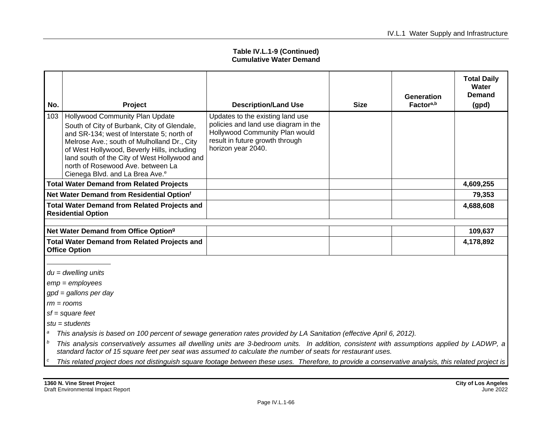| No.                                                                              | Project                                                                                                                                                                                                                                                                                                                                                        | <b>Description/Land Use</b>                                                                                                                                         | <b>Size</b> | <b>Generation</b><br>Factor <sup>a,b</sup> | <b>Total Daily</b><br>Water<br><b>Demand</b><br>(gpd) |
|----------------------------------------------------------------------------------|----------------------------------------------------------------------------------------------------------------------------------------------------------------------------------------------------------------------------------------------------------------------------------------------------------------------------------------------------------------|---------------------------------------------------------------------------------------------------------------------------------------------------------------------|-------------|--------------------------------------------|-------------------------------------------------------|
| 103                                                                              | Hollywood Community Plan Update<br>South of City of Burbank, City of Glendale,<br>and SR-134; west of Interstate 5; north of<br>Melrose Ave ; south of Mulholland Dr., City<br>of West Hollywood, Beverly Hills, including<br>land south of the City of West Hollywood and<br>north of Rosewood Ave. between La<br>Cienega Blvd. and La Brea Ave. <sup>e</sup> | Updates to the existing land use<br>policies and land use diagram in the<br>Hollywood Community Plan would<br>result in future growth through<br>horizon year 2040. |             |                                            |                                                       |
|                                                                                  | <b>Total Water Demand from Related Projects</b>                                                                                                                                                                                                                                                                                                                |                                                                                                                                                                     |             |                                            | 4,609,255                                             |
|                                                                                  | Net Water Demand from Residential Optionf                                                                                                                                                                                                                                                                                                                      |                                                                                                                                                                     |             |                                            | 79,353                                                |
| <b>Total Water Demand from Related Projects and</b><br><b>Residential Option</b> |                                                                                                                                                                                                                                                                                                                                                                |                                                                                                                                                                     |             |                                            | 4,688,608                                             |
|                                                                                  |                                                                                                                                                                                                                                                                                                                                                                |                                                                                                                                                                     |             |                                            |                                                       |
|                                                                                  | Net Water Demand from Office Option <sup>9</sup>                                                                                                                                                                                                                                                                                                               |                                                                                                                                                                     |             |                                            | 109,637                                               |
|                                                                                  | <b>Total Water Demand from Related Projects and</b><br><b>Office Option</b>                                                                                                                                                                                                                                                                                    |                                                                                                                                                                     |             |                                            | 4,178,892                                             |
|                                                                                  |                                                                                                                                                                                                                                                                                                                                                                |                                                                                                                                                                     |             |                                            |                                                       |

*du = dwelling units*

*emp = employees*

*gpd = gallons per day*

*rm = rooms*

*sf = square feet*

*stu = students*

*<sup>a</sup> This analysis is based on 100 percent of sewage generation rates provided by LA Sanitation (effective April 6, 2012).*

- *<sup>b</sup> This analysis conservatively assumes all dwelling units are 3-bedroom units. In addition, consistent with assumptions applied by LADWP, a standard factor of 15 square feet per seat was assumed to calculate the number of seats for restaurant uses.*
- *<sup>c</sup> This related project does not distinguish square footage between these uses. Therefore, to provide a conservative analysis, this related project is*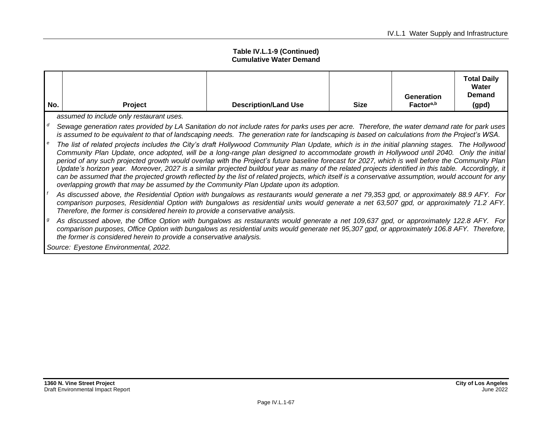| No.                                   | Project                                                                                                                                                                                                                                                                                                                                                                                                                                                                                                                                                                                                                                                                                                                                                                                                                                                | <b>Description/Land Use</b> | <b>Size</b> | <b>Generation</b><br>Factor <sup>a,b</sup> | <b>Total Daily</b><br>Water<br><b>Demand</b><br>(gpd) |  |
|---------------------------------------|--------------------------------------------------------------------------------------------------------------------------------------------------------------------------------------------------------------------------------------------------------------------------------------------------------------------------------------------------------------------------------------------------------------------------------------------------------------------------------------------------------------------------------------------------------------------------------------------------------------------------------------------------------------------------------------------------------------------------------------------------------------------------------------------------------------------------------------------------------|-----------------------------|-------------|--------------------------------------------|-------------------------------------------------------|--|
|                                       | assumed to include only restaurant uses.                                                                                                                                                                                                                                                                                                                                                                                                                                                                                                                                                                                                                                                                                                                                                                                                               |                             |             |                                            |                                                       |  |
|                                       | Sewage generation rates provided by LA Sanitation do not include rates for parks uses per acre. Therefore, the water demand rate for park uses<br>is assumed to be equivalent to that of landscaping needs. The generation rate for landscaping is based on calculations from the Project's WSA.                                                                                                                                                                                                                                                                                                                                                                                                                                                                                                                                                       |                             |             |                                            |                                                       |  |
|                                       | The list of related projects includes the City's draft Hollywood Community Plan Update, which is in the initial planning stages. The Hollywood<br>Community Plan Update, once adopted, will be a long-range plan designed to accommodate growth in Hollywood until 2040. Only the initial<br>period of any such projected growth would overlap with the Project's future baseline forecast for 2027, which is well before the Community Plan<br>Update's horizon year. Moreover, 2027 is a similar projected buildout year as many of the related projects identified in this table. Accordingly, it<br>can be assumed that the projected growth reflected by the list of related projects, which itself is a conservative assumption, would account for any<br>overlapping growth that may be assumed by the Community Plan Update upon its adoption. |                             |             |                                            |                                                       |  |
|                                       | As discussed above, the Residential Option with bungalows as restaurants would generate a net 79,353 gpd, or approximately 88.9 AFY. For<br>comparison purposes, Residential Option with bungalows as residential units would generate a net 63,507 gpd, or approximately 71.2 AFY.<br>Therefore, the former is considered herein to provide a conservative analysis.                                                                                                                                                                                                                                                                                                                                                                                                                                                                                  |                             |             |                                            |                                                       |  |
|                                       | As discussed above, the Office Option with bungalows as restaurants would generate a net 109,637 gpd, or approximately 122.8 AFY. For<br>comparison purposes, Office Option with bungalows as residential units would generate net 95,307 gpd, or approximately 106.8 AFY. Therefore,<br>the former is considered herein to provide a conservative analysis.                                                                                                                                                                                                                                                                                                                                                                                                                                                                                           |                             |             |                                            |                                                       |  |
| Source: Eyestone Environmental, 2022. |                                                                                                                                                                                                                                                                                                                                                                                                                                                                                                                                                                                                                                                                                                                                                                                                                                                        |                             |             |                                            |                                                       |  |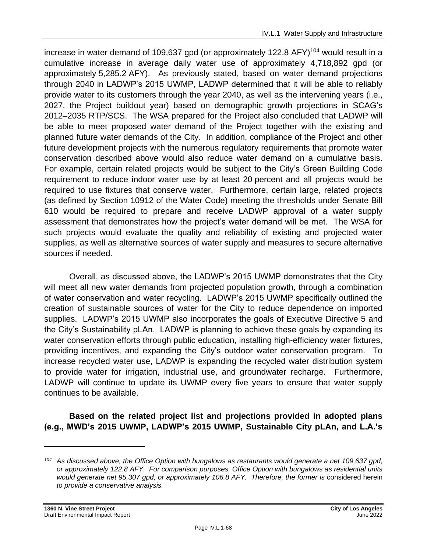increase in water demand of 109,637 gpd (or approximately 122.8 AFY)<sup>104</sup> would result in a cumulative increase in average daily water use of approximately 4,718,892 gpd (or approximately 5,285.2 AFY). As previously stated, based on water demand projections through 2040 in LADWP's 2015 UWMP, LADWP determined that it will be able to reliably provide water to its customers through the year 2040, as well as the intervening years (i.e., 2027, the Project buildout year) based on demographic growth projections in SCAG's 2012–2035 RTP/SCS. The WSA prepared for the Project also concluded that LADWP will be able to meet proposed water demand of the Project together with the existing and planned future water demands of the City. In addition, compliance of the Project and other future development projects with the numerous regulatory requirements that promote water conservation described above would also reduce water demand on a cumulative basis. For example, certain related projects would be subject to the City's Green Building Code requirement to reduce indoor water use by at least 20 percent and all projects would be required to use fixtures that conserve water. Furthermore, certain large, related projects (as defined by Section 10912 of the Water Code) meeting the thresholds under Senate Bill 610 would be required to prepare and receive LADWP approval of a water supply assessment that demonstrates how the project's water demand will be met. The WSA for such projects would evaluate the quality and reliability of existing and projected water supplies, as well as alternative sources of water supply and measures to secure alternative sources if needed.

Overall, as discussed above, the LADWP's 2015 UWMP demonstrates that the City will meet all new water demands from projected population growth, through a combination of water conservation and water recycling. LADWP's 2015 UWMP specifically outlined the creation of sustainable sources of water for the City to reduce dependence on imported supplies. LADWP's 2015 UWMP also incorporates the goals of Executive Directive 5 and the City's Sustainability pLAn. LADWP is planning to achieve these goals by expanding its water conservation efforts through public education, installing high-efficiency water fixtures, providing incentives, and expanding the City's outdoor water conservation program. To increase recycled water use, LADWP is expanding the recycled water distribution system to provide water for irrigation, industrial use, and groundwater recharge. Furthermore, LADWP will continue to update its UWMP every five years to ensure that water supply continues to be available.

**Based on the related project list and projections provided in adopted plans (e.g., MWD's 2015 UWMP, LADWP's 2015 UWMP, Sustainable City pLAn, and L.A.'s**

*<sup>104</sup> As discussed above, the Office Option with bungalows as restaurants would generate a net 109,637 gpd, or approximately 122.8 AFY. For comparison purposes, Office Option with bungalows as residential units would generate net 95,307 gpd, or approximately 106.8 AFY. Therefore, the former is* considered herein *to provide a conservative analysis.*